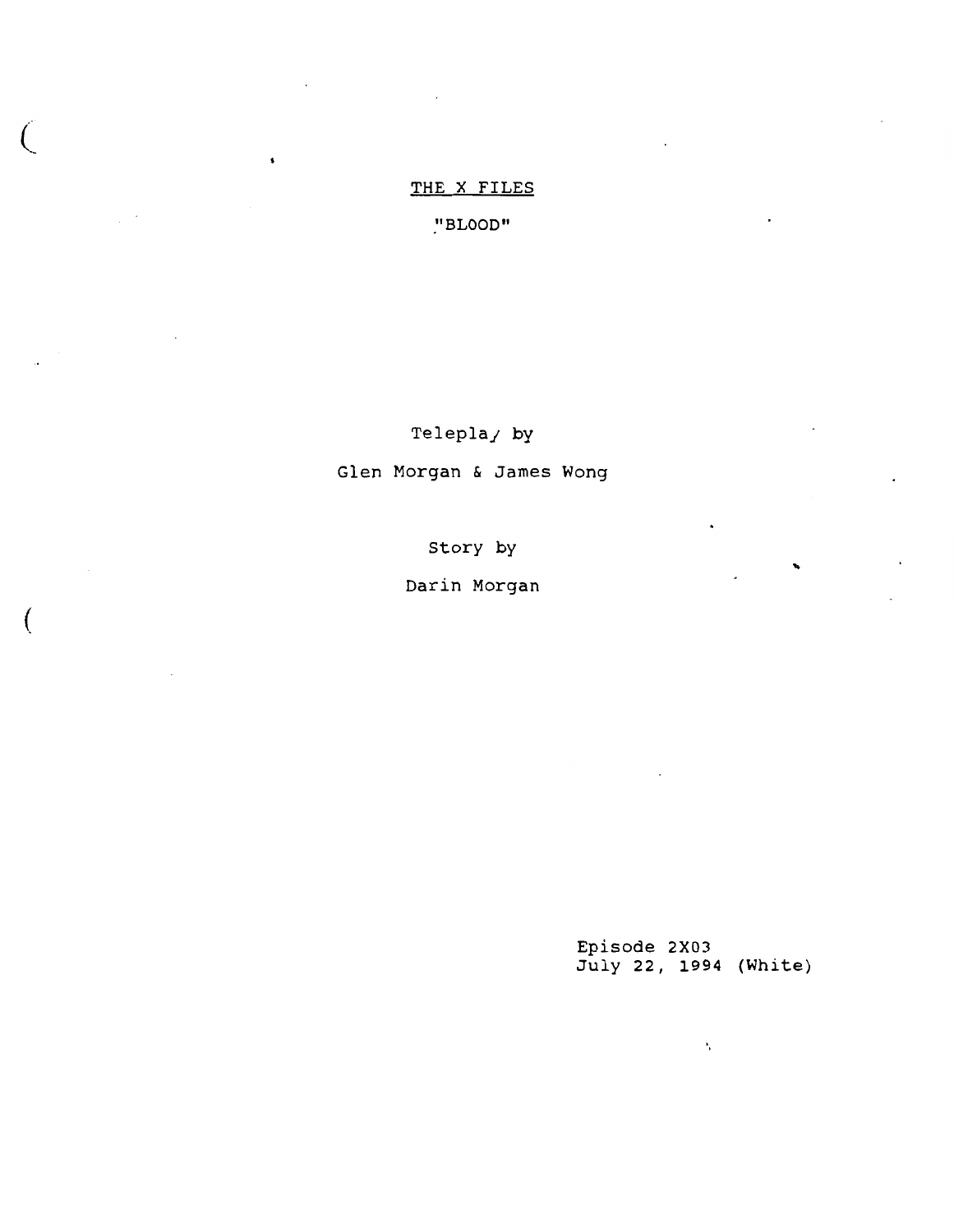# THE X FILES

 $\pmb{\mathsf{s}}$ 

 $\big($ 

(

"BLOOD"

Telepla<sub>/by</sub> Glen Morgan & James Wong

Story by

Darin Morgan

Episode 2X03 July 22, 1994 (White)

Â,

..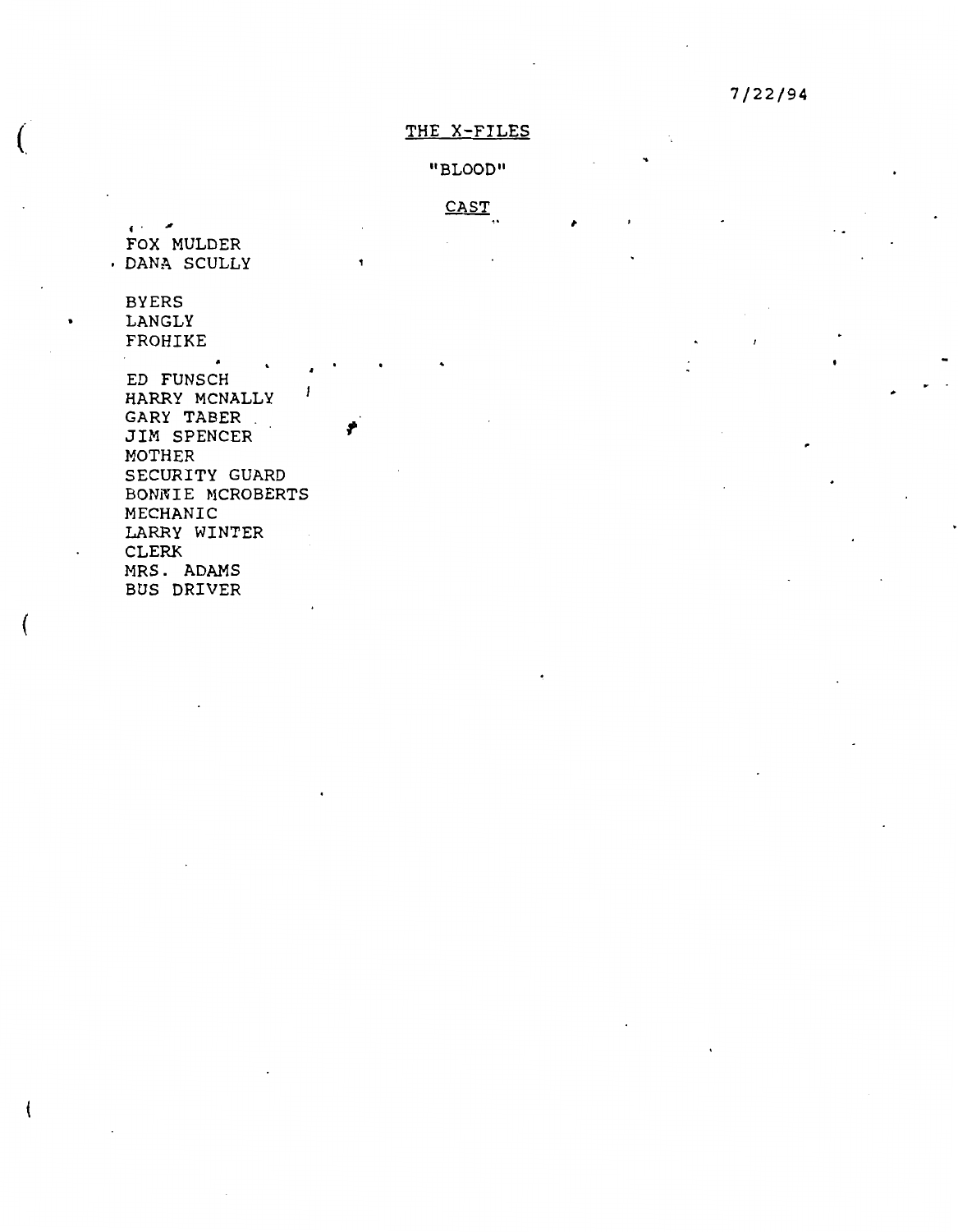# THE X-FILES

"BLOOD"

CAST

' . .,, FOX MULDER DANA SCULLY

BYERS LANGLY FROHIKE

 $\overline{(\ }$ 

(

ED FUNSCH , HARRY MCNALLY GARY TABER . JIM SPENCER MOTHER SECURITY GUARD BONNIE MCROBERTS MECHANIC LARRY WINTER CLERK MRS. ADAMS BUS DRIVER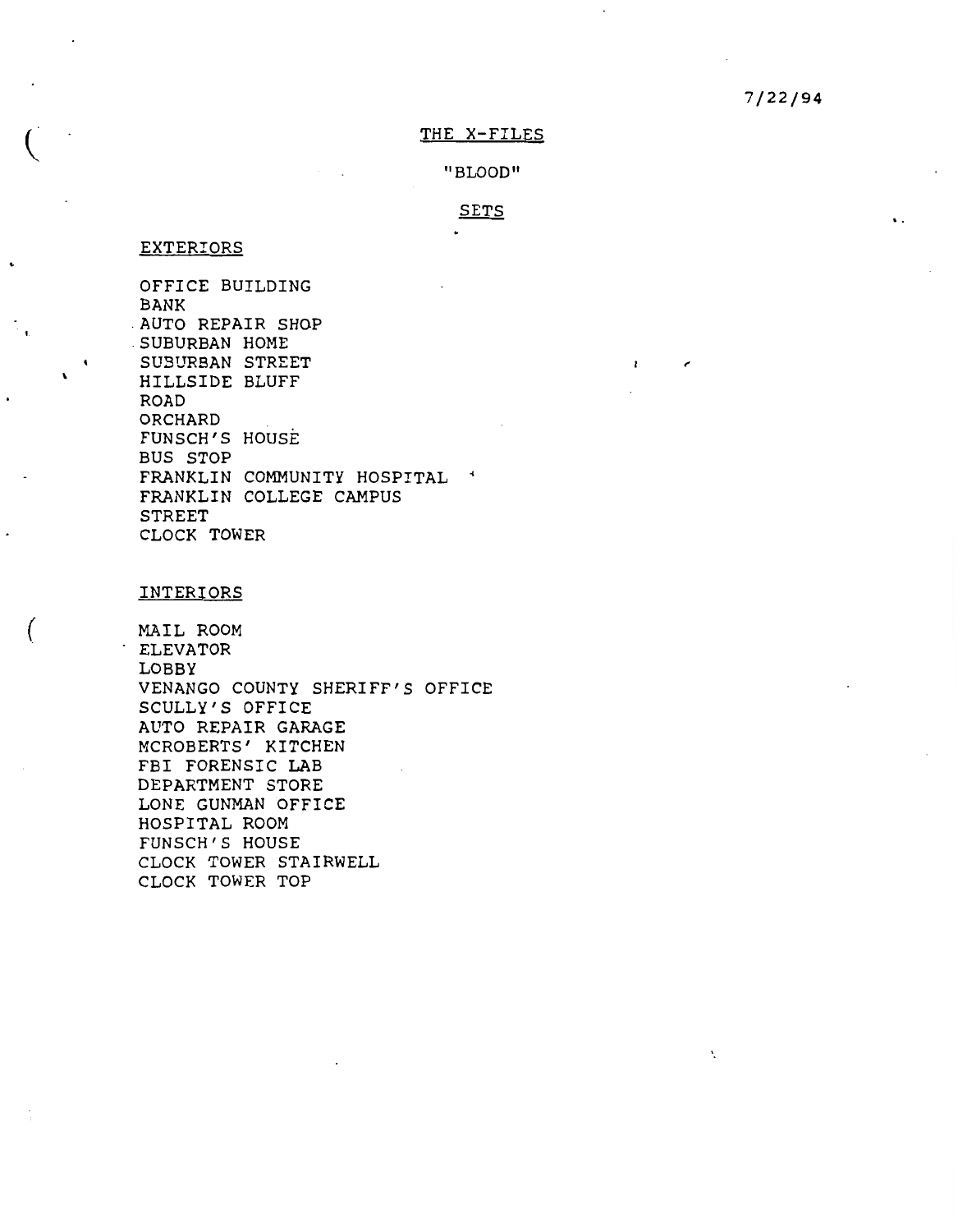# **7/22/94**

# THE X-FILES

II BLOOD"

# SETS

 $\mathbf{I}$ 

 $\epsilon$ 

 $\mathbf{v}_i$ 

# EXTERIORS

 $\ddot{\phantom{0}}$ 

(

OFFICE BUILDING BANK . AUTO REPAIR SHOP . SUBURBAN HOME SUBURBAN STREET HILLSIDE BLUFF ROAD **ORCHARD** FUNSCH'S HOUSE BUS STOP FRANKLIN COMMUNITY HOSPITAL \* FRANKLIN COLLEGE CAMPUS STREET CLOCK TOWER

## INTERIORS

MAIL ROOM ELEVATOR LOBBY VENANGO COUNTY SHERIFF'S OFFICE SCULLY'S OFFICE AUTO REPAIR GARAGE MCROBERTS' KITCHEN FBI FORENSIC LAB DEPARTMENT STORE LONE GUNMAN OFFICE HOSPITAL ROOM FUNSCH'S HOUSE CLOCK TOWER STAIRWELL CLOCK TOWER TOP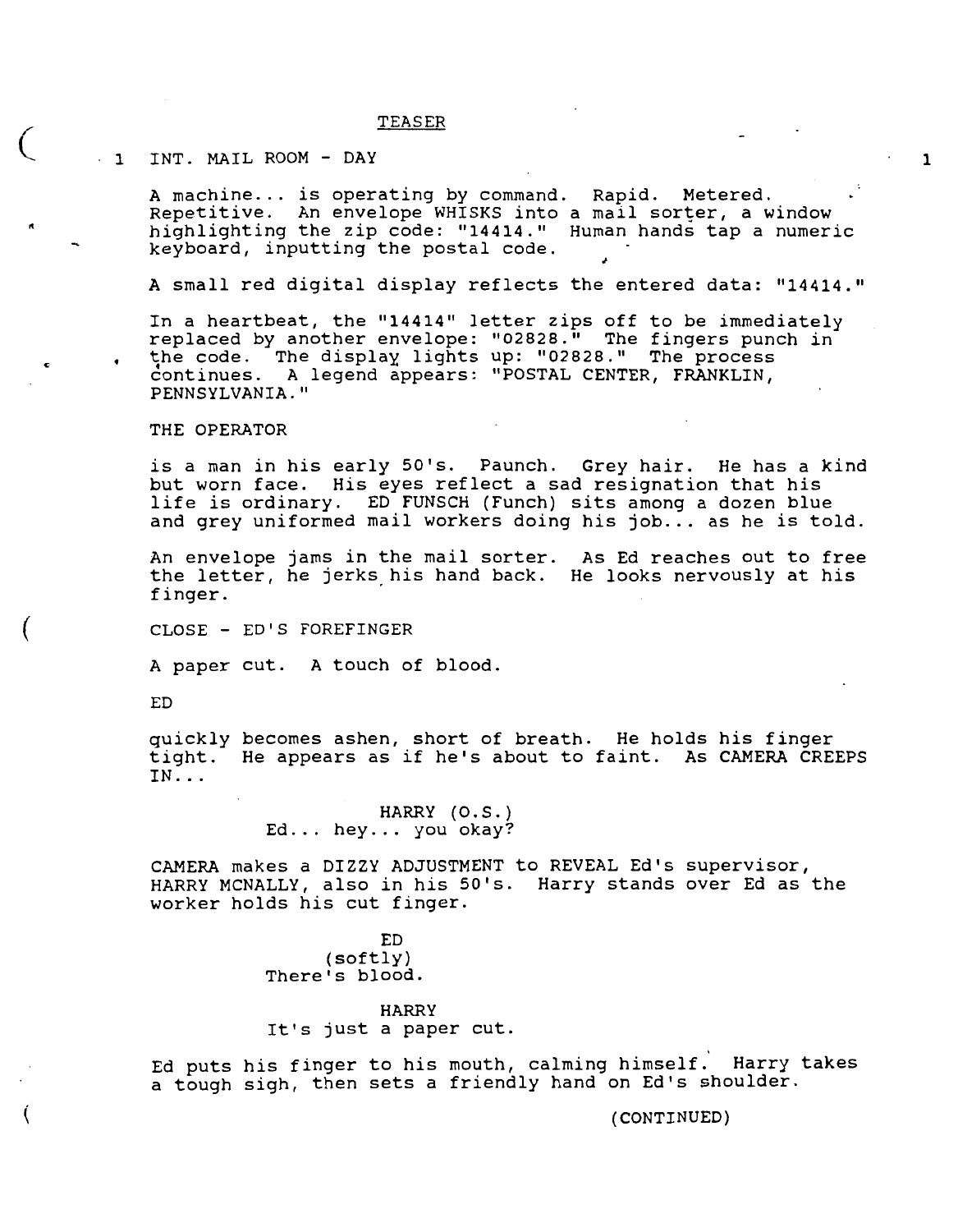## TEASER

# - 1 INT. MAIL ROOM - DAY

 $\left($ 

"

(

(

A machine... is operating by command. Rapid. Metered. Repetitive. An envelope WHISKS into highlighting the zip code: "14414." keyboard, inputting the postal code. a mail sorter, a window Human hands tap a numeric 1

A small red digital display reflects the entered data: "14414."

In a heartbeat, the "14414" letter zips off to be immediately replaced by another envelope: "02828." The fingers punch in the code. The display lights up: "02828." The process continues. A legend appears: "POSTAL CENTER, FRANKLIN, PENNSYLVANIA."

## THE OPERATOR

is a man in his early S0's. Paunch. Grey hair. He has a kind but worn face. His eyes reflect a sad resignation that his life is ordinary. ED FUNSCH (Funch) sits among a dozen blue and grey uniformed mail workers doing his job... as he is told.

An envelope jams in the mail sorter. As Ed reaches out to free the letter, he jerks his hand back. He looks nervously at his finger.

CLOSE - ED'S FOREFINGER

A paper cut. A touch of blood.

ED

quickly becomes ashen, short of breath. He holds his finger tight. He appears as if he's about to faint. As CAMERA CREEPS IN ...

> HARRY (O.S.) Ed... hey... you okay?

CAMERA makes a DIZZY ADJUSTMENT to REVEAL Ed's supervisor, HARRY MCNALLY, also in his S0's. Harry stands over Ed as the worker holds his cut finger.

> ED (softly) There's blood.

**HARRY**  It's just a paper cut.

Ed puts his finger to his mouth, calming himself. Harry takes a tough sigh, then sets a friendly hand on Ed's shoulder.

**(CONTINUED)**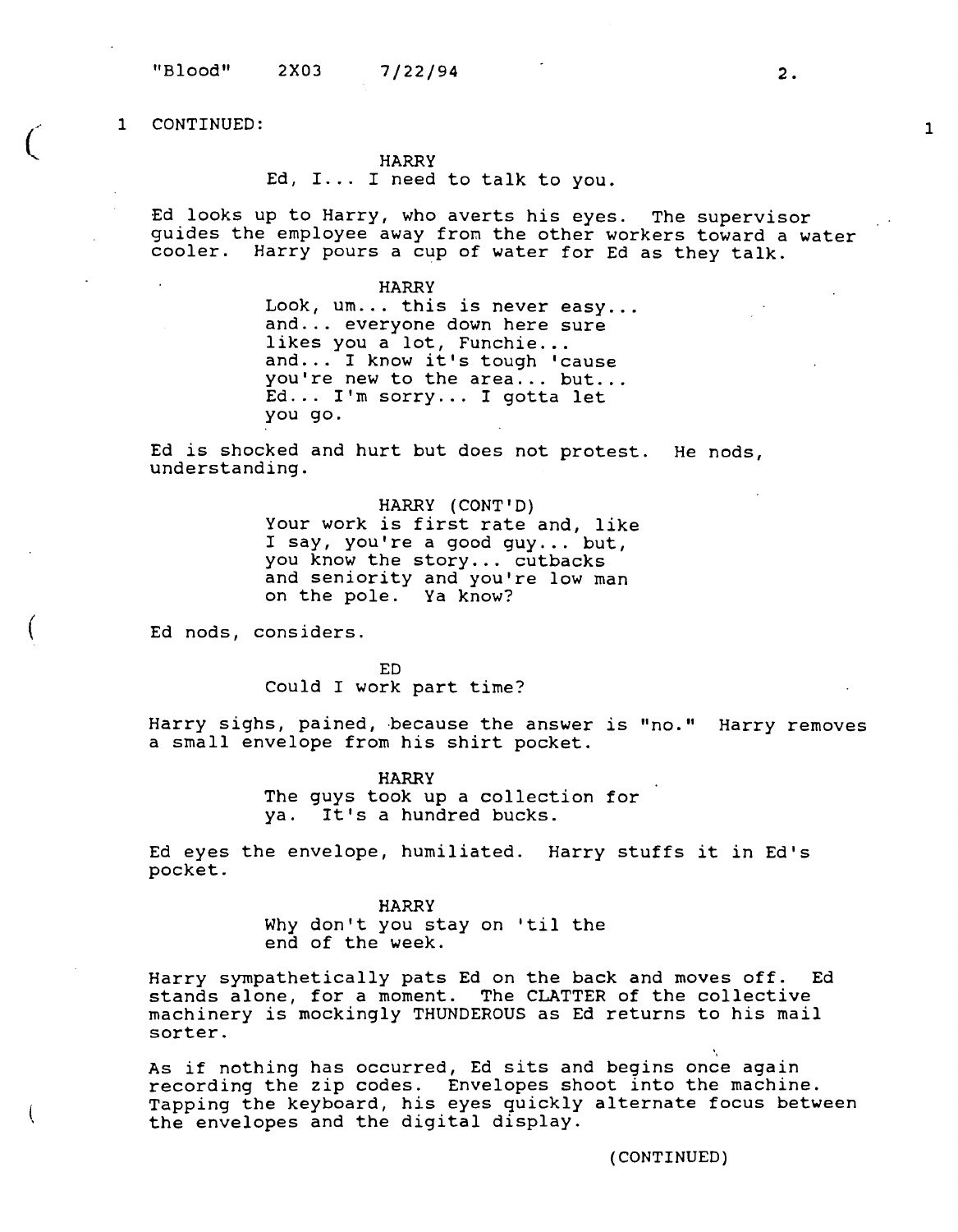$\zeta$ 

(

#### **HARRY**

Ed, I... I need to talk to you.

Ed looks up to Harry, who averts his eyes. The supervisor guides the employee away from the other workers toward a water cooler. Harry pours a cup of water for Ed as they talk.

> **HARRY**  Look, um... this is never easy...<br>and... everyone down here sure<br>likes you a lot, Funchie... and... everyone down nere sure<br>likes you a lot, Funchie...<br>and... I know it's tough 'cause and... I Know It's tougn 'cause<br>you're new to the area... but...<br>Ed... I'm sorry... I gotta let Ed... I'm sorry... I gotta let<br>you go.

Ed is shocked and hurt but does not protest. He nods, understanding.

> HARRY (CONT'D) Your work is first rate and, like I say, you're a good guy ... but, you know the story... cutbacks and seniority and you're low man on the pole. Ya know?

Ed nods, considers.

ED Could I work part time?

Harry sighs, pained, because the answer is "no." Harry removes a small envelope from his shirt pocket.

> **HARRY**  The guys took up a collection for ya. It's a hundred bucks.

Ed eyes the envelope, humiliated. Harry stuffs it in Ed's pocket.

> HARRY Why don't you stay on 'til the end of the week.

Harry sympathetically pats Ed on the back and moves off. Ed stands alone, for a moment. The CLATTER of the collective machinery is mockingly THUNDEROUS as Ed returns to his mail sorter.

As if nothing has occurred, Ed sits and begins once again recording the zip codes. Envelopes shoot into the machine. Tapping the keyboard, his eyes quickly alternate focus between the envelopes and the digital display.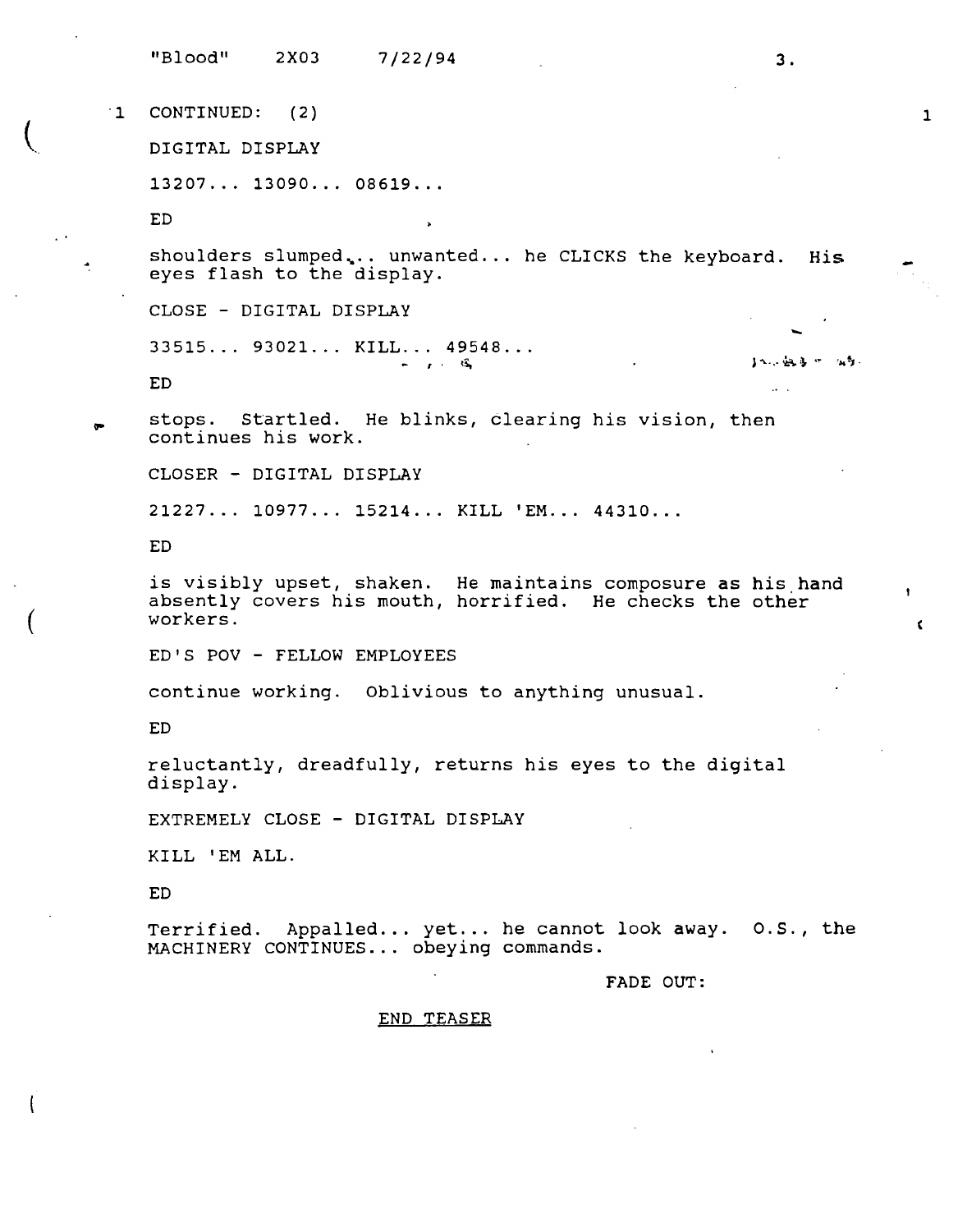"Blood" 2X03 7/22/94 3.  $11$ CONTINUED: ( 2) DIGITAL DISPLAY 13207 ... 13090 ... 08619 ... ED shoulders slumped... unwanted ... he CLICKS the keyboard. His eyes flash to the display. CLOSE - DIGITAL DISPLAY ....  $33515...$  93021... KILL... 49548...  $1 - 2 - 2 - 3 - 3 - 3$ ED stops. Startled. He blinks, clearing his vision, then continues his work. CLOSER - DIGITAL DISPLAY 21227... 10977... 15214... KILL 'EM... 44310... ED is visibly upset, shaken. He maintains composure as his hand absently covers his mouth, horrified. He checks the other workers. ED'S POV - FELLOW EMPLOYEES continue working. Oblivious to anything unusual. ED reluctantly, dreadfully, returns his eyes to the digital display. EXTREMELY CLOSE - DIGITAL DISPLAY KILL 'EM ALL. ED Terrified. Appalled... yet... he cannot look away. 0.S., the MACHINERY CONTINUES ... obeying commands. FADE OUT: END TEASER

1

(

(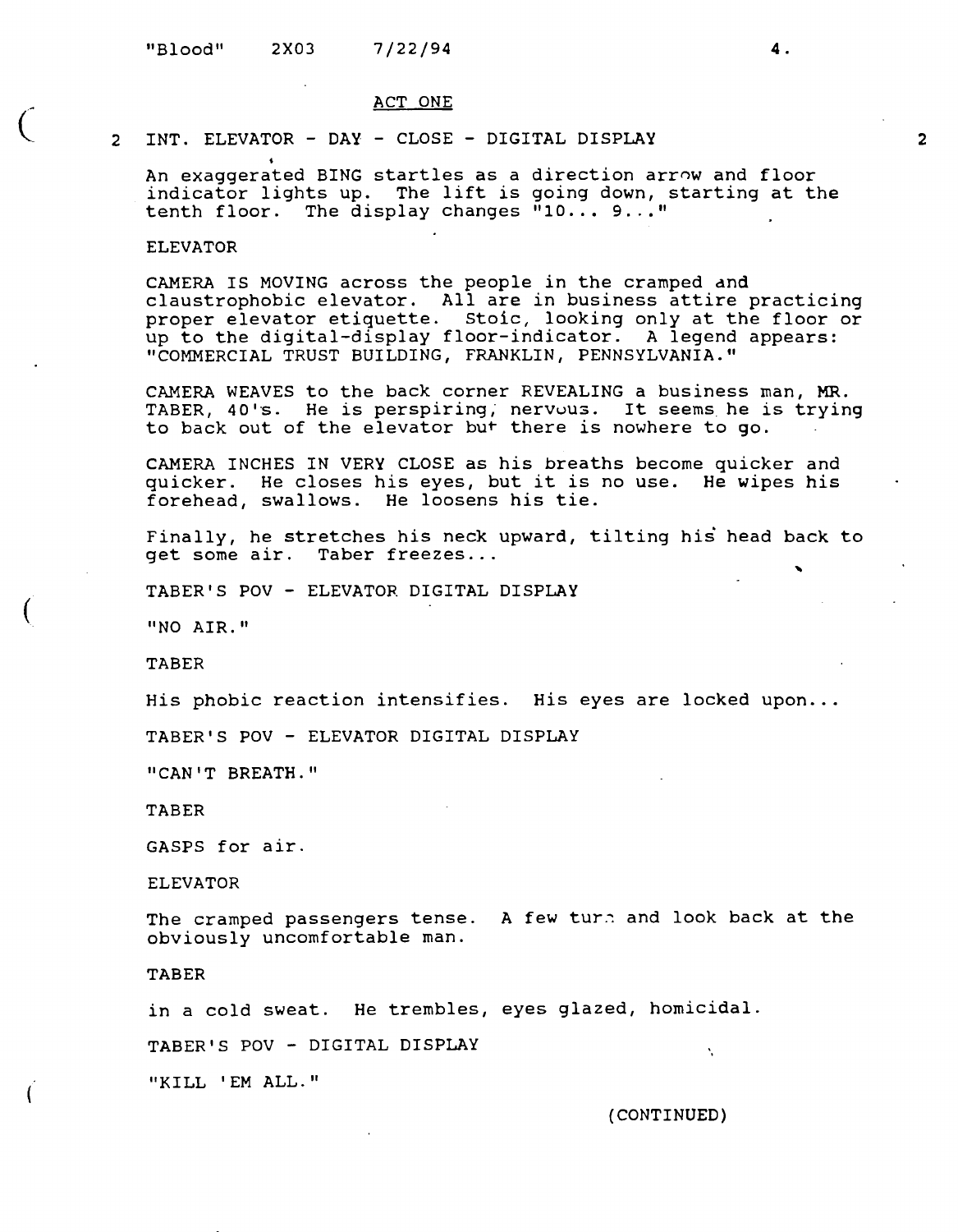#### ACT ONE

## 2 INT. ELEVATOR - DAY - CLOSE - DIGITAL DISPLAY

An exaggerated BING startles as a direction arrnw and floor indicator lights up. The lift is going down, starting at the tenth floor. The display changes  $"10... 9..."$ 

## ELEVATOR

 $\overline{C}$ 

CAMERA IS MOVING across the people in the cramped dnd claustrophobic elevator. All are in business attire practicing proper elevator etiquette. Stoic, looking only at the floor or up to the digital-display floor-indicator. A legend appears: "COMMERCIAL TRUST BUILDING, FRANKLIN, PENNSYLVANIA."

CAMERA WEAVES to the back corner REVEALING a business man, MR. TABER, 40's. He is perspiring, nervous. It seems he is trying to back out of the elevator but there is nowhere to go.

CAMERA INCHES IN VERY CLOSE as his breaths become quicker and quicker. He closes his eyes, but it is no use. He wipes his forehead, swallows. He loosens his tie.

Finally, he stretches his neck upward, tilting his head back to get some air. Taber freezes...

TABER'S POV - ELEVATOR DIGITAL DISPLAY

"NO AIR."

TABER

His phobic reaction intensifies. His eyes are locked upon...

TABER'S POV - ELEVATOR DIGITAL DISPLAY

"CAN'T BREATH."

TABER

GASPS for air.

ELEVATOR

The cramped passengers tense. A few turn and look back at the obviously uncomfortable man.

TABER

in a cold sweat. He trembles, eyes glazed, homicidal.

TABER'S POV - DIGITAL DISPLAY

"KILL 'EM ALL."

{CONTINUED)

Ň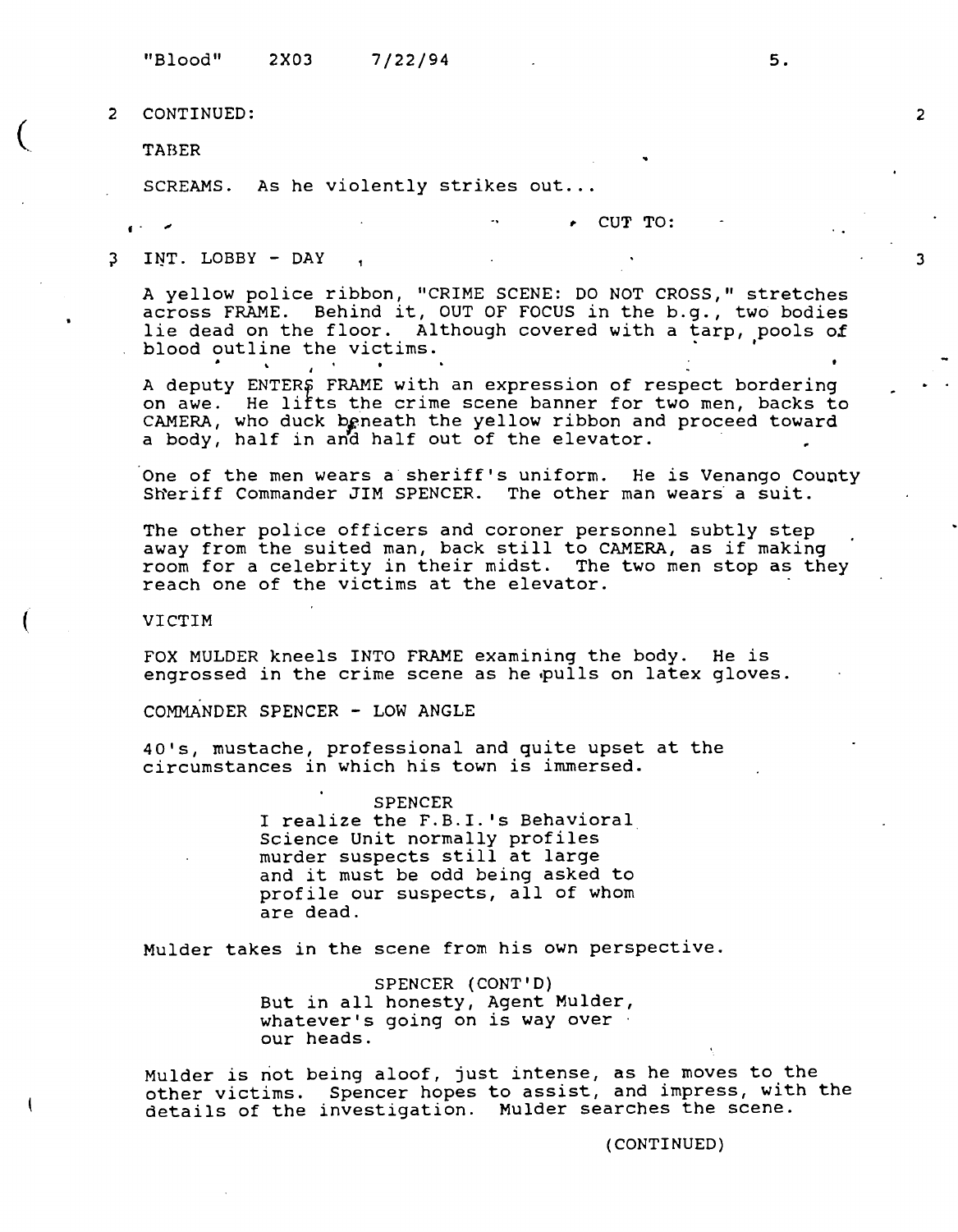"Blood" **2X03 7/22/94** 5.

2 **CONTINUED:** 

**TABER** ..

**f** .

 $\overline{C}$ 

SCREAMS. As he violently strikes out...

.,, ,. **CUT TO:** 

;3 **IljT. LOBBY** - **DAY** 

> A yellow police ribbon, "CRIME SCENE: DO NOT CROSS," stretches across FRAME. Behind it, OUT OF FOCUS in the b.g., two bodies lie dead on the floor. Although covered with a tarp, pools *ox*  blood outline the victims.

> A deputy ENTERS FRAME with an expression of respect bordering on awe. He lifts the crime scene banner for two men, backs to CAMERA, who duck beneath the yellow ribbon and proceed toward a body, half in and half out of the elevator.

One of the men wears a sheriff's uniform. He is Venango County Sheriff Commander JIM SPENCER. The other man wears a suit.

The other police officers and coroner personnel subtly step away from the suited man, back still to CAMERA, as if making room for a celebrity in their midst. The two men stop as they reach one of the victims at the elevator.

VICTIM

FOX MULDER kneels INTO FRAME examining the body. He is engrossed in the crime scene as he pulls on latex gloves.

COMMANDER SPENCER - LOW ANGLE

40's, mustache, professional and quite upset at the circumstances in which his town is immersed.

> **SPENCER**  I realize the F.B.I. 's Behavioral Science Unit normally profiles<br>murder suspects still at large and it must be odd being asked to profile our suspects, all of whom are dead.

Mulder takes in the scene from his own perspective.

**SPENCER (CONT'D)**  But in all honesty, Agent Mulder, whatever's going on is way over our heads.

Mulder is not being aloof, just intense, as he moves to the other victims. Spencer hopes to assist, and impress, with the details of the investigation. Mulder searches the scene.

(CONTINUED)

2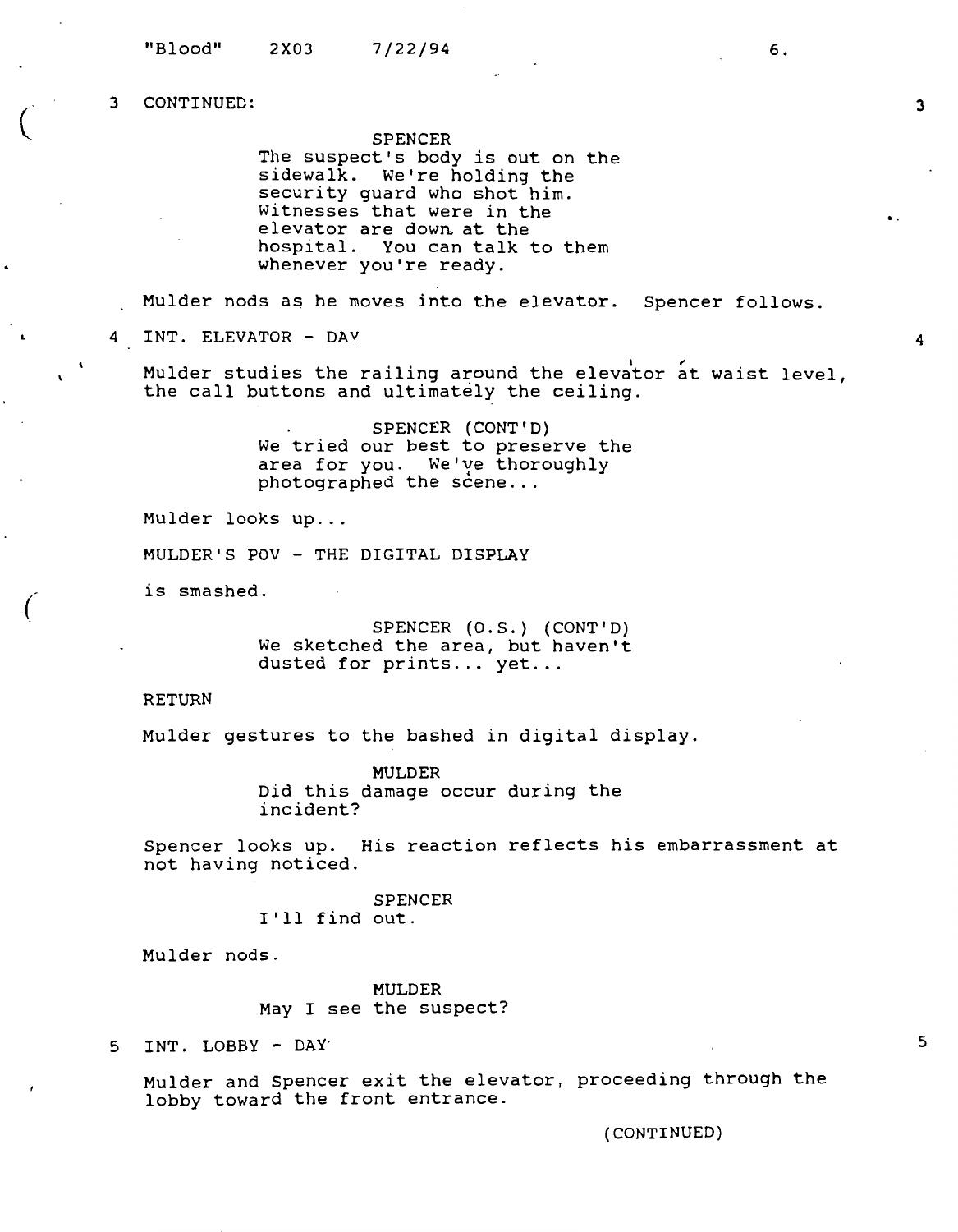$\big($ 

(

SPENCER

The suspect's body is out on the sidewalk. We're holding the security guard who shot him. Witnesses that were in the elevator are down at the hospital. You can talk to them whenever you're ready.

Mulder nods as he moves into the elevator. Spencer follows.

4 INT. ELEVATOR - DAY

Mulder studies the railing around the elevator at waist level, the call buttons and ultimately the ceiling.

> SPENCER (CONT'D) We tried our best to preserve the area for you. We've thoroughly  $photographed$  the scene...

Mulder looks up...

MULDER'S POV - THE DIGITAL DISPLAY

is smashed.

SPENCER (O.S.) (CONT'D) We sketched the area, but haven't dusted for prints... yet...

RETURN

Mulder gestures to the bashed in digital display.

MULDER Did this damage occur during the incident?

Spencer looks up. His reaction reflects his embarrassment at not having noticed.

> SPENCER I'll find out.

Mulder nods.

MULDER May I see the suspect?

5 INT. LOBBY - DAY·

Mulder and Spencer exit the elevator, proceeding through the lobby toward the front entrance.

(CONTINUED)

3

4

..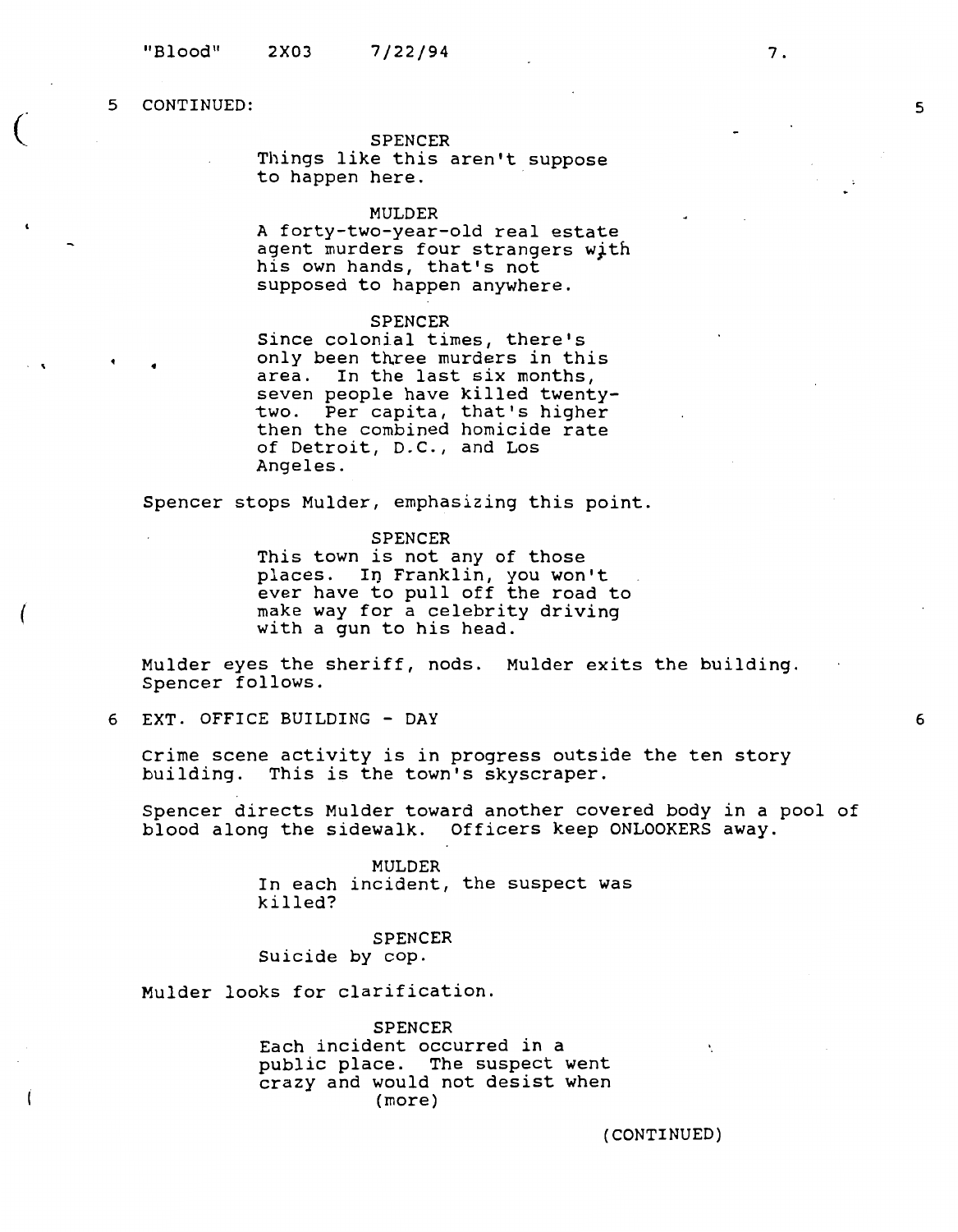•

 $\big($ 

 $\cdot$   $\cdot$ 

(

#### SPENCER

Things like this aren't suppose to happen here.

## MULDER

A forty-two-year-old real estate agent murders four strangers Wjth his own hands, that's not supposed to happen anywhere.

## SPENCER

Since colonial times, there's only been three murders in this area. In the last six months, seven people have killed twentytwo. Per capita, that's higher then the combined homicide rate of Detroit, D.C., and Los Angeles.

Spencer stops Mulder, emphasizing this point.

SPENCER

This town is not any of those places. In Franklin, you won't ever have to pull off the road to make way for a celebrity driving with a gun to his head.

Mulder eyes the sheriff, nods. Mulder exits the building. Spencer follows.

6 EXT. OFFICE BUILDING - **DAY** 

Crime scene activity is in progress outside the ten story building. This is the town's skyscraper.

Spencer directs Mulder toward another covered body in a pool of blood along the sidewalk. Officers keep ONLOOKERS away.

> MULDER In each incident, the suspect was killed?

SPENCER Suicide by cop.

Mulder looks for clarification.

**SPENCER**  Each incident occurred in a public place. The suspect went crazy and would not desist when (more)

(CONTINUED)

N

6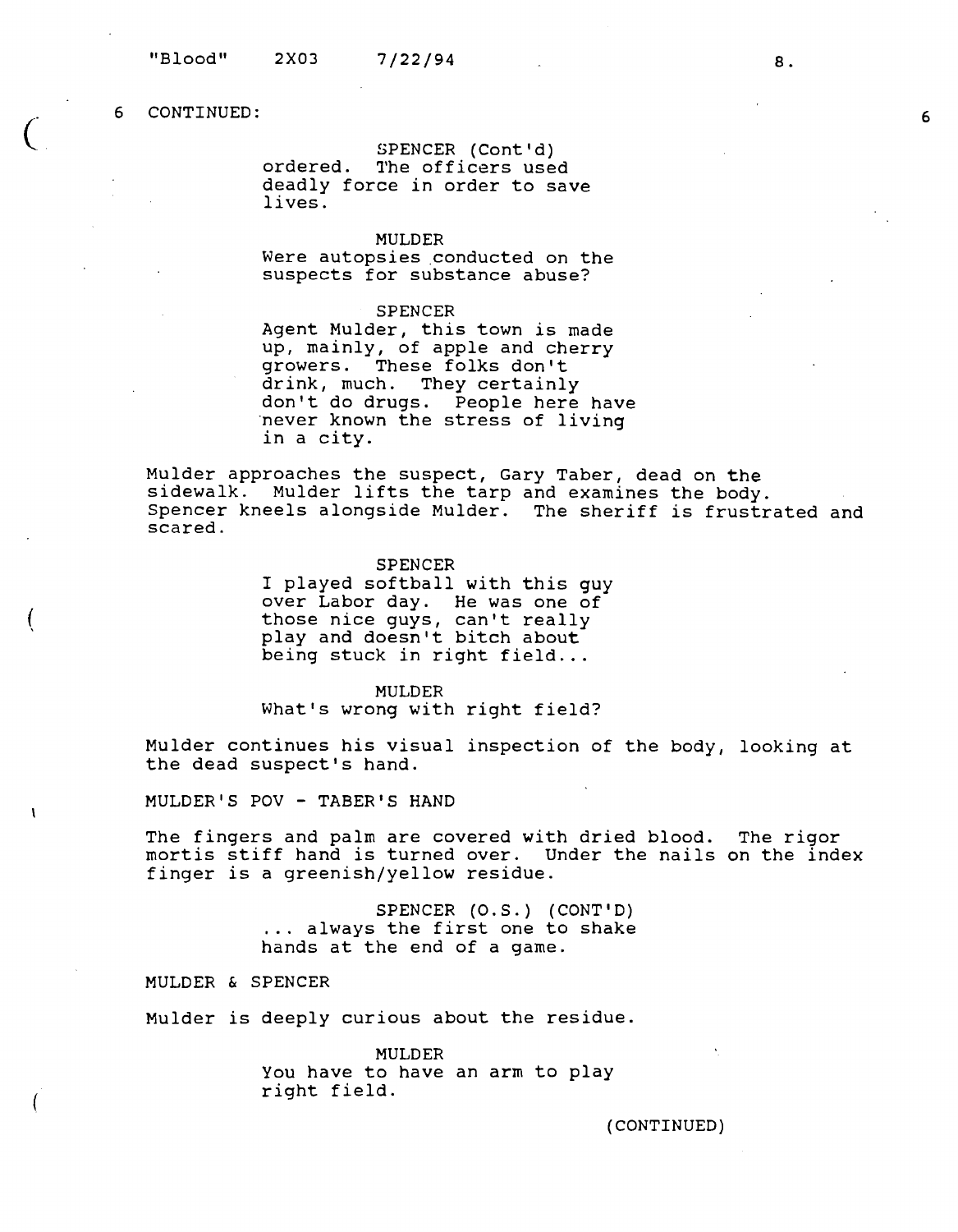$\overline{C}$ 

(

 $\mathbf{I}$ 

SPENCER (Cont'd) ordered. The officers used deadly force in order to save lives.

MULDER

Were autopsies conducted on the suspects for substance abuse?

#### SPENCER

Agent Mulder, this town is made up, mainly, of apple and cherry growers. These folks don't drink, much. They certainly don't do drugs. People here have ·never known the stress of living in a city.

Mulder approaches the suspect, Gary Taber, dead on the sidewalk. Mulder lifts the tarp and examines the body. Spencer kneels alongside Mulder. The sheriff is frustrated and scared.

> SPENCER I played softball with this guy over Labor day. He was one of those nice guys, can't really play and doesn't bitch about being stuck in right field...

MULDER What's wrong with right field?

Mulder continues his visual inspection of the body, looking at the dead suspect's hand.

MULDER'S POV - TABER'S HAND

The fingers and palm are covered with dried blood. The rigor mortis stiff hand is turned over. Under the nails on the index finger is a greenish/yellow residue.

> SPENCER (O.S.) (CONT'D) ... always the first one to shake hands at the end of a game.

MULDER & SPENCER

Mulder is deeply curious about the residue.

MULDER You have to have an arm to play right field.

(CONTINUED)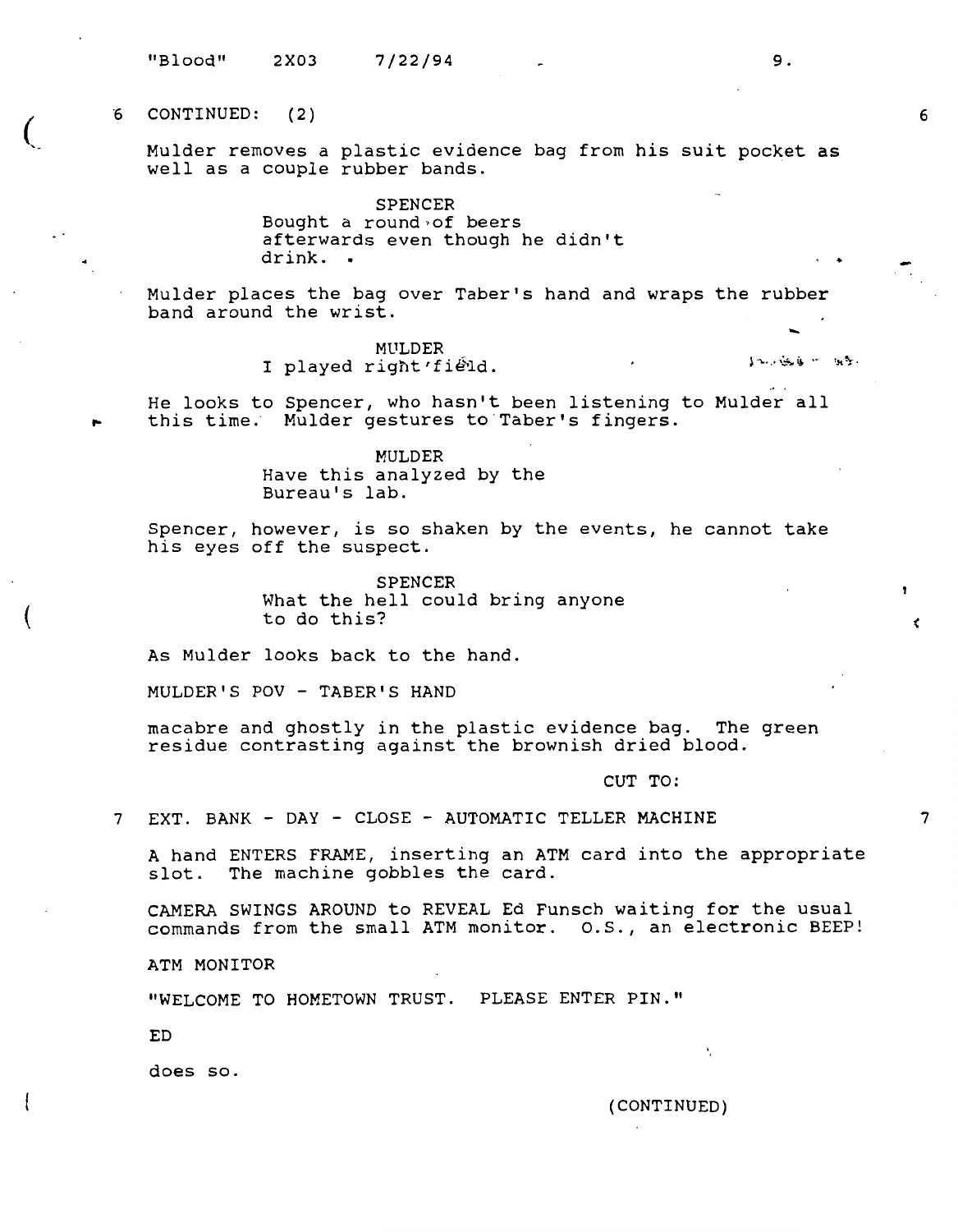"Blood" 2X03 7/22/94

"6 CONTINUED: (2)

 $\overline{(\ }$ 

(

Mulder removes a plastic evidence bag from his suit pocket as well as a couple rubber bands.

> **SPENCER**  Bought a round of beers afterwards even though he didn't drink. •

Mulder places the bag over Taber's hand and wraps the rubber band around the wrist.

t.<br>MULDER MULDER<br>I played right'field.

He looks to Spencer, who hasn't been listening to Mulder all this time. Mulder gestures to Taber's fingers.

> MULDER Have this analyzed by the Bureau's lab.

Spencer, however, is so shaken by the events, he cannot take his eyes off the suspect.

> SPENCER What the hell could bring anyone to do this?

As Mulder looks back to the hand.

MULDER'S POV - TABER'S HAND

macabre and ghostly in the plastic evidence bag. The green residue contrasting against the brownish dried blood.

CUT TO:

7 EXT. BANK - DAY - CLOSE - AUTOMATIC TELLER MACHINE

A hand ENTERS FRAME, inserting an ATM card into the appropriate slot. The machine gobbles the card.

CAMERA SWINGS AROUND to REVEAL Ed Funsch waiting for the usual commands from the small ATM monitor. o.s., an electronic BEEP!

ATM MONITOR

"WELCOME TO HOMETOWN TRUST. PLEASE ENTER **PIN."** 

ED

does so.

(CONTINUED)

 $\mathbf{t}$ 

9.

 $\cdot$   $\cdot$ 

6

 $\epsilon$ 

 $\mathbf{r}$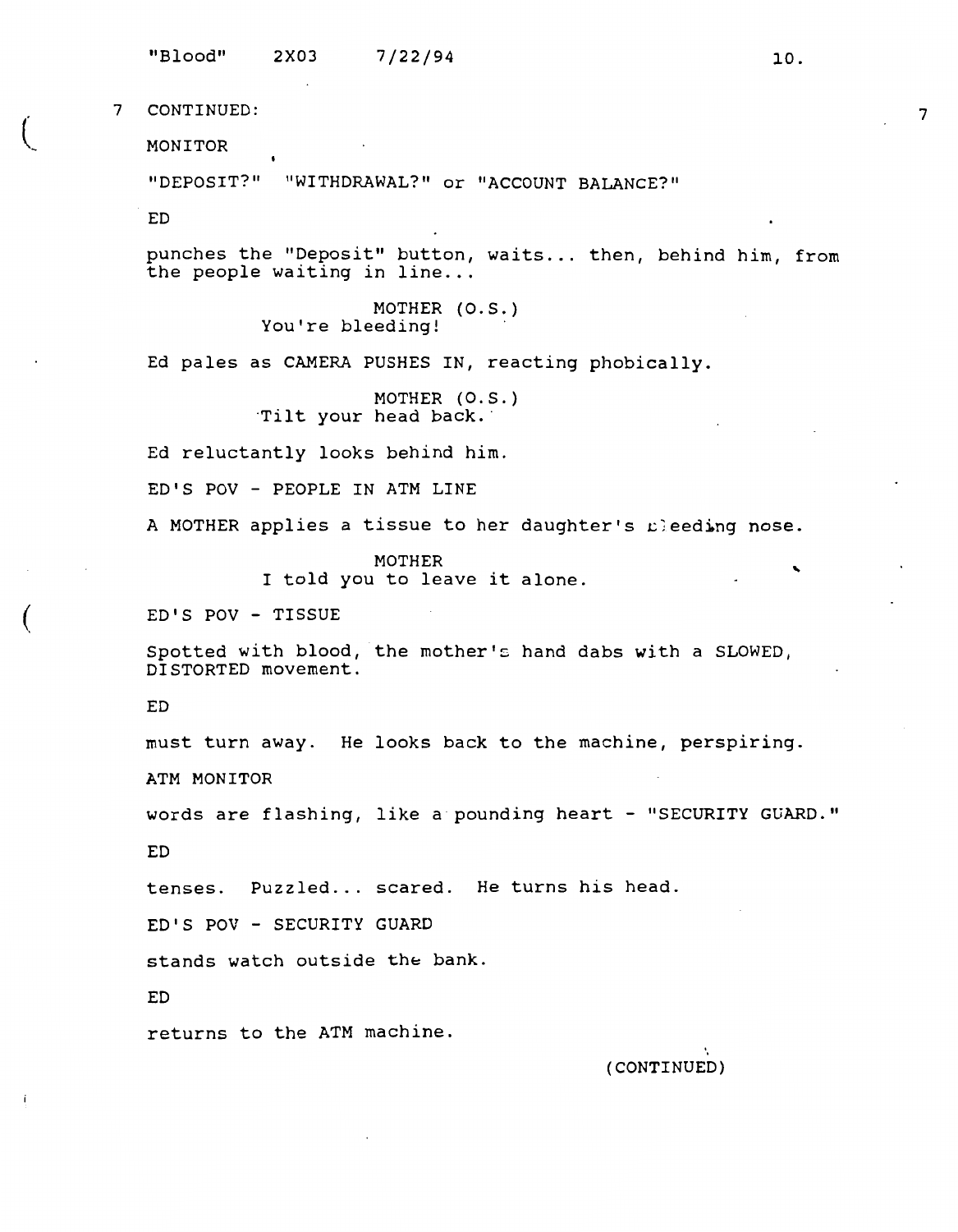"Blood" 2X03 7/22/94 10.

7 CONTINUED:

MONITOR

"DEPOSIT?" "WITHDRAWAL?" or "ACCOUNT BALANCE?"

ED

punches the "Deposit" button, waits ... then, behind him, from the people waiting in line...

> MOTHER (O.S.) You're bleeding!

Ed pales as CAMERA PUSHES IN, reacting phobically.

MOTHER (O.S.) Tilt your head back.

Ed reluctantly looks behind him.

ED'S POV - PEOPLE **IN ATM** LINE

A MOTHER applies a tissue to her daughter's  $E^2$  eeding nose.

MOTHER I told you to leave it alone.

ED'S POV - TISSUE

Spotted with blood, the mother's hand dabs with a SLOWED, DISTORTED movement.

ED

(

must turn away. He looks back to the machine, perspiring.

**ATM MONITOR** 

words are flashing, like a pounding heart - "SECURITY GUARD."

ED

tenses. Puzzled... scared. He turns his head.

ED'S POV - SECURITY GUARD

stands watch outside the bank.

ED

returns to the ATM machine.

(CONTINUED)

7

..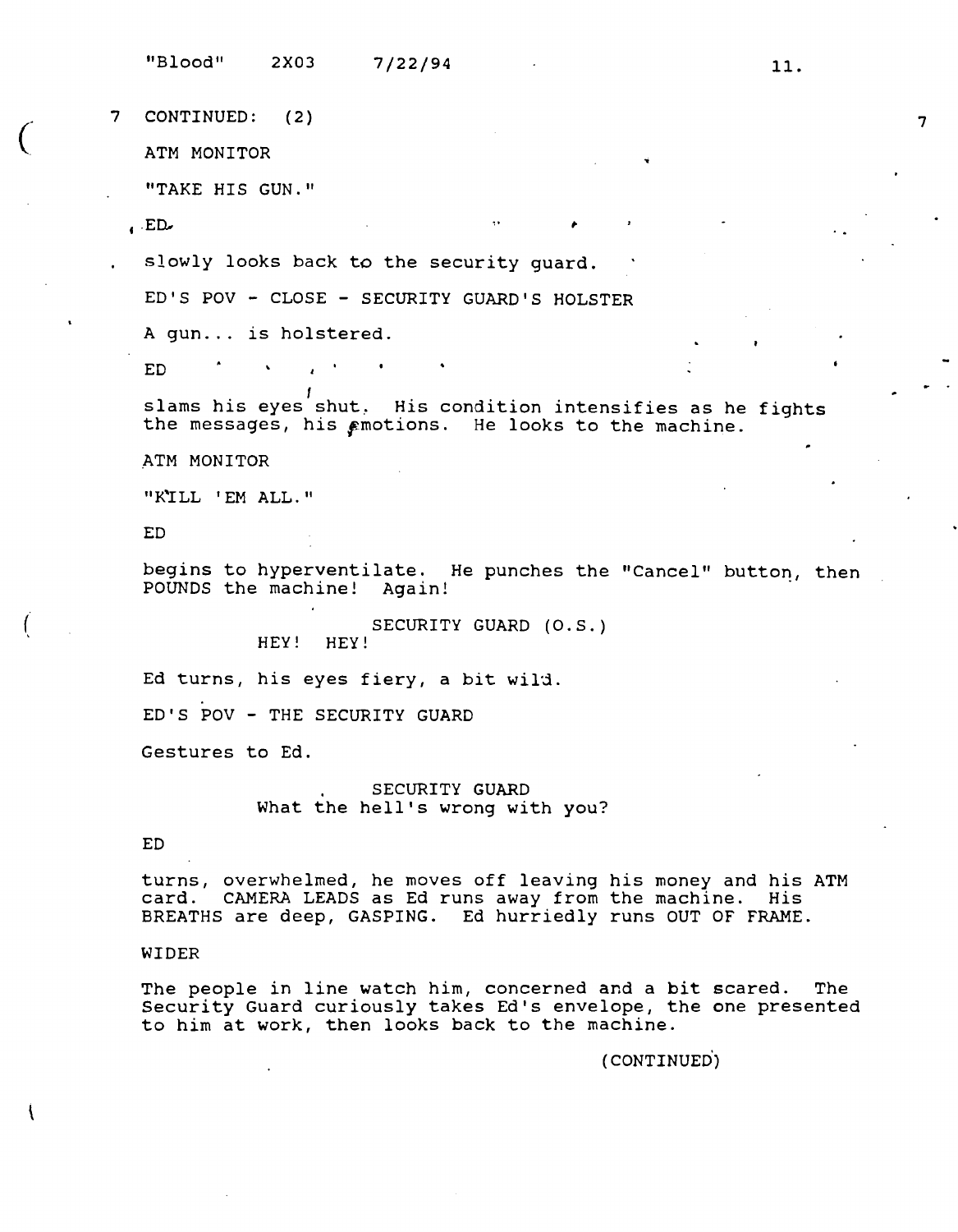"Blood" 2X03 7/22/94

**7 CONTINUED: (2)** 

ATM MONITOR

"TAKE HIS GUN."

 $E_{\bullet}$ 

 $\big($ 

slowly looks back to the security guard.

 $\sim 100$ 

ED'S POV - CLOSE - SECURITY GUARD'S HOLSTER

A gun... is holstered.

ED

slams his eyes shut. His condition intensifies as he fights the messages, his  $\epsilon$ motions. He looks to the machine.

. ATM MONITOR

"K'ILL 'EM ALL."

ED

begins to hyperventilate. He punches the "Cancel" button, then **POUNDS** the machine! Again!

SECURITY GUARD (O.S.) HEY! HEY!

Ed turns, his eyes fiery, a bit wild.

ED'S POV - THE SECURITY GUARD

Gestures to Ed.

SECURITY GUARD What the hell's wrong with you?

ED

turns, overwhelmed, he moves off leaving his money and his ATM card. CAMERA LEADS as Ed runs away from the machine. His BREATHS are deep, GASPING. Ed hurriedly runs OUT OF FRAME.

## WIDER

The people in line watch him, concerned and a bit scared. The Security Guard curiously takes Ed's envelope, the one presented to him at work, then looks back to the machine.

( CONTINUED°)

11.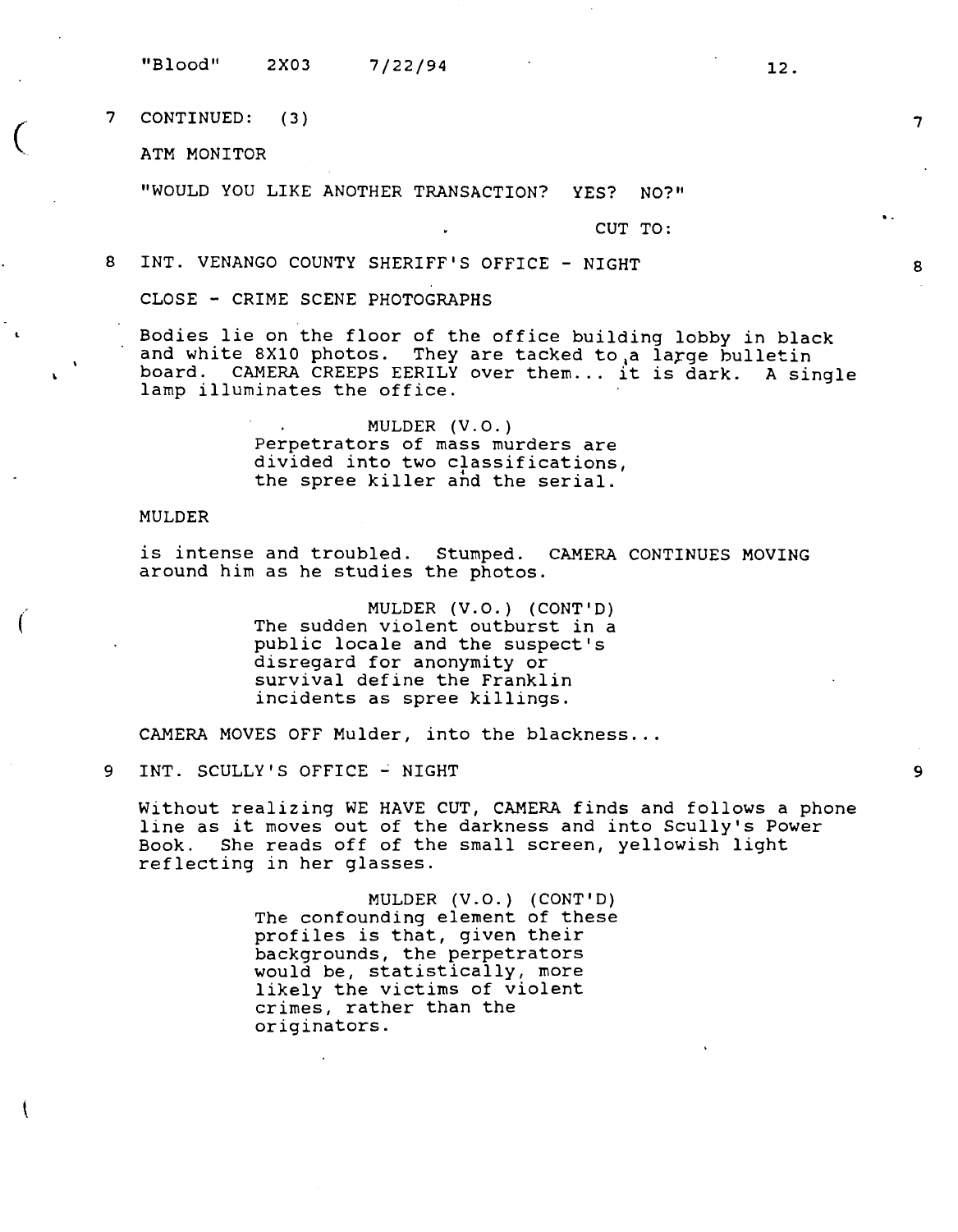"Blood" 2X03 7/22/94

7 CONTINUED: ( 3)

ATM MONITOR

 $\big($ 

"WOULD YOU LIKE ANOTHER TRANSACTION? YES? NO?"

CUT TO:

8 INT. VENANGO COUNTY SHERIFF'S OFFICE - NIGHT

CLOSE - CRIME SCENE PHOTOGRAPHS

Bodies lie on the floor of the office building lobby in black and white 8X10 photos. They are tacked to a large bulletin board. CAMERA CREEPS EERILY over them... it is dark. A single lamp illuminates the office.

> MULDER (V.O.) Perpetrators of mass murders are divided into two classifications, the spree killer and the serial.

MULDER

is intense and troubled. Stumped. CAMERA CONTINUES MOVING around him as he studies the photos.

> MULDER **(V.O.)** (CONT'D) The sudden violent outburst in a public locale and the suspect's disregard for anonymity or survival define the Franklin incidents as spree killings.

CAMERA MOVES OFF Mulder, into the blackness...

9 INT. SCULLY'S OFFICE - NIGHT

Without realizing WE HAVE CUT, CAMERA finds and follows a phone line as it moves out of the darkness and into Scully's Power Book. She reads off of the small screen, yellowish light reflecting in her glasses.

> **MULDER (V.O.) (CONT'D)**  The confounding element of these profiles is that, given their backgrounds, the perpetrators would be, statistically, more likely the victims of violent crimes, rather than the originators.

12.

7

8

9

..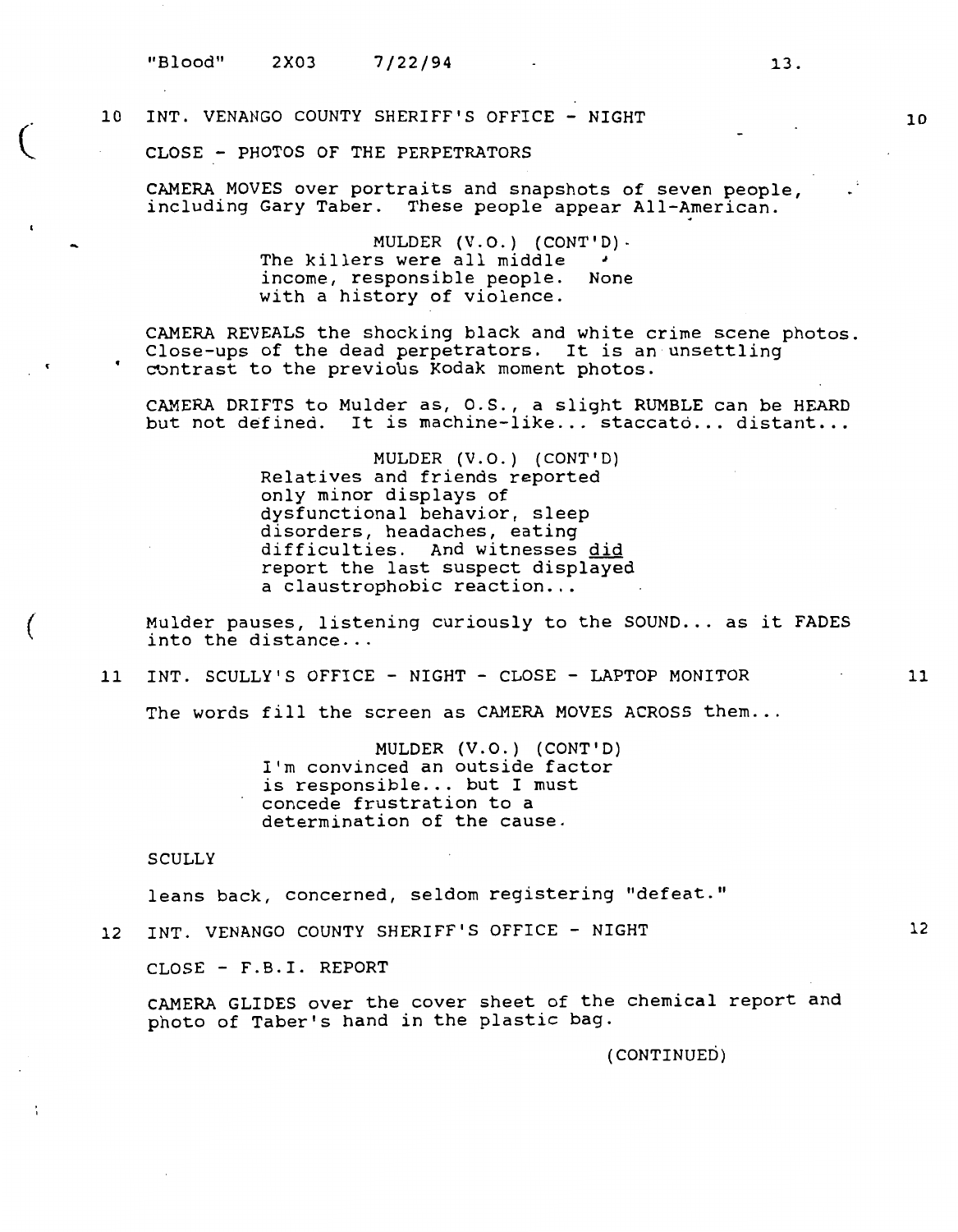$\left($ 

(

# 10 INT. VENANGO COUNTY SHERIFF'S OFFICE - NIGHT

CLOSE - PHOTOS OF THE PERPETRATORS

CAMERA MOVES over portraits and snapshots of seven people, including Gary Taber. These people appear All-American.

> **MULDER (V.O.) (CONT'D)-** The killers were all middle *<sup>J</sup>* income, responsible people. None with a history of violence.

CAMERA REVEALS the shocking black and white crime scene photos. Close-ups of the dead perpetrators. It is an unsettling contrast to the previous Kodak moment photos.

CAMERA DRIFTS to Mulder as, O.S., a slight RUMBLE can be HEARD but not defined. It is machine-like... staccato... distant...

> MULDER (V.O.) (CONT'D) Relatives and friends reported only minor displays of dysfunctional behavior, sleep disorders, headaches, eating difficulties. And witnesses did report the last suspect displayed a claustrophobic reaction...

Mulder pauses, listening curiously to the SOUND... as it FADES into the distance...

11 INT. SCULLY'S OFFICE - NIGHT - CLOSE - LAPTOP MONITOR

The words fill the screen as CAMERA MOVES ACROSS them...

**MULDER (V.O.) (CONT'D)**  I'm convinced an outside factor is responsible... but I must concede frustration to a determination of the cause.

**SCULLY** 

leans back, concerned, seldom registering "defeat."

12 INT. VENANGO COUNTY SHERIFF'S OFFICE - NIGHT

CLOSE - F.B.I. REPORT

CAMERA GLIDES over the cover sheet of the chemical report and photo of Taber's hand in the plastic bag.

(CONTINUED)

11

10

13.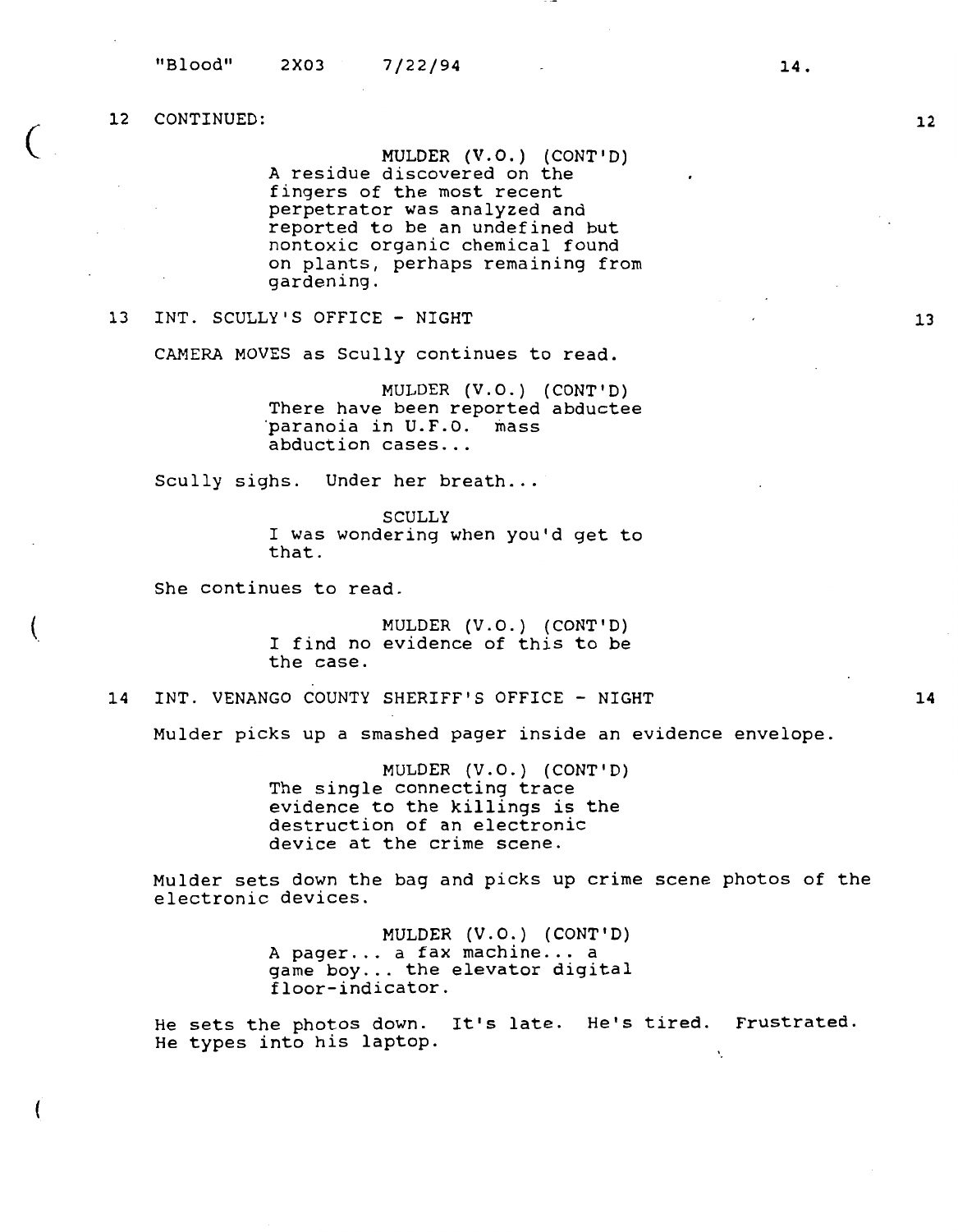$\big($ 

(

**MULDER (V.O.) (CONT'D)**  A residue discovered on the fingers of the most recent perpetrator was analyzed and reported to be an undefined but nontoxic organic chemical found on plants, perhaps remaining from gardening.

# 13 INT. SCULLY'S OFFICE - NIGHT

CAMERA MOVES as Scully continues to read.

MULDER (V.O.) (CONT'D) There have been reported abductee<br>paranoia in U.F.O. mass abduction cases...

Scully sighs. Under her breath...

**SCULLY**  I was wondering when you'd get to that .

She continues to read.

MULDER (V.O.) {CONT'D) I find no evidence of this to be the case.

14 INT. VENANGO COUNTY SHERIFF'S OFFICE - NIGHT

Mulder picks up a smashed pager inside an evidence envelope.

MULDER (V.O.) (CONT'D) The single connecting trace evidence to the killings is the destruction of an electronic device at the crime scene.

Mulder sets down the bag and picks up crime scene photos of the electronic devices.

> MULDER (V.O.) (CONT'D) A pager... a fax machine... a game boy... the elevator digital floor-indicator.

He sets the photos down. It's late. He's tired. Frustrated. He types into his laptop.  $\bar{\mathbf{v}}$ 

**14** 

**12** 

13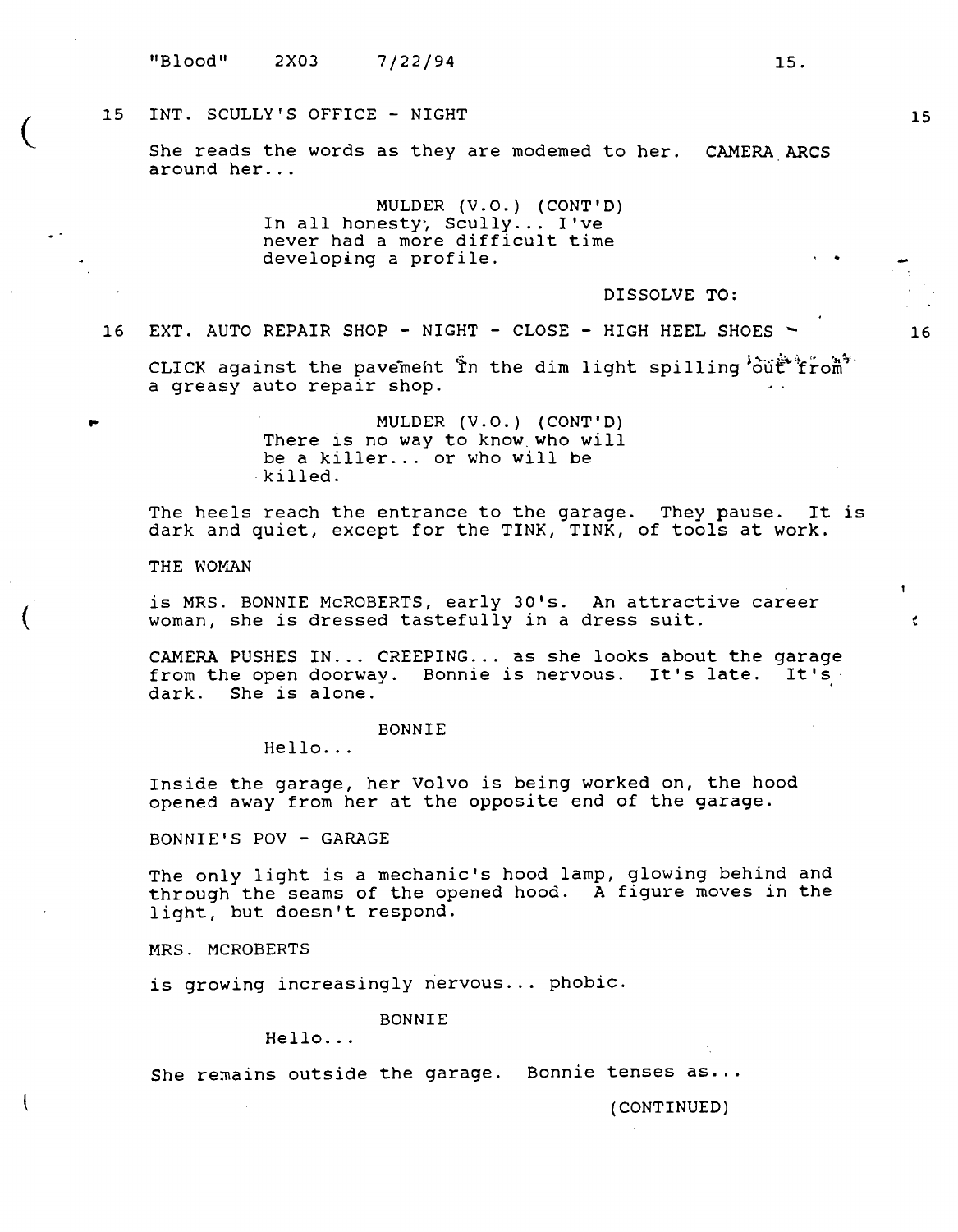# 15 INT. SCULLY'S OFFICE - NIGHT

She reads the words as they are modemed to her. CAMERA ARCS around her...

> MULDER (V.O.) (CONT'D) In all honesty, Scully... I've never had a more difficult time developing a profile.

> > DISSOLVE TO:

16 EXT. AUTO REPAIR SHOP - NIGHT - CLOSE - HIGH HEEL SHOES ~

CLICK against the pavement  $\hat{\mathbb{Y}}$ n the dim light spilling  $\hat{\mathfrak{ou}}\hat{\mathfrak{t}}^*$ from a greasy auto repair shop.

> MULDER (V.O.) (CONT'D) There is no way to know.who will be a killer... or who will be killed.

The heels reach the entrance to the garage. They pause. It is dark and quiet, except for the TINK, TINK, of tools at **work.** 

THE WOMAN

 $\big($ 

 $\overline{\mathcal{C}}$ 

,.

is MRS. BONNIE McROBERTS, early 30's. An attractive career woman, she is dressed tastefully in a dress suit.

CAMERA PUSHES IN... CREEPING... as she looks about the garage from the open doorway. Bonnie is nervous. It's late. It's dark. She is alone.

BONNIE

Hello...

Inside the garage, her Volvo is being worked on, the hood opened away from her at the opposite end of the garage.

BONNIE'S POV - **GARAGE** 

The only light is a mechanic's hood lamp, glowing behind and through the seams of the opened hood. A figure moves in the light, but doesn't respond.

**MRS.** MCROBERTS

is growing increasingly nervous ... phobic.

BONNIE

 $Hello.$ ...

She remains outside the garage. Bonnie tenses as...

(CONTINUED)

15

16

K.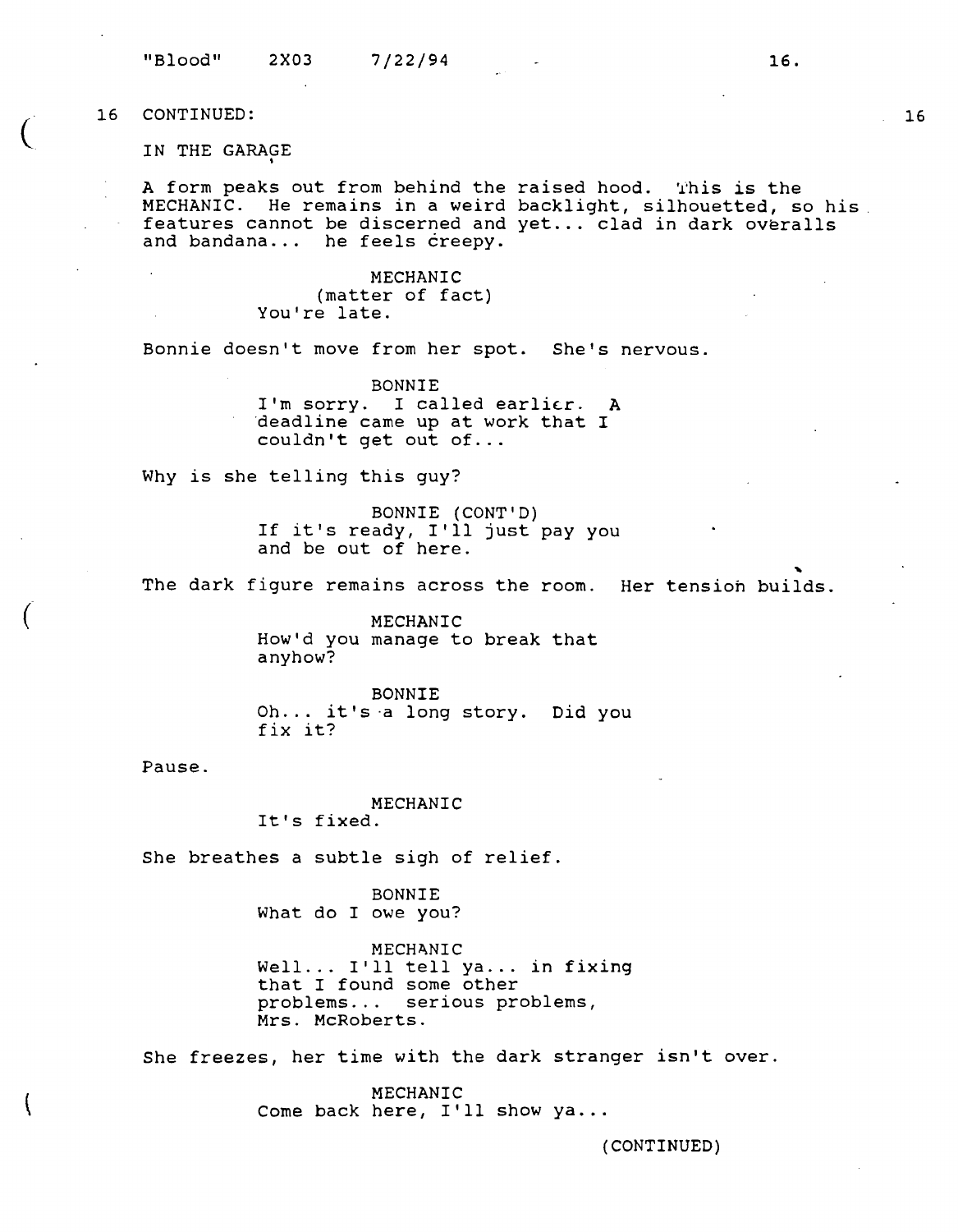IN THE GARAGE

A form peaks out from behind the raised hood. This is the MECHANIC. He remains in a weird backlight, silhouetted, so **his.**  features cannot be discerned and yet ... clad in dark overalls and bandana... he feels creepy.

> **MECHANIC**  (matter of fact) You're late.

Bonnie doesn't move from her spot. She's nervous.

**BONNIE**  I'm sorry. I called earlier. A deadline came up at work that I couldn't get out of...

Why is she telling this guy?

BONNIE (CONT'D) If it's ready, I'll just pay you<br>and be out of here.

The dark figure remains across the room. Her tension builds.

**MECHANIC**  How'd you manage to break that anyhow?

BONNIE Oh... it's a long story. Did you fix it?

Pause.

**MECHANIC**  It's fixed.

She breathes a subtle sigh of relief.

BONNIE What do I owe you?

**MECHANIC** Well... I'll tell ya... in fixing that I found some other problems... serious problems, Mrs. McRoberts.

She freezes, her time with the dark stranger isn't over.

**MECHANIC**  Come back here, I'll show ya...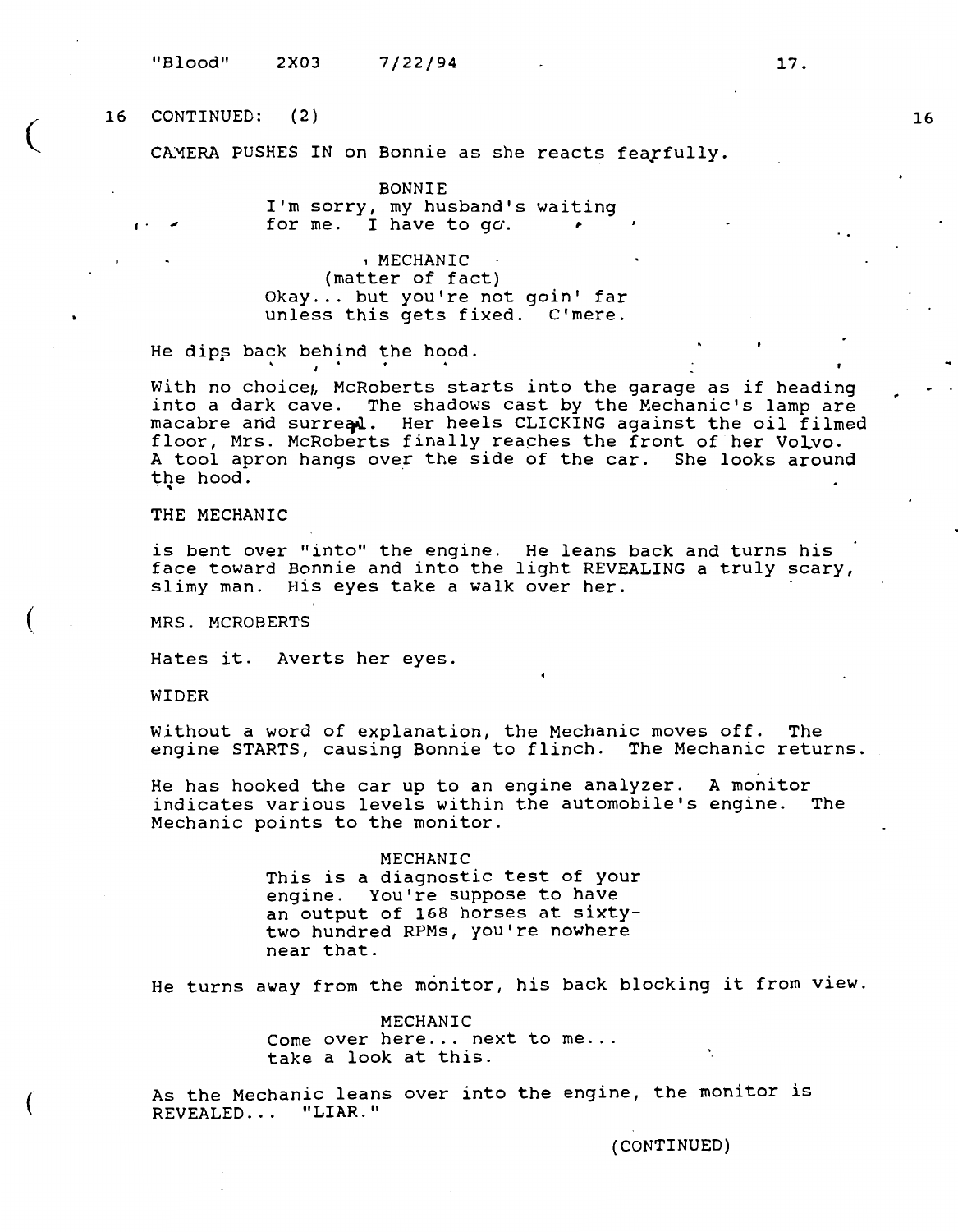"Blood" 2X03 7/22/94

# $($   $16$ 16 CONTINUED: (2)

**f** .

CAMERA PUSHES IN on Bonnie as she reacts fearfully.

BONNIE I'm sorry, my husband's waiting for me. I have to  $q\sigma$ .

, **MECHANIC**  (matter of fact) Okay... but you're not goin' far unless this gets fixed. C'mere.

He dips back behind the hood.

With no choice, McRoberts starts into the garage as if heading into a dark cave. The shadows cast by the Mechanic's lamp are macabre and surreal. Her heels CLICKING against the oil filmed floor, Mrs. McRoberts finally reaches the front of her Volvo. A tool apron hangs over the side of the car. She looks around the hood.

THE MECHANIC

is bent over "into" the engine. He leans back and turns his face toward Bonnie and into the light REVEALING a truly scary, slimy man. His eyes take a walk over her.

MRS. MCROBERTS

Hates it. Averts her eyes.

WIDER

(

Without a word of explanation, the Mechanic moves off. The engine STARTS, causing Bonnie to flinch. The Mechanic returns.

He has hooked the car up to an engine analyzer. A monitor indicates various levels within the automobile's engine. The Mechanic points to the monitor.

> **MECHANIC**  This is a diagnostic test of your engine. You're suppose to have an output of 168 horses at sixtytwo hundred RPMs, you're nowhere near that.

He turns away from the monitor, his back blocking it from view.

MECHANIC Come over here... next to me... take a look at this.

As the Mechanic leans over into the engine, the monitor is REVEALED. . . **"LIAR."** 

(CONTINUED)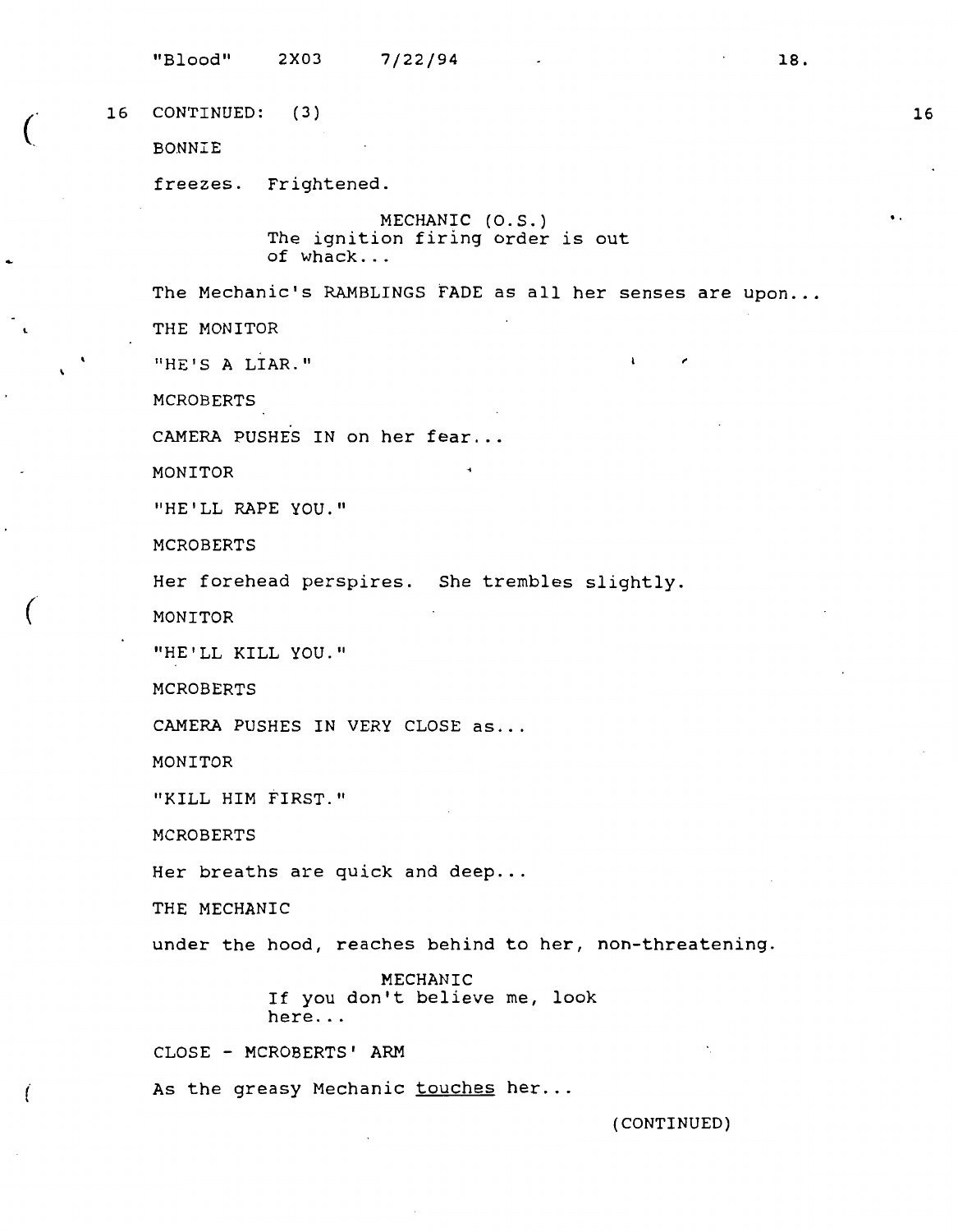"Blood" 2X03 7/22/94 16 CONTINUED: ( 3) BONNIE freezes. Frightened. MECHANIC {O.S.) The ignition firing order is out of whack ... 18. The Mechanic's RAMBLINGS FADE as all her senses are upon... THE MONITOR "HE'S A LIAR." MCROBERTS CAMERA PUSHES IN on her fear ... **MONITOR**  "HE'LL RAPE **YOU." MCROBERTS**  Her forehead perspires. She trembles slightly. **MONITOR "HE'LL KILL YOU." MCROBERTS**  CAMERA PUSHES IN VERY CLOSE as ... MONITOR "KILL HIM FIRST." MCROBERTS Her breaths are quick and deep... THE MECHANIC under the hood, reaches behind to her, non-threatening. MECHANIC If you don't believe me, look here ... CLOSE - MCROBERTS' ARM As the greasy Mechanic touches her... (CONTINUED) 16 ..

 $\big($ 

*(* 

(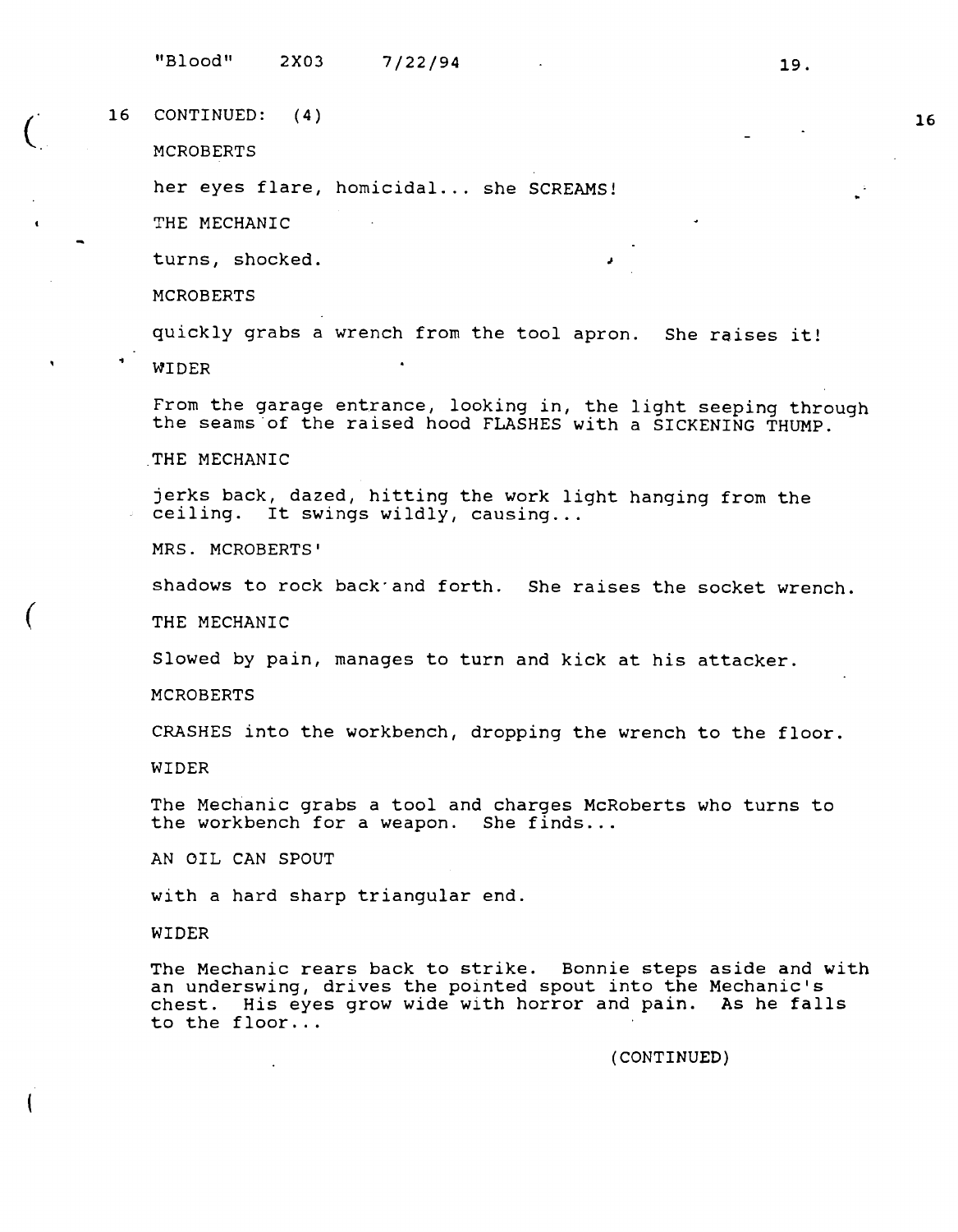7/22/94 19.

 $\begin{pmatrix} 16 \end{pmatrix}$ CONTINUED: ( 4)

MCROBERTS

her eyes flare, homicidal ... she SCREAMS!

THE MECHANIC

turns, shocked.

MCROBERTS

quickly grabs a wrench from the tool apron. She raises it!

**WIDER** 

From the garage entrance, looking in, the light seeping through the seams·of the raised hood FLASHES **with a SICKENING THUMP.** 

.,

THE MECHANIC

jerks back, dazed, hitting the work light hanging from the ceiling. It swings wildly, causing...

**MRS.** MCROBERTS'

shadows to rock back·and forth. She raises the socket wrench.

THE **MECHANIC** 

Slowed by pain, manages to turn and kick at his attacker.

MCROBERTS

CRASHES into the workbench, dropping the wrench to the floor.

**WIDER** 

(

The Mechanic grabs a tool and charges McRoberts who turns to the workbench for a weapon. She finds...

AN OIL CAN SPOUT

with a hard sharp triangular end.

**WIDER** 

The Mechanic rears back to strike. Bonnie steps aside and **with**  an underswing, drives the pointed spout into the Mechanic's chest. His eyes grow wide with horror and pain. As he falls to the floor ...

**(CONTINUED)**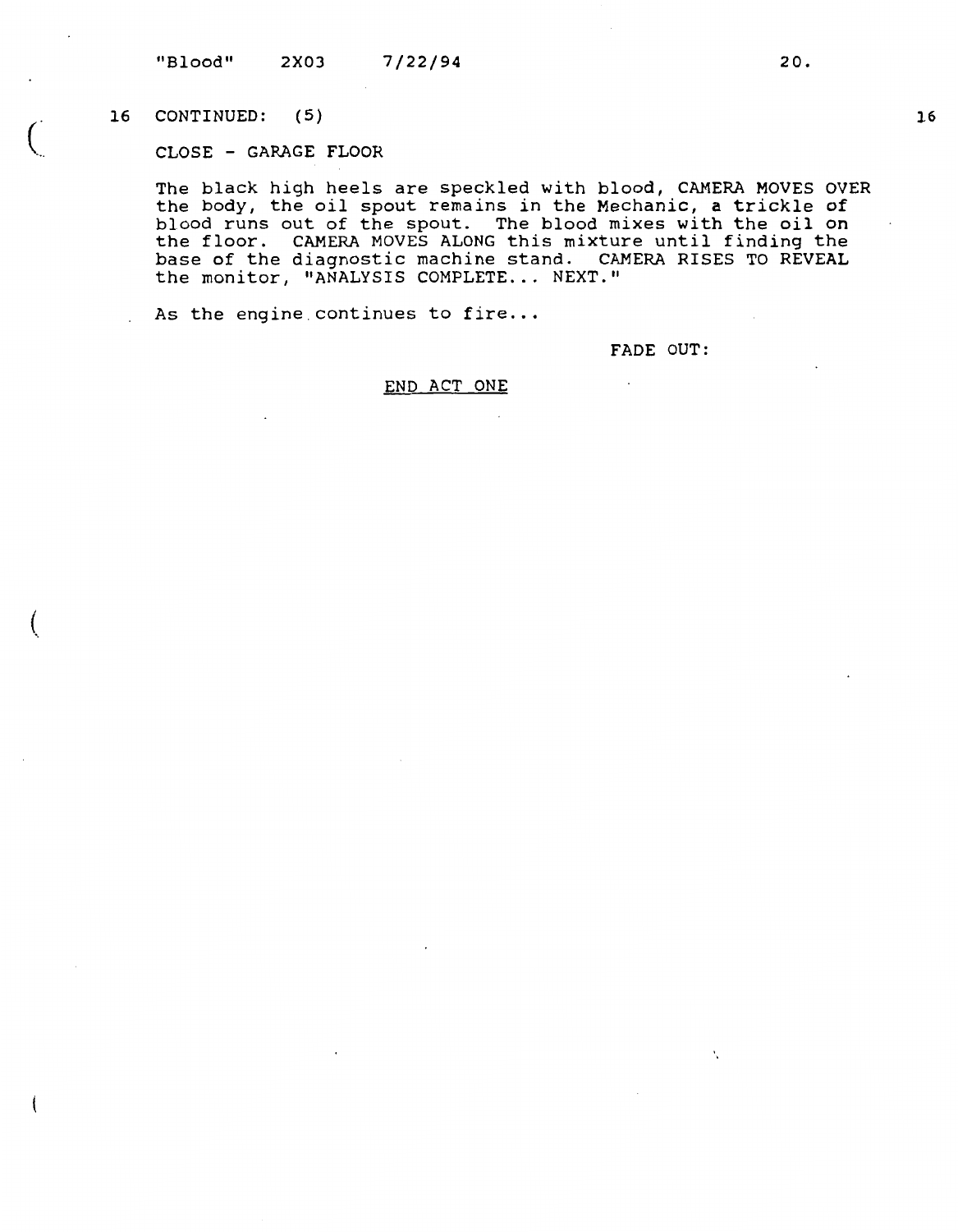$\begin{pmatrix} 1 & 1 \ 0 & 1 \end{pmatrix}$ CONTINUED: ( 5)

(

CLOSE - GARAGE FLOOR

The black high heels are speckled with blood, CAMERA MOVES OVER the body, the oil spout remains in the Mechanic, a trickle of blood runs out of the spout. The blood mixes with the oil on the floor. CAMERA MOVES ALONG this mixture until finding the base of the diagnostic machine stand. CAMERA RISES TO REVEAL the monitor, "ANALYSIS COMPLETE... NEXT."

As the engine continues to fire...

FADE OUT:

 $\mathbf{v}_i$ 

## END ACT ONE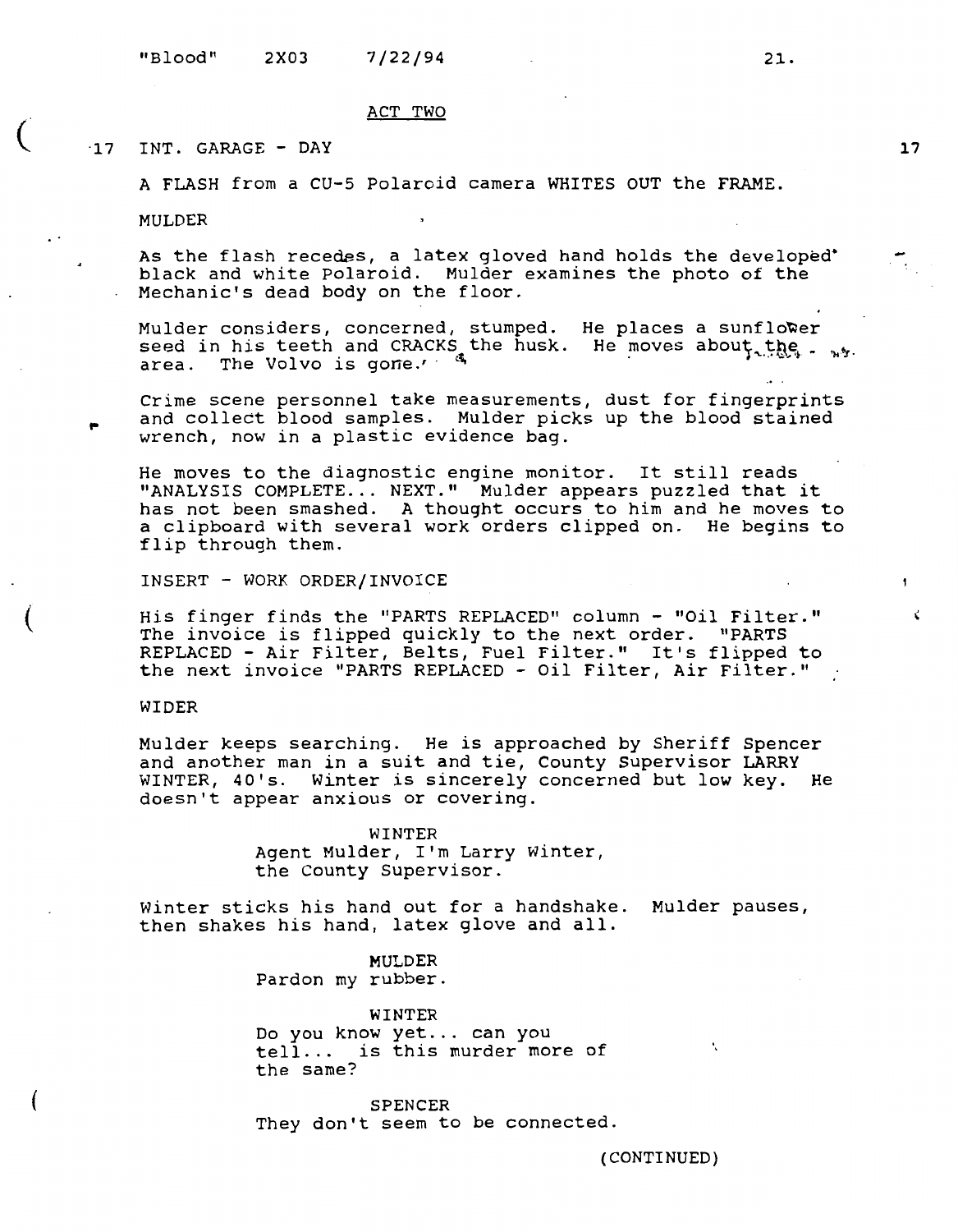#### ACT TWO

## ·17 INT. GARAGE - DAY

A FLASH from a CU-5 Polaroid camera WHITES OUT the **FRAME.** 

MULDER

 $\big($ 

(

..

(

As the flash recedes, a latex gloved hand holds the developed' black and white Polaroid. Mulder examines the photo of the Mechanic's dead body on the floor.

Mulder considers, concerned, stumped. seed in his teeth and CRACKS the husk. area. The Volvo is gone.'  $4$ He places a sunflo~er He moves about the . ...

Crime scene personnel take measurements, dust for fingerprints and collect blood samples. Mulder picks up the blood stained wrench, now in a plastic evidence bag.

He moves to the diagnostic engine monitor. It still reads "ANALYSIS COMPLETE... NEXT." Mulder appears puzzled that it has not been smashed. A thought occurs to him and he moves to a clipboard with several work orders clipped on. He begins to flip through them.

INSERT - WORK ORDER/INVOICE

His finger finds the "PARTS REPLACED" column - "Oil Filter." The invoice is flipped quickly to the next order. "PARTS REPLACED - Air Filter, Belts, Fuel Filter." It's flipped to the next invoice "PARTS REPLACED - Oil Filter, Air Filter."

## **WIDER**

Mulder keeps searching. He is approached by Sheriff Spencer and another man in a suit and tie, County Supervisor LARRY and another man in a sart and tre, county Bapervisor EARRY doesn't appear anxious or covering.

> WINTER Agent Mulder, I'm Larry Winter, the County Supervisor.

Winter sticks his hand out for a handshake. Mulder pauses, then shakes his hand, latex glove and all.

> **MULDER**  Pardon my rubber.

**WINTER**  Do you know yet ... can you tell ... *is* this murder more of the same?

SPENCER They don't seem to be connected.

A.

**17** 

 $\bullet$ 

 $\vec{v}$ 

(CONTINUED)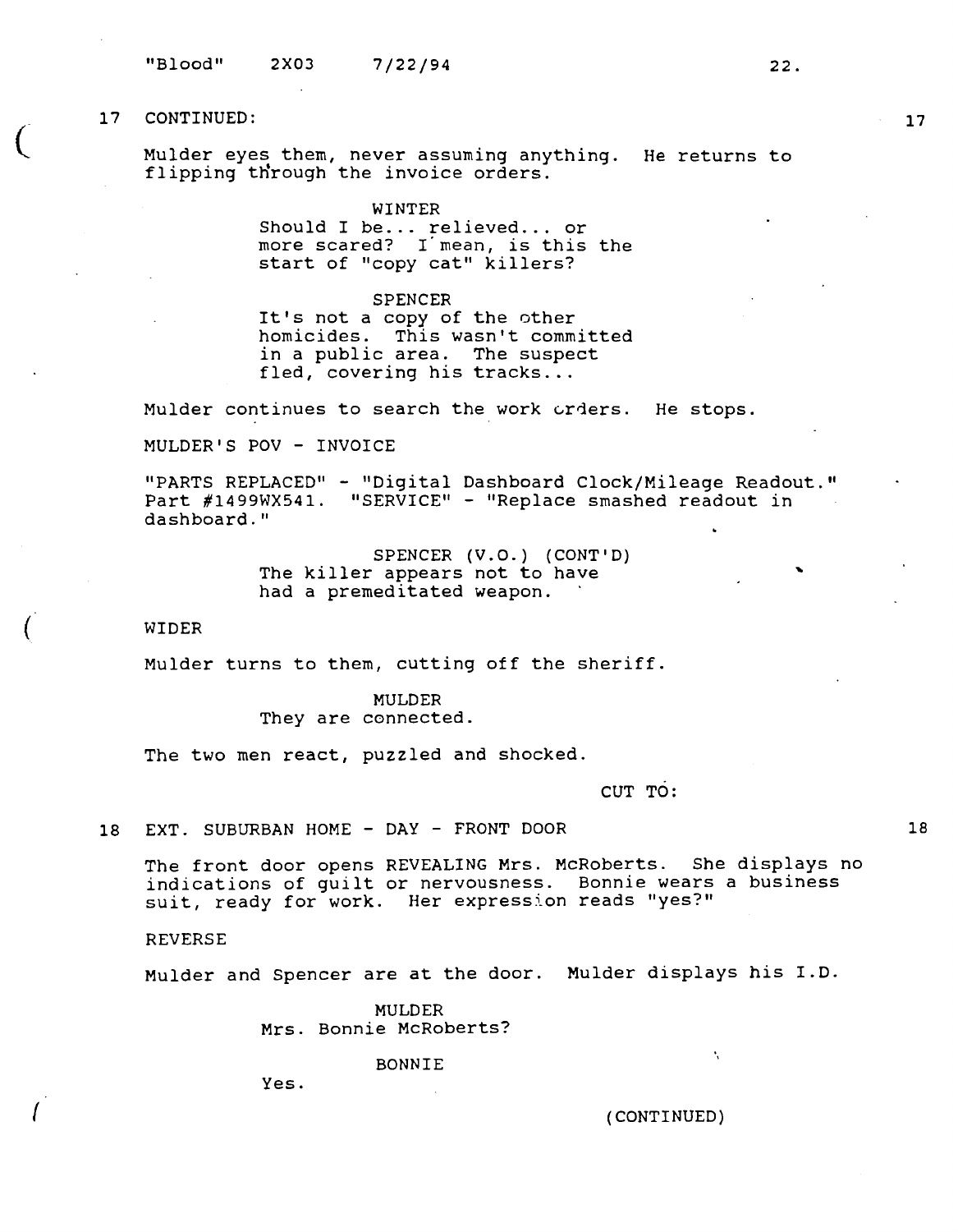$\big($ 

(

I

Mulder eyes them, never assuming anything. He returns to diaract cyco chem, hever abbanding any

## **WINTER**

Should I be... relieved... or more scared? I·mean, is this the start of "copy cat" killers?

#### SPENCER

It's not a copy of the other homicides. This wasn't committed in a public area. The suspect fled, covering his tracks...

Mulder continues to search the work orders. He stops.

MULDER'S POV - INVOICE

"PARTS REPLACED" - "Digital Dashboard Clock/Mileage Readout." Part #1499WX541. "SERVICE" - "Replace smashed readout in dashboard."

> SPENCER **(V.O.)** (CONT'D) The killer appears not to have had a premeditated weapon.

#### WIDER

Mulder turns to them, cutting off the sheriff.

MULDER They are connected.

The two men react, puzzled and shocked.

CUT TO:

18 EXT. SUBURBAN HOME - DAY - FRONT DOOR

The front door opens REVEALING Mrs. McRoberts. She displays no indications of guilt or nervousness. Bonnie wears a business suit, ready for work. Her expression reads "yes?"

#### REVERSE

Mulder and Spencer are at the door. Mulder displays his I.D.

MULDER Mrs. Bonnie McRoberts?

BONNIE

Yes.

(CONTINUED)

**17** 

...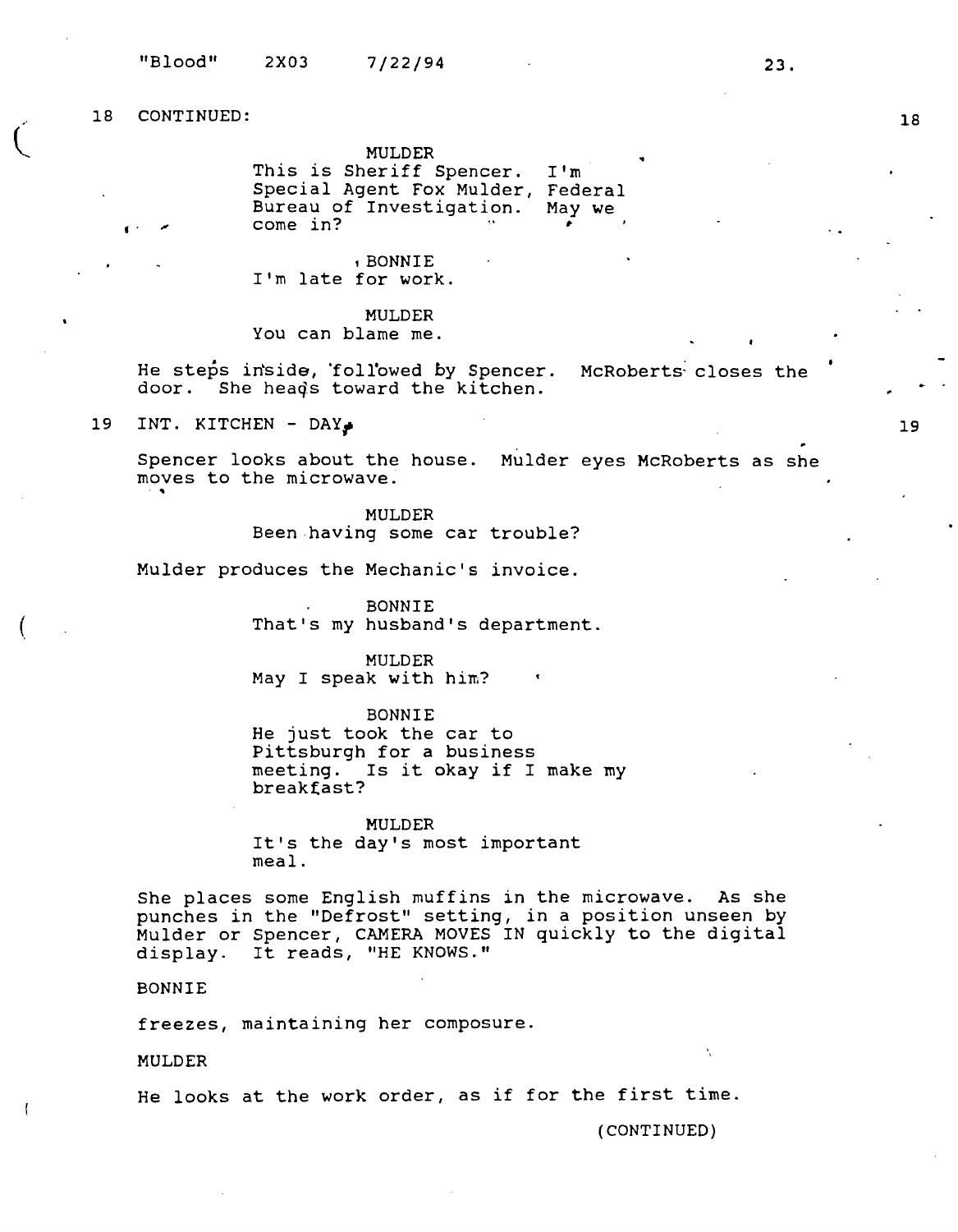..

 $\big($ 

 $\left($ 

MULDER This is Sheriff Spencer. Special Agent Fox Mulder, Federal Bureau of Investigation. May we come in? I'm **t-**..

, BONNIE I'm late for work.

MULDER You can blame me.

He steps in'side, 'foll'owed *by* Spencer. McRoberts- closes the door. She heads toward the kitchen.

19 INT. KITCHEN - DAY<sub>\*</sub>

Spencer looks about the house. Mulder eyes McRoberts as she moves to the microwave.

> MULDER Been having some car trouble?

Mulder produces the Mechanic's invoice.

BONNIE That's my husband's department.

MULDER May I speak with him?

BONNIE He just took the car to Pittsburgh for a business meeting. Is it okay if I make my breakfast?

MULDER It's the day's most important meal.

She places some English muffins in the microwave. As she punches in the "Defrost" setting, in a position unseen by punches in the Defrost Secting, in a position anseem by mulder or spencer, CAMERA MOVES<br>display. It reads, "HE KNOWS."

BONNIE

freezes, maintaining her composure.

MULDER

He looks at the work order, as if for the first time.

(CONTINUED)

19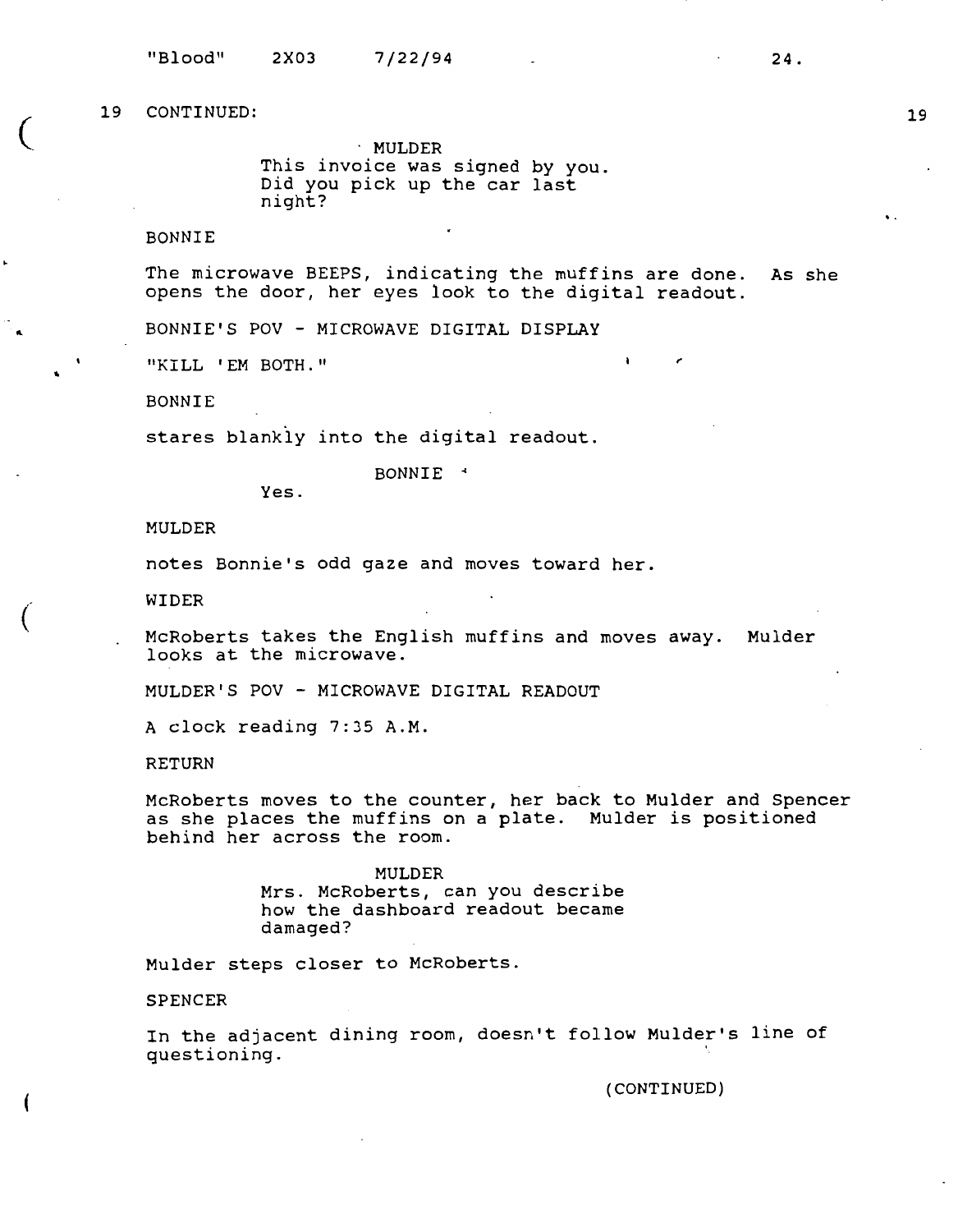$\overline{\zeta}$ 

"

 $\big($ 

· MULDER This invoice was signed by you. Did you pick up the car last night?

# BONNIE

The microwave BEEPS, indicating the muffins are done. As she opens the door, her eyes look to the digital readout.

 $\lambda$ 

BONNIE'S POV - MICROWAVE DIGITAL DISPLAY

"KILL 'EM BOTH."

BONNIE

stares blankly into the digital readout.

BONNIE \*

Yes.

### MULDER

notes Bonnie's odd gaze and moves toward her.

WIDER

McRoberts takes the English muffins and moves away. Mulder looks at the microwave.

MULDER'S POV - MICROWAVE DIGITAL READOUT

A clock reading 7:35 A.M.

RETURN

McRoberts moves to the counter, her back to Mulder and Spencer as she places the muffins on a plate. Mulder is positioned behind her across the room.

> **MULDER**  Mrs. McRoberts, can you describe how the dashboard readout became damaged?

Mulder steps closer to McRoberts .

SPENCER

In the adjacent dining room, doesn't follow Mulder's line of questioning.

(CONTINUED)

..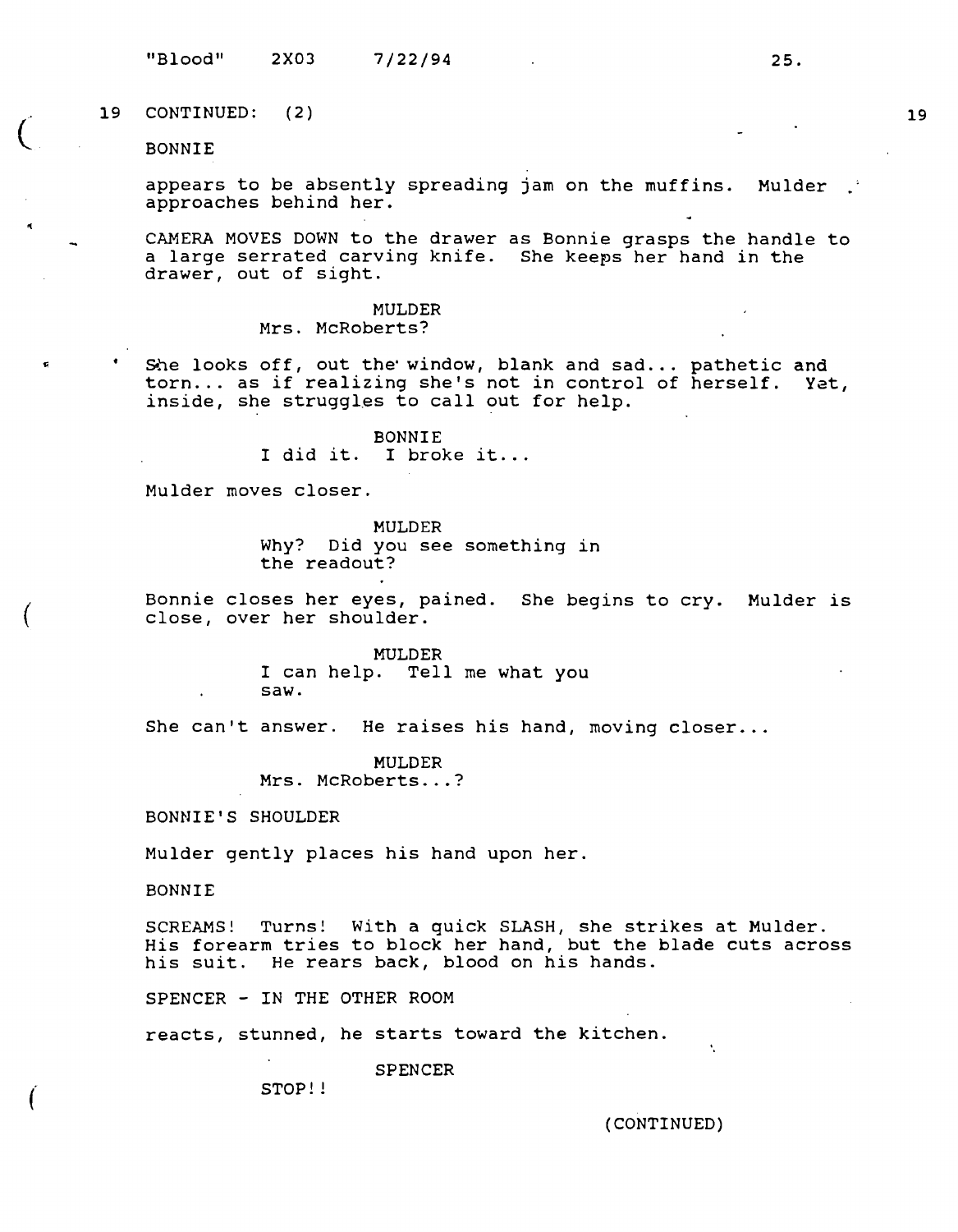"Blood" 2X03 7/22/94 **25.** 

19 CONTINUED: ( 2)

BONNIE

 $\overline{C}$ 

(

appears to be absently spreading jam on the muffins. Mulder approaches behind her.

CAMERA MOVES DOWN to the drawer as Bonnie grasps the handle to a large serrated carving knife. She keeps her hand in the drawer, out of sight.

> MULDER Mrs. McRoberts?

She looks off, out the window, blank and sad... pathetic and torn... as if realizing she's not in control of herself. Yet, inside, she struggles to call out for help.

> BONNIE I did it. I broke it...

Mulder moves closer.

MULDER Why? Did you see something in the readout?

Bonnie closes her eyes, pained. She begins to cry. Mulder is close, over her shoulder.

> MULDER I can help. Tell me what you saw.

She can't answer. He raises his hand, moving closer...

MULDER Mrs. McRoberts...?

BONNIE'S SHOULDER

Mulder gently places his hand upon her.

BONNIE

SCREAMS! Turns! With a quick SLASH, she strikes at Mulder. His forearm tries to block her hand, but the blade cuts across his suit. He rears back, blood on his hands.

SPENCER - IN THE OTHER ROOM

reacts, stunned, he starts toward the kitchen.

SPENCER

STOP!!

(CONTINUED)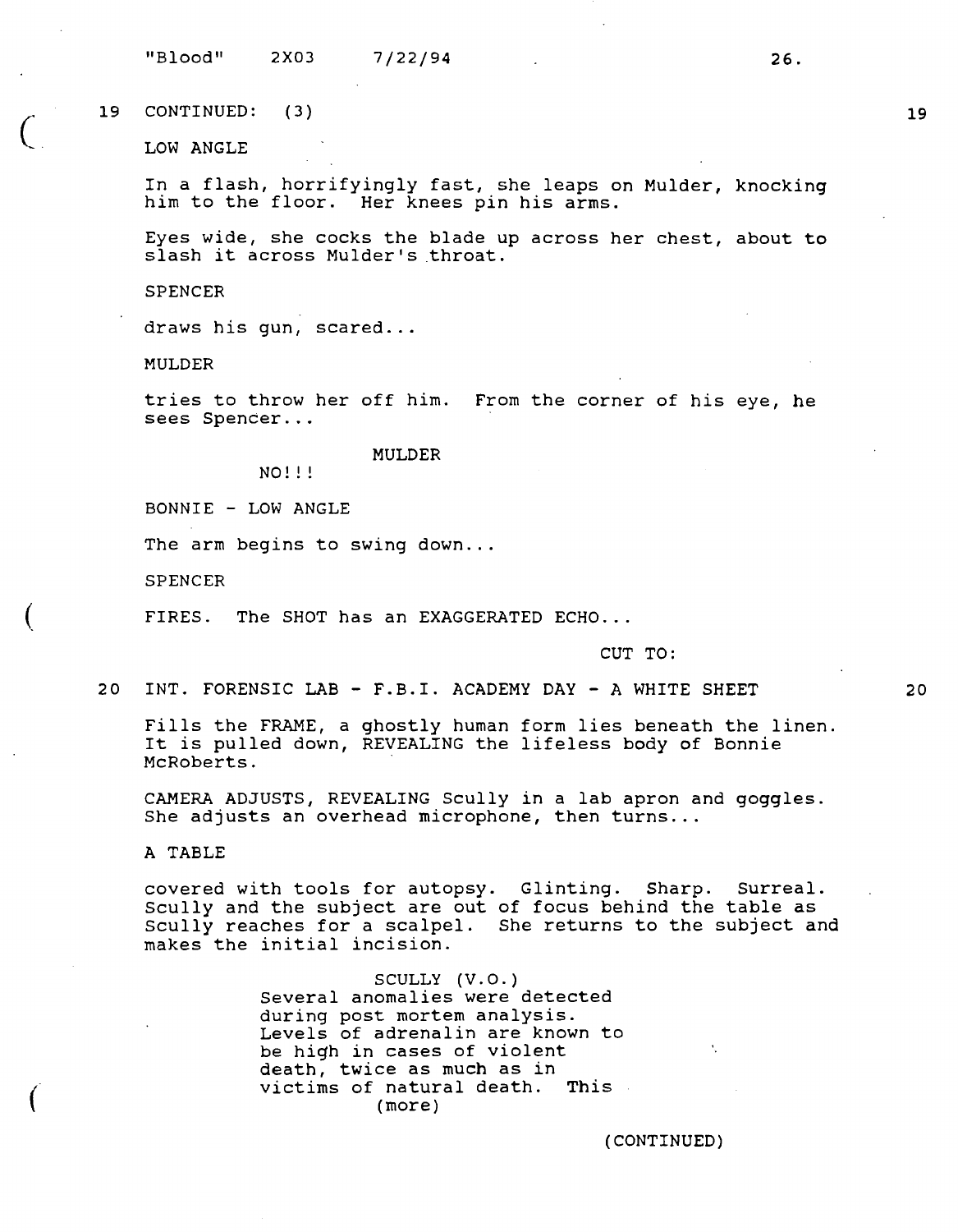"Blood" 2X03 7/22/94 26.

19 CONTINUED: ( 3)

LOW ANGLE

In a flash, horrifyingly fast, she leaps on Mulder, knocking him to the floor. Her knees pin his arms.

Eyes wide, she cocks the blade up across her chest, about **to**  slash it across Mulder's throat.

**SPENCER** 

draws his gun, scared...

**MULDER** 

tries to throw her off him. From the corner of his eye, he sees Spencer...

#### MULDER

NO!!!

BONNIE - LOW ANGLE

The arm begins to swing down...

SPENCER

(

FIRES. The SHOT has an EXAGGERATED ECHO...

CUT TO:

20 INT. FORENSIC LAB - F.B.I. ACADEMY DAY - A WHITE SHEET

Fills the FRAME, a ghostly human form lies beneath the linen. It is pulled down, REVEALING the lifeless body of Bonnie McRoberts.

CAMERA ADJUSTS, REVEALING Scully in a lab apron and goggles. She adjusts an overhead microphone, then turns...

A TABLE

covered with tools for autopsy. Glinting. Sharp. Surreal. Scully and the subject are out of focus behind the table as Scully reaches for a scalpel. She returns to the subject and makes the initial incision.

> SCULLY (V.O.) Several anomalies were detected during post mortem analysis. Levels of adrenalin are known to be high in cases of violent death, twice as much as in victims of natural death. This (more)

> > (CONTINUED)

20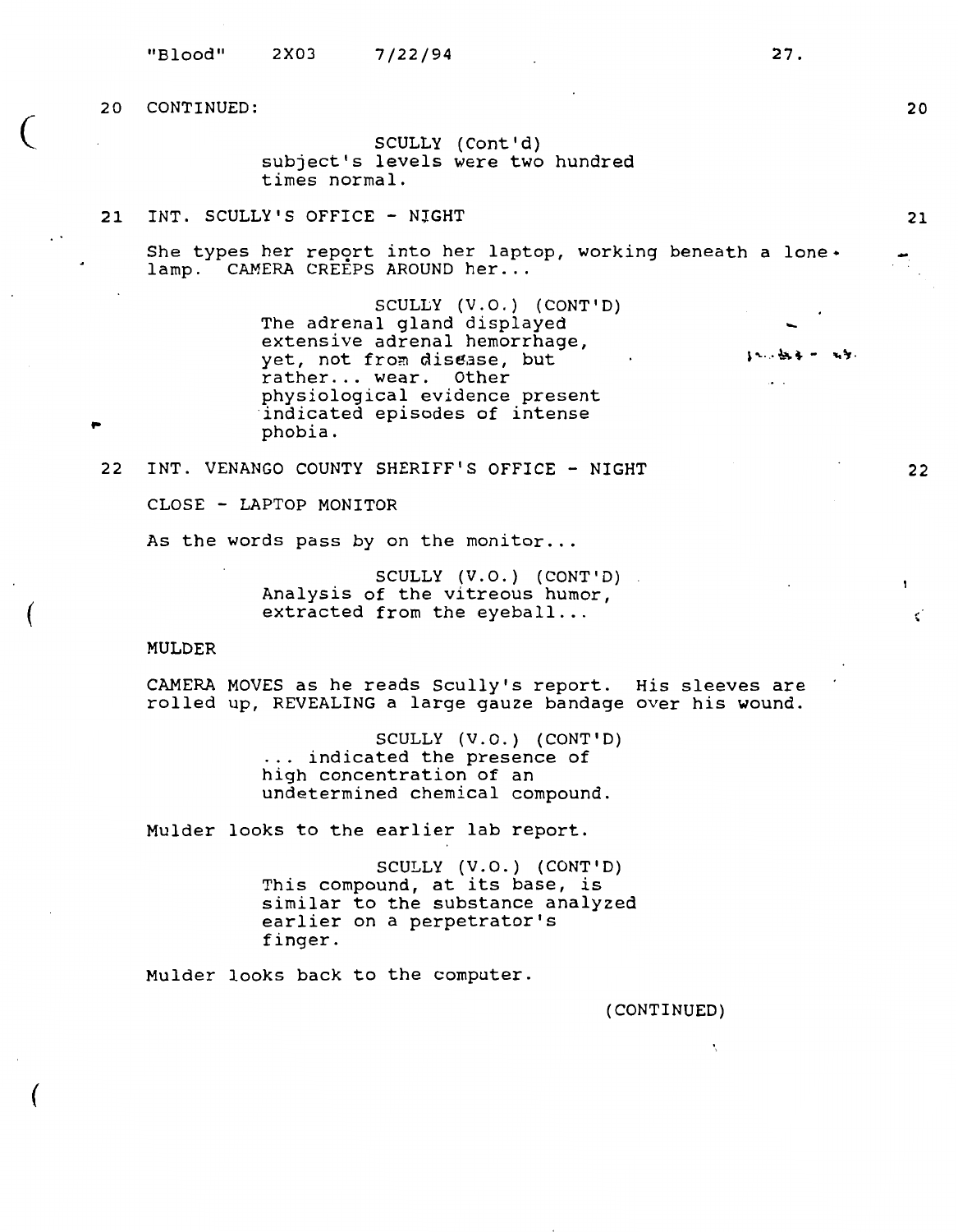$\overline{\zeta}$ 

(

..

(

SCULLY (Cont'd) subject's levels were two hundred times normal.

# 21 INT. SCULLY'S OFFICE - NIGHT

She types her report into her laptop, working beneath a lone $\cdot$ lamp. CAMERA CREEPS AROUND her...

> SCULLY (V.O.) (CONT'D) The adrenal gland displayed extensive adrenal hemorrhage, yet, not from disease, but rather... wear. Other physiological evidence present<br>indicated episodes of intense phobia.

22 INT. VENANGO COUNTY SHERIFF'S OFFICE - NIGHT

CLOSE - LAPTOP MONITOR

As the words pass by on the monitor...

SCULLY (V.O.) (CONT'D) Analysis of the vitreous humor, extracted from the eyeball...

#### MULDER

CAMERA MOVES as he reads Scully's report. His sleeves are rolled up, REVEALING a large gauze bandage over his wound.

> SCULLY (V.O.) (CONT'D) ... indicated the presence of high concentration of an undetermined chemical compound.

Mulder looks to the earlier lab report.

SCULLY (V.O.) (CONT'D) This compound, at its base, is similar to the substance analyzed earlier on a perpetrator's finger.

Mulder looks back to the computer.

(CONTINUED)

Ņ

-

 $\ddot{\phantom{0}}$ 

20

21

 $\mathbf{r}$ 

¢.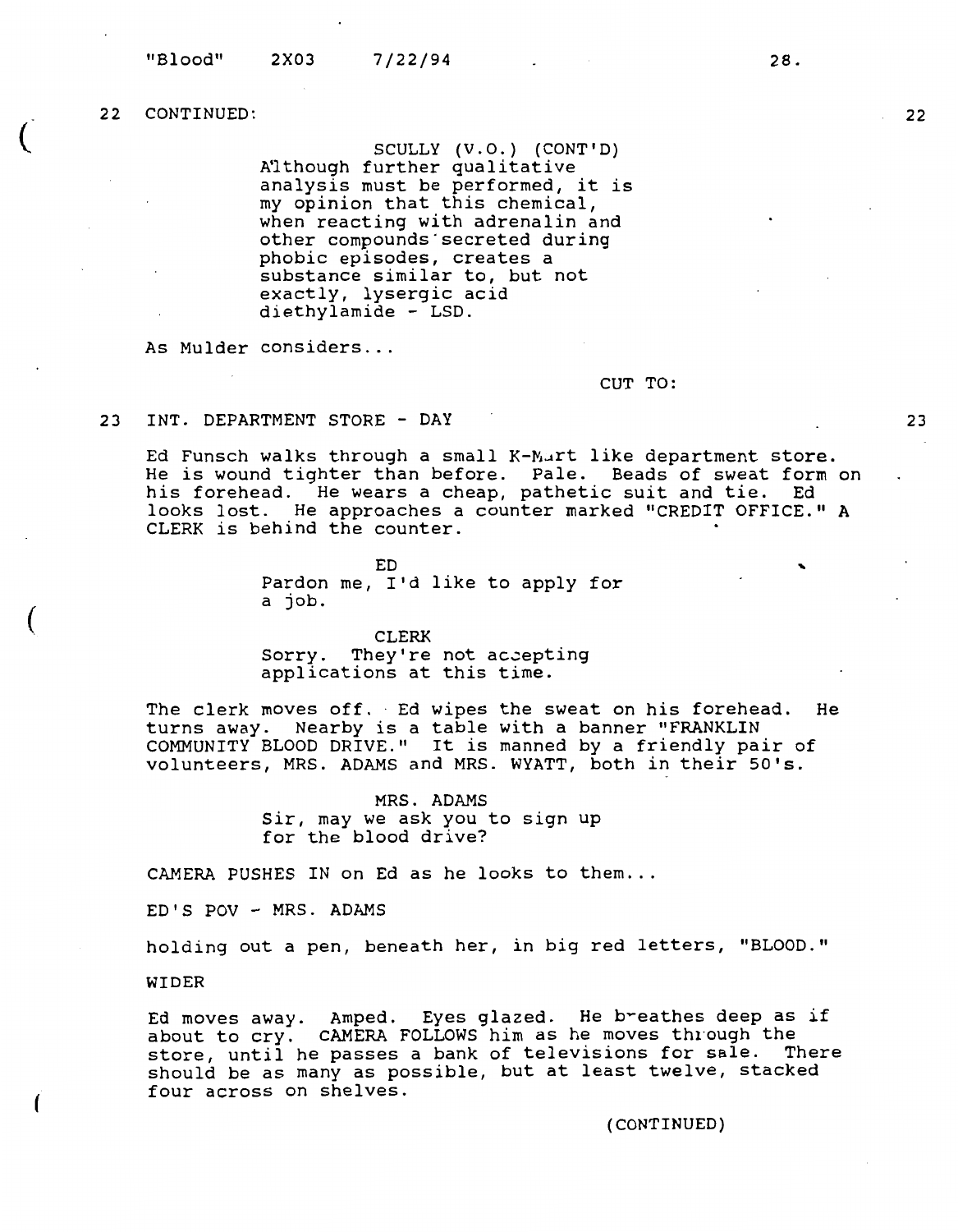$\overline{C}$ 

(

(

**SCULLY (V.O.) (CONT'D)**  A'l though further qualitative analysis must be performed, it is my opinion that this chemical, when reacting with adrenalin and other compounds·secreted during phobic episodes, creates a substance similar to, but not exactly, lysergic acid diethylamide - LSD.

As Mulder considers ...

CUT TO:

23 INT. DEPARTMENT STORE - DAY

Ed Funsch walks through a small K-Mart like department store. La runsen waiks enrough a small k hard like department store.<br>He is wound tighter than before. Pale. Beads of sweat form on his forehead. He wears a cheap, pathetic suit and tie. Ed looks lost. He approaches a counter marked "CREDIT OFFICE." **<sup>A</sup>** CLERK is behind the counter.

> ED Pardon me, I'd like to apply for a job.

CLERK Sorry. They're not accepting applications at this time.

The clerk moves off. Ed wipes the sweat on his forehead. He turns away. Nearby is a table with a banner "FRANKLIN COMMUNITY BLOOD DRIVE." It is manned by a friendly pair of volunteers, MRS. ADAMS and MRS. WYATT, both in their 50's.

> MRS. ADAMS Sir, may we ask you to sign up for the blood drive?

CAMERA PUSHES IN on Ed as he looks to them...

ED'S POV - MRS. ADAMS

holding out a pen, beneath her, in big red letters, "BLOOD."

WIDER

Ed moves away. Amped. Eyes glazed. He breathes deep as if about to cry. CAMERA FOLLOWS him as he moves through the store, until he passes a bank of televisions for sale. There should be as many as possible, but at least twelve, stacked four across on shelves.

(CONTINUED)

**22** 

28.

..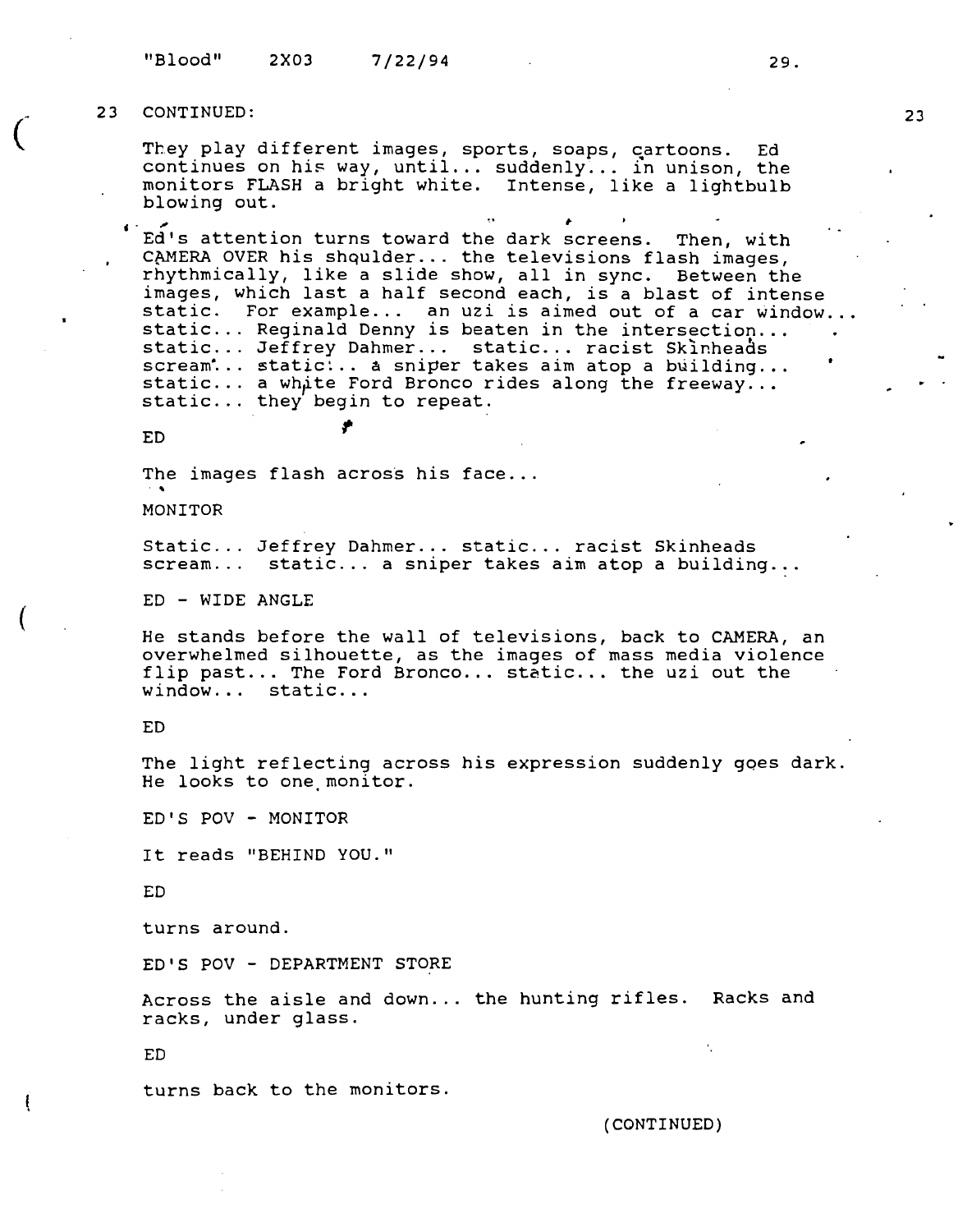"Blood" **2X03 7/22/94 29.** 

### **23 CONTINUED:**

*(* 

(

They play different images, sports, soaps, cartoons. Ed continues on his way, until... suddenly... in unison, the monitors FLASH a bright white. Intense, like a lightbulb blowing out.

Ed's attention turns toward the dark screens. Then, with CAMERA OVER his shqulder... the televisions flash images, rhythmically, like a slide show, all in sync. Between the images, which last a half second each, is a blast of intense static. For example... an uzi is aimed out of a car window...<br>static ... Reginald Denny is beaten in the intersection... .<br>static ... Jeffrey Dahmer ... static ... racist Skinheads scream<sup>\*</sup>... static<sup>1</sup>... a sniper takes aim atop a building...<br>static ... a white Ford Bronco rides along the freeway ...<br>static ... they begin to repeat.

ED  $\qquad \qquad \bullet$ 

The images flash across his face...

MONITOR

Static... Jeffrey Dahmer... static... racist Skinheads<br>scream... static... a sniper takes aim atop a buildin static... a sniper takes aim atop a building...

ED - WIDE ANGLE

He stands before the wall of televisions, back to CAMERA, an overwhelmed silhouette, as the images of mass media violence flip past... The Ford Bronco... static... the uzi out the window... static...

ED

The light reflecting across his expression suddenly goes dark. He looks to one monitor.

ED'S POV - MONITOR

It reads "BEHIND YOU."

ED

turns around.

ED'S POV - DEPARTMENT STORE

Across the aisle and down ... the hunting rifles. Racks and racks, under glass.

ED

turns back to the monitors.

(CONTINUED)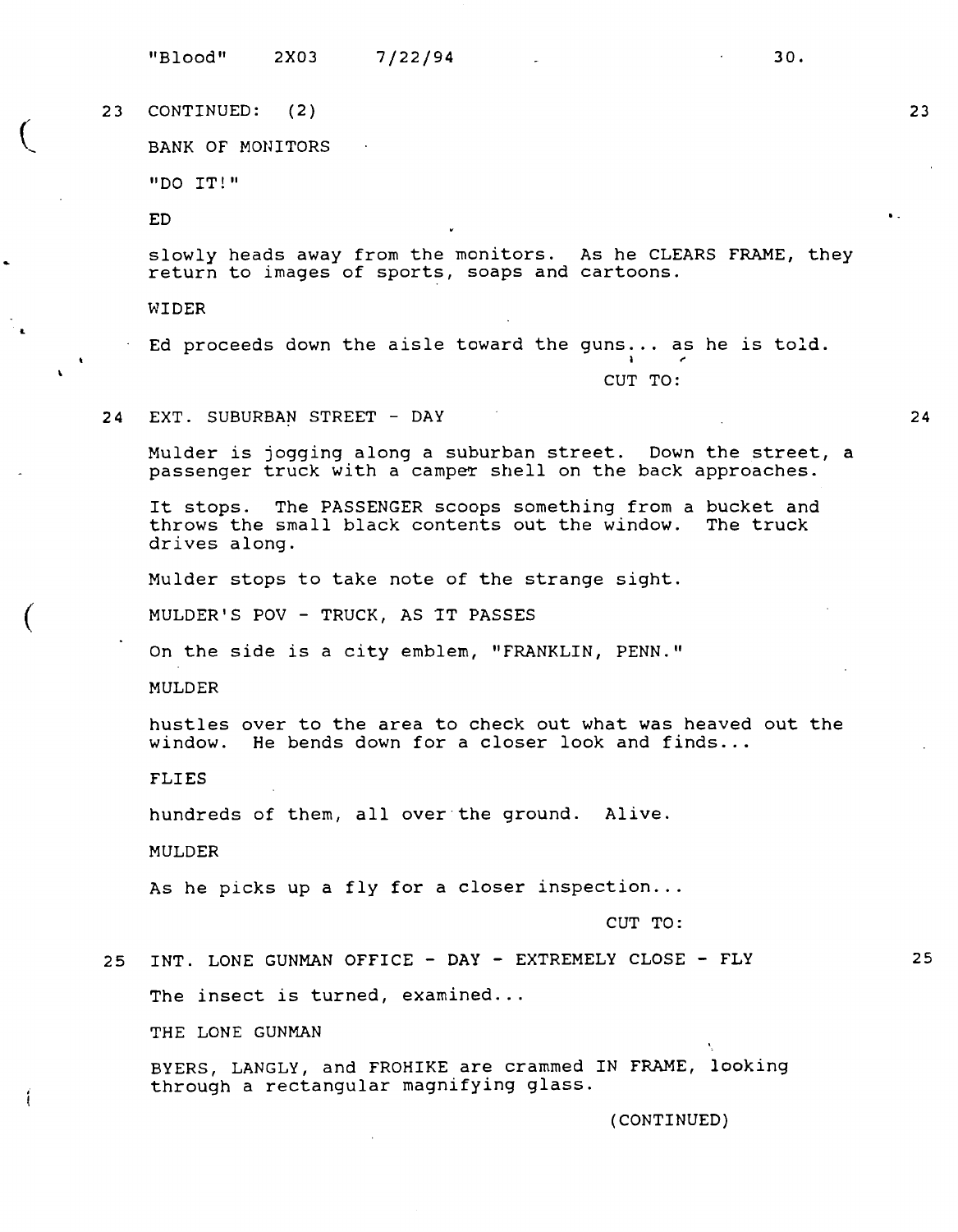"Blood" 2X03 7/22/94 30.

23 CONTINUED: ( 2)

BANK OF MONITORS

"DO IT!"

ED

 $\overline{ }$ 

L

 $\overline{(\ }$ 

slowly heads away from the monitors. As he CLEARS FRAME, they return to images of sports, soaps and cartoons.

WIDER

Ed proceeds down the aisle toward the guns... as he is told.

CUT TO:

24 EXT. SUBURBAN STREET - DAY

Mulder is jogging along a suburban street. Down the street, a passenger truck with a camper shell on the back approaches.

It stops. The PASSENGER scoops something from a bucket and throws the small black contents out the window. The truck drives along.

Mulder stops to take note of the strange sight.

MULDER'S POV - TRUCK, AS 1T PASSES

On the side is a city emblem, "FRANKLIN, PENN."

MULDER

hustles over to the area to check out what was heaved out the window. He bends down for a closer look and finds...

**FLIES** 

hundreds of them, all over·the ground. Alive.

MULDER

As he picks up a fly for a closer inspection...

**CUT TO:** 

25 INT. LONE GUNMAN OFFICE - DAY - EXTREMELY CLOSE - FLY

The insect is turned, examined...

THE LONE GUNMAN

BYERS, LANGLY, and FROHIKE are crammed IN FRAME, looking through a rectangular magnifying glass.

(CONTINUED)

**24** 

25

..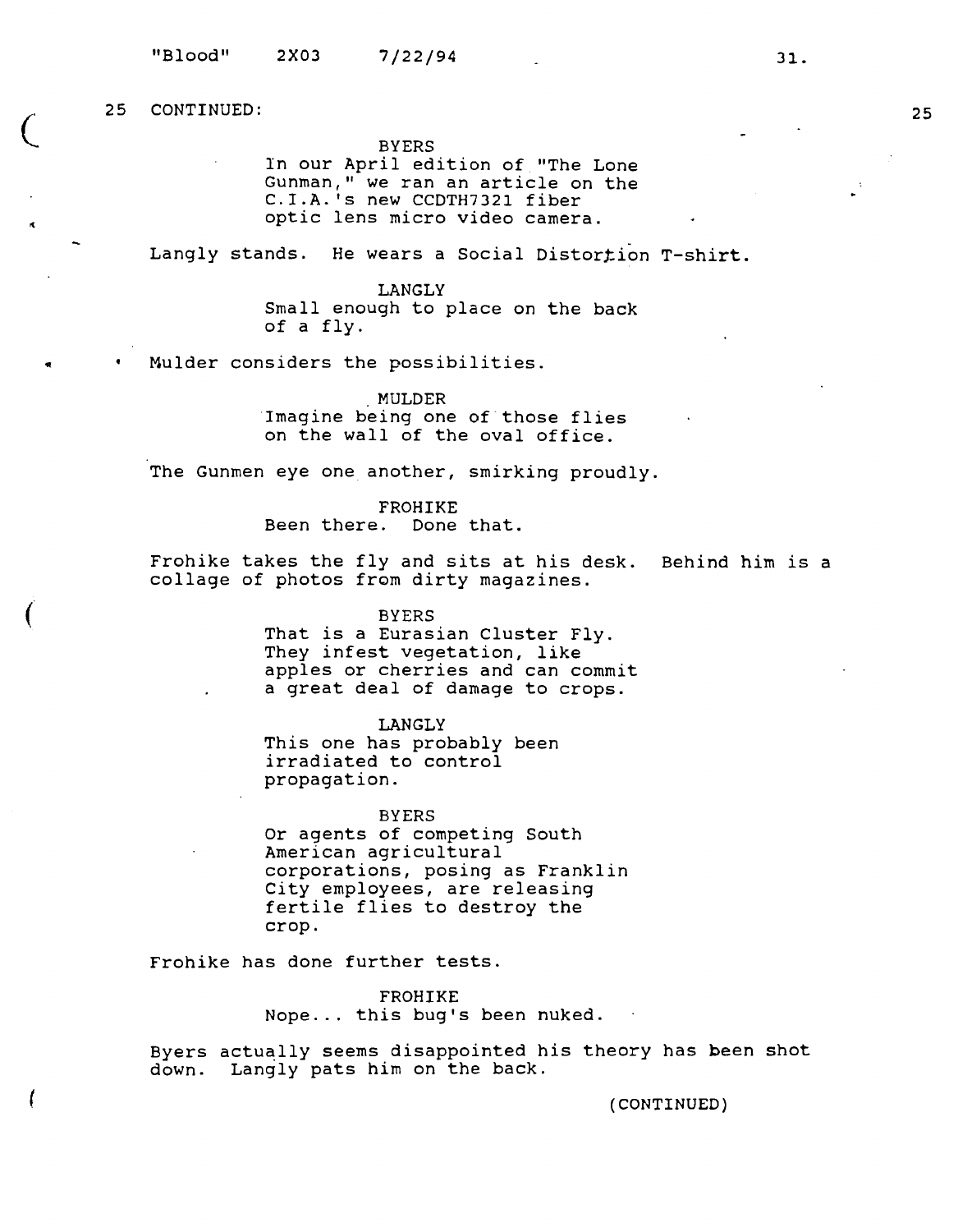$\overline{\mathcal{C}}$ 

..

(

**BYERS** 

ln our April edition of "The Lone Gunman," we ran an article on the C.I.A. 's new CCDTH7321 fiber optic lens micro video camera.

Langly stands. He wears a Social Distortion T-shirt.

LANGLY Small enough to place on the back of a fly.

Mulder considers the possibilities .

. **MULDER**  Imagine being one of those flies on the wall of the oval office.

The Gunmen eye one another, smirking proudly.

**FROHIKE**  Been there. Done that.

Frohike takes the fly and sits at his desk. Behind him is a collage of photos from dirty magazines.

> BYERS That is a Eurasian Cluster Fly. They infest vegetation, like apples or cherries and can commit a great deal of damage to crops.

**LANGLY**  This one has probably been irradiated to control propagation.

**BYERS**  Or agents of competing South American agricultural corporations, posing as Franklin City employees, are releasing fertile flies to destroy the crop.

Frohike has done further tests.

**FROHIKE**  Nope ... this bug's been nuked.

Byers actually seems disappointed his theory has been shot down. Langly pats him on the back.

**(CONTINUED)**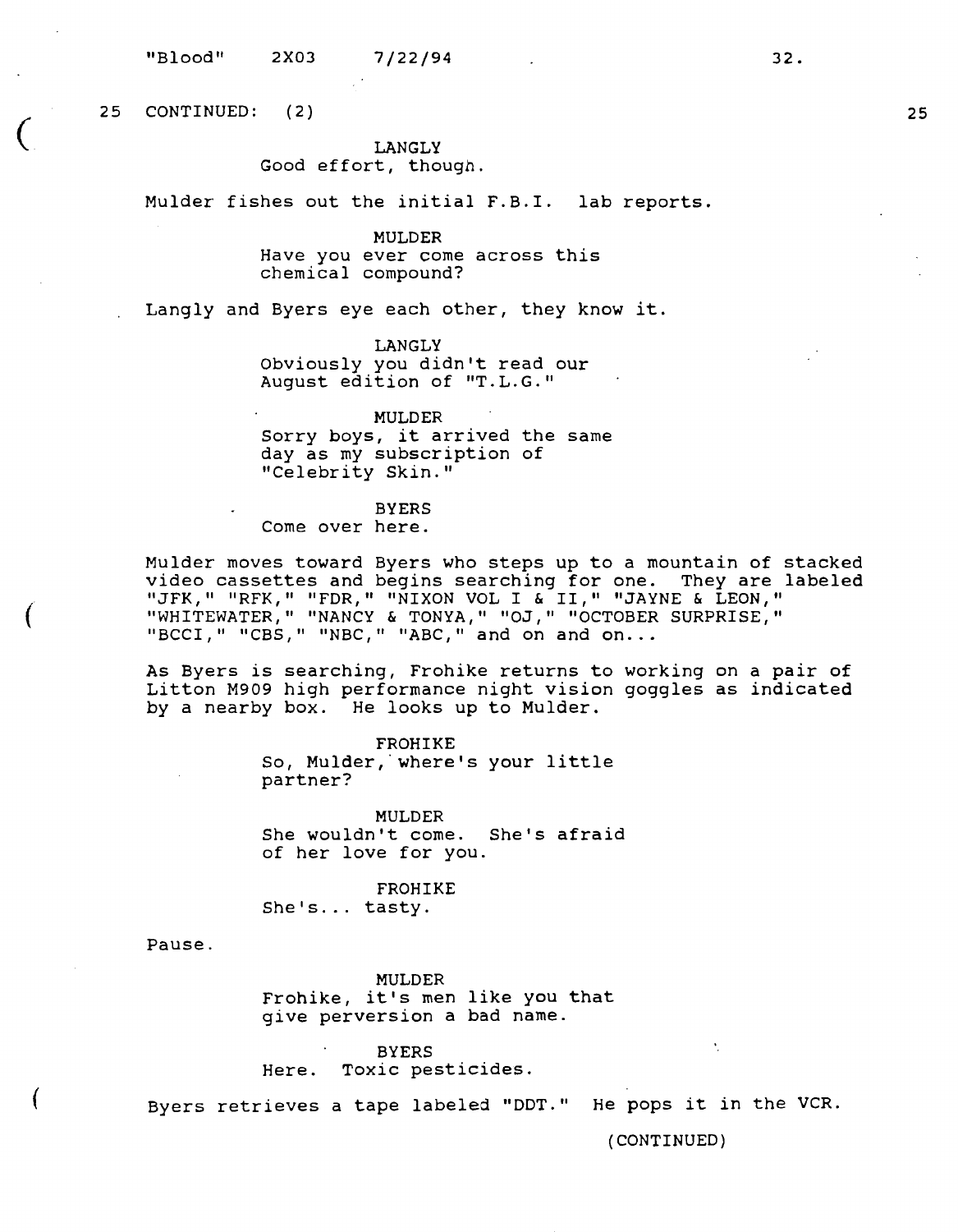"Blood" 2X03 7/22/94

25 CONTINUED: ( 2)

 $\overline{(\ }$ 

(

(

# **LANGLY**

# Good effort, though.

Mulder fishes out the initial F.B.I. lab reports.

## **MULDER**  Have you ever come across this chemical compound?

Langly and Byers eye each other, they know it.

LANGLY Obviously you didn't read our August edition of "T.L.G."

**MULDER**  Sorry boys, it arrived the same day as my subscription of "Celebrity Skin."

#### BYERS

Come over here.

Mulder moves toward Byers who steps up to a mountain of stacked video cassettes and begins searching for one. They are labeled "JFK," "RFK," "FDR," "NIXON VOL I & II," "JAYNE & LEON," "WHITEWATER," "NANCY & TONYA," "OJ," "OCTOBER SURPRISE,"<br>"BCCI," "CBS," "NBC," "ABC," and on and on...

As Byers is searching, Frohike returns to working on a pair of Litton M909 high performance night vision goggles as indicated by a nearby box. He looks up to Mulder.

> **FROHIKE**  So, Mulder, where's your little partner?

**MULDER**  She wouldn't come. She's afraid of her love for you.

FROHIKE She's ... tasty.

Pause.

MULDER Frohike, it's men like you that give perversion a bad name.

BYERS Here. Toxic pesticides.

Byers retrieves a tape labeled "DDT." He pops it in the VCR.

(CONTINUED)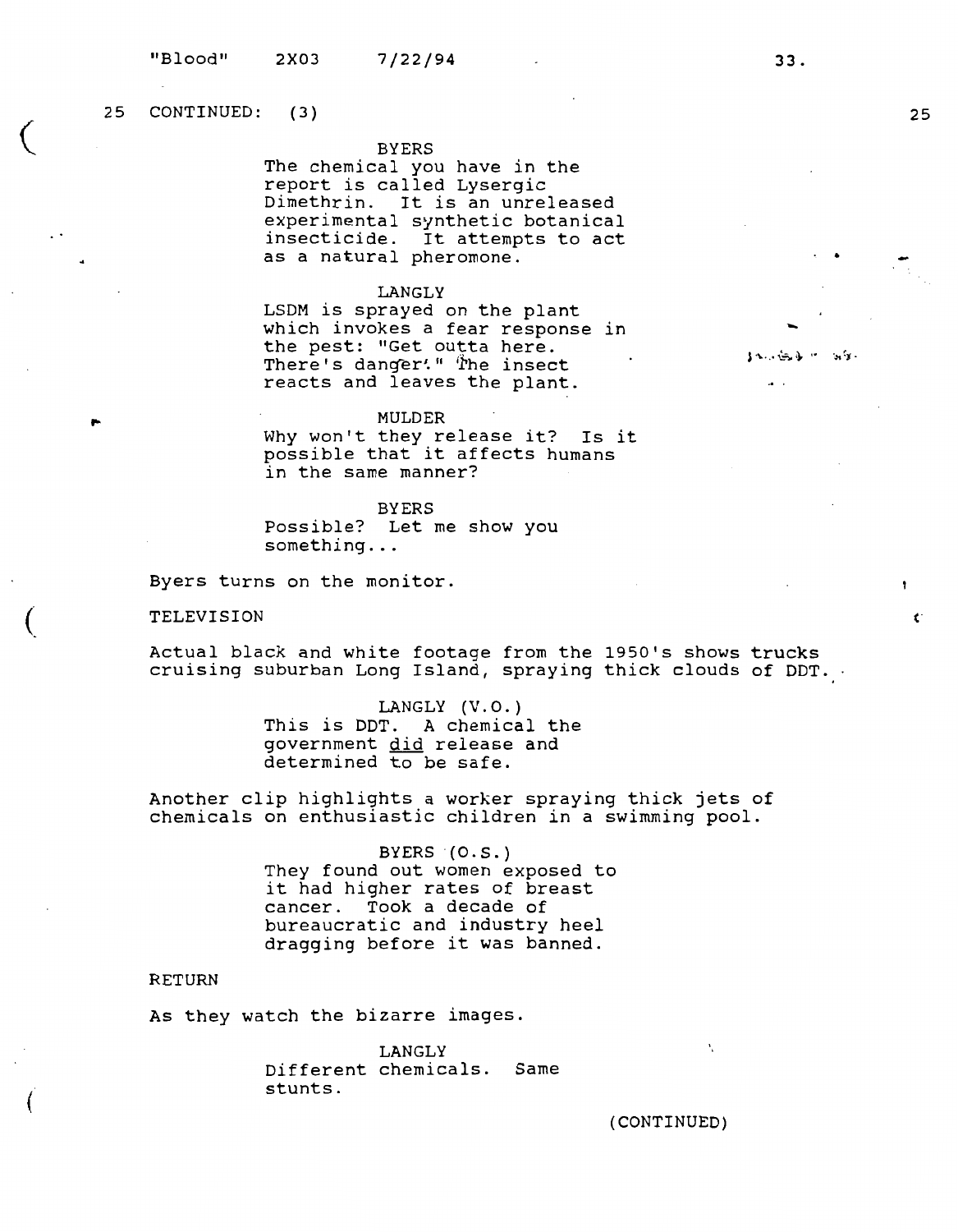25 CONTINUED: (3)

 $\big($ 

 $\overline{(\ }$ 

(

### BYERS

The chemical you have in the report is called Lysergic Dimethrin. It is an unreleased experimental synthetic botanical insecticide. It attempts to act as a natural pheromone.

#### **LANGLY**

LSDM is sprayed on the plant which invokes a fear response in the pest: "Get outta here. There's danger'." The insect reacts and leaves the plant.

#### MULDER

Why won't they release it? Is it wny won't they release it? IS .<br>possible that it affects humans in the same manner?

#### BYERS

Possible? Let me show you something ...

Byers turns on the monitor.

TELEVISION

Actual black and white footage from the 1950's shows trucks cruising suburban Long Island, spraying thick clouds of DDT.

> LANGLY  $(V.O.)$ This is DDT. A chemical the government did release and determined to be safe.

Another clip highlights a worker spraying thick jets of chemicals on enthusiastic children in a swimming pool.

> BYERS (O.S.) They found out women exposed to it had higher rates of breast cancer. Took a decade of bureaucratic and industry heel dragging before it was banned.

# RETURN

As they watch the bizarre images.

LANGLY Different chemicals. Same stunts.

{CONTINUED)

N

ť

**33.** 

. .

-

 $\overline{a}$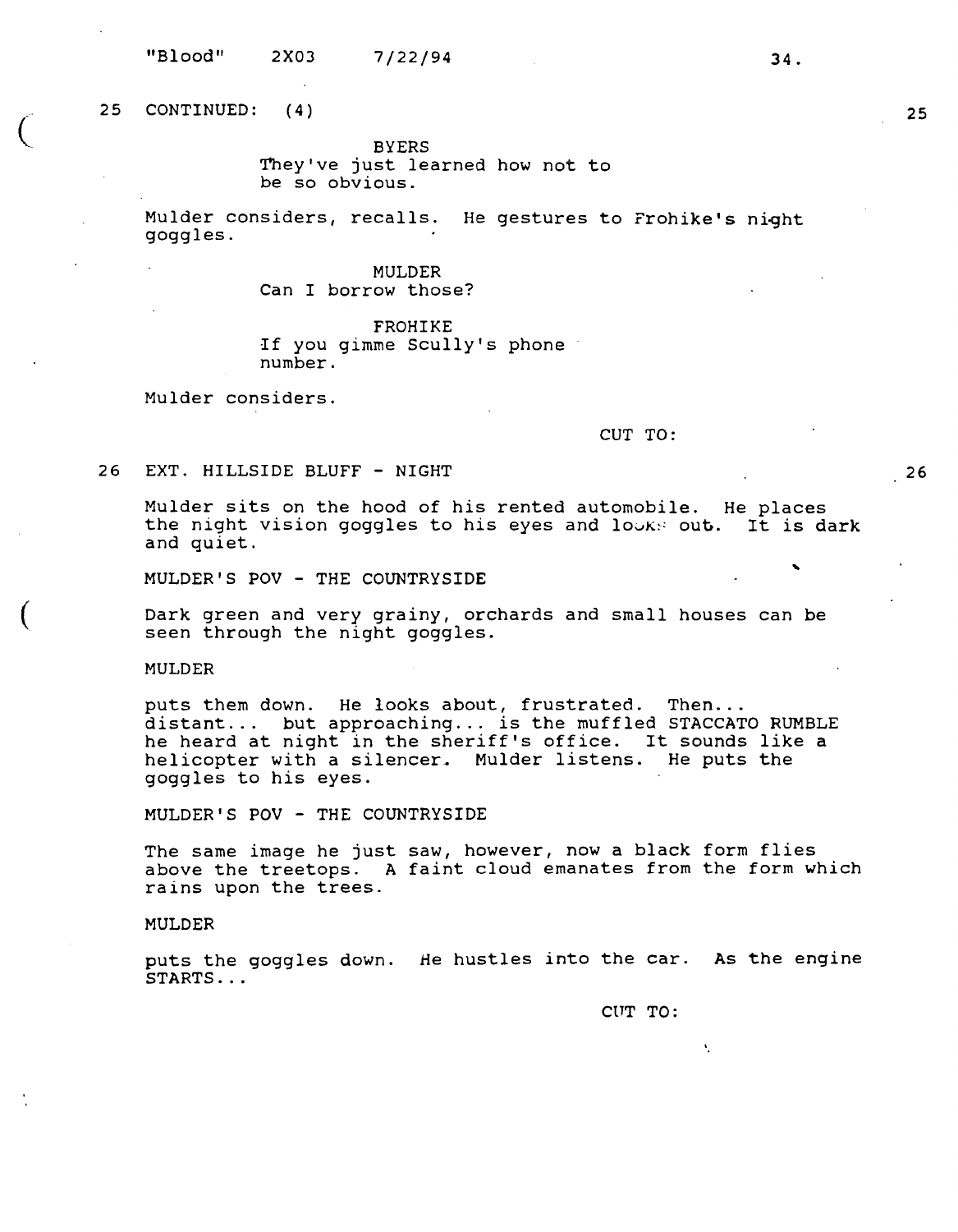"Blood" 2X03 7/22/94

 $\begin{pmatrix} 1 & 1 \\ 1 & 1 \end{pmatrix}$ 

 $\overline{(\ }$ 

BYERS They've just learned how not to be so obvious.

Mulder considers, recalls. He gestures to Frohike's night goggles.

# MULDER Can I borrow those?

FROHIKE If you gimme Scully's phone number.

Mulder considers.

CUT TO:

26 EXT. HILLSIDE BLUFF - NIGHT

Mulder sits on the hood of his rented automobile. He places the night vision goggles to his eyes and looks out. It is dark and quiet.

MULDER'S POV - THE COUNTRYSIDE

Dark green and very grainy, orchards and small houses can be seen through the night goggles.

MULDER

puts them down. He looks about, frustrated. Then...<br>distant... but approaching... is the muffled STACCATO RUMBLE he heard at night in the sheriff's office. It sounds like a helicopter with a silencer. Mulder listens. He puts the goggles to his eyes.

MULDER'S POV - THE COUNTRYSIDE

The same image he just saw, however, now a black form flies above the treetops. A faint cloud emanates from the form which rains upon the trees.

#### MULDER

puts the goggles down. *He* hustles into the car. As the engine STARTS ...

CUT TO:

V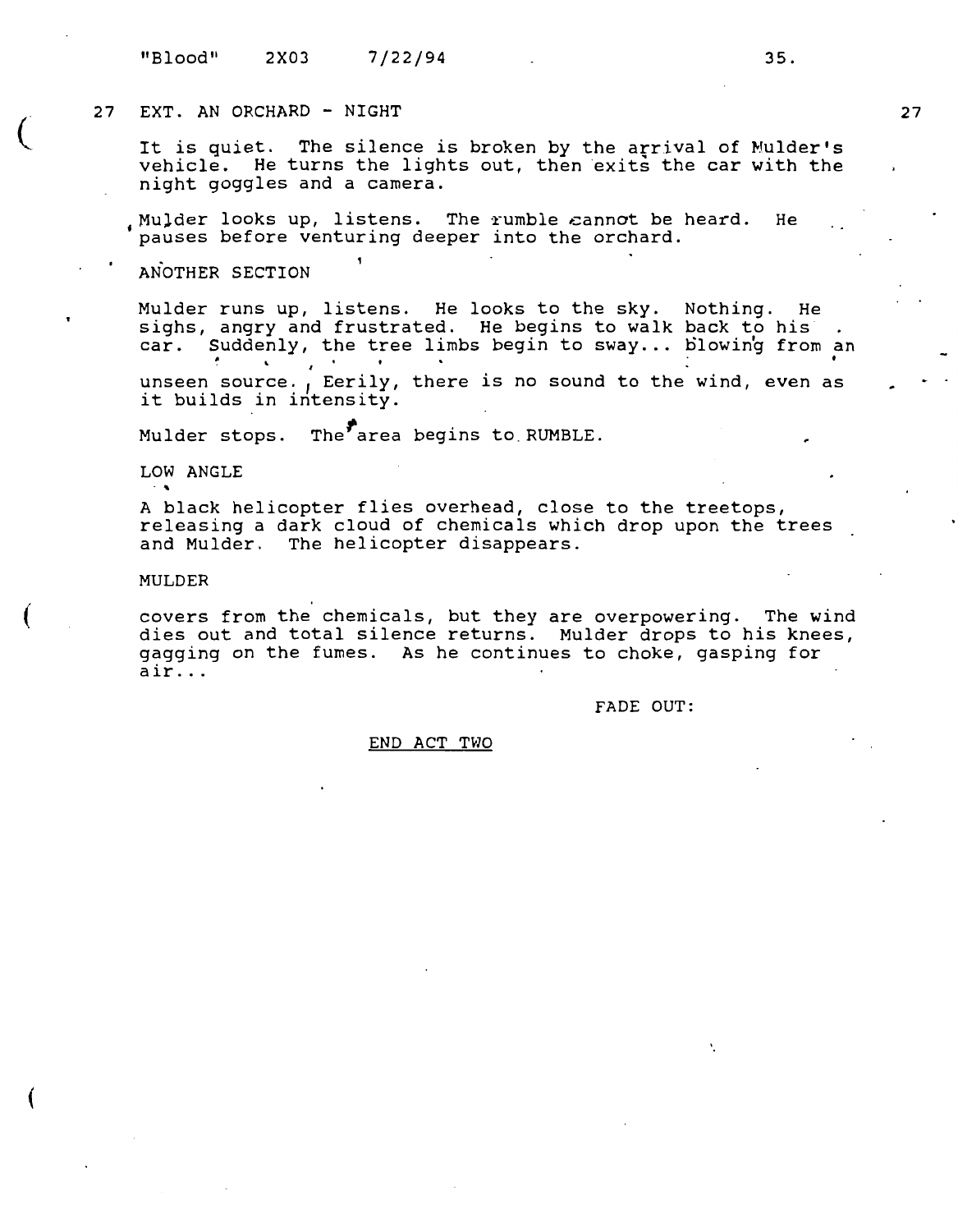# 27 EXT. AN ORCHARD - NIGHT

It is quiet. The silence is broken by the arrival of Mulder's vehicle. He turns the lights out, then exits the car with the night goggles and a camera.

Mulder looks up, listens. The rumble cannot be heard. He pauses before venturing deeper into the orchard.

# **ANOTHER SECTION**

 $\big($ 

(

(

Mulder runs up, listens. He looks to the sky. Nothing. He sighs, angry and frustrated. He begins to walk back to his car. Suddenly, the tree limbs begin to sway ... blowing from an • *<sup>I</sup>*

unseen source., Eerily, there is no sound to the wind, even as it builds in intensity.

Mulder stops. The  $\overline{\phantom{a}}$  area begins to RUMBLE.

**LOW ANGLE**  $\cdot$   $\cdot$ 

A black helicopter flies overhead, close to the treetops, releasing a dark cloud of chemicals which drop upon the trees and Mulder. The helicopter disappears.

#### **MULDER**

covers from the chemicals, but they are overpowering. The wind dies out and total silence returns. Mulder drops to his knees, gagging on the fumes. As he continues to choke, gasping for air ...

FADE OUT:

# END ACT TWO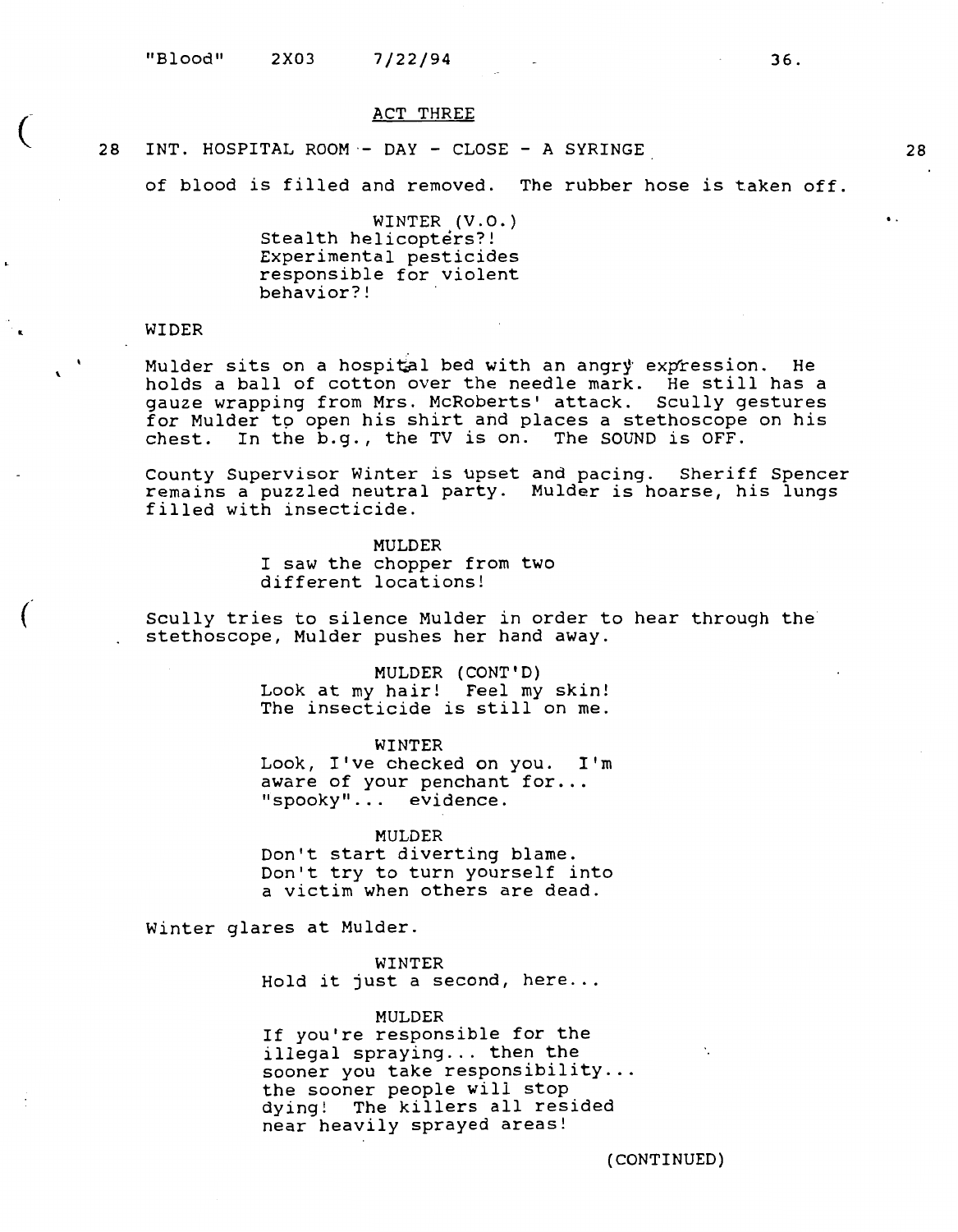#### ACT THREE

# 28 INT. HOSPITAL ROOM·- DAY - CLOSE - A SYRINGE

of blood is filled and removed. The rubber hose is taken off.

WINTER (V.O.) Stealth helicopters?! Experimental pesticides responsible for violent behavior?!

#### **WIDER**

(

I.

(

 $\mathbf{r}$ 

Mulder sits on a hospital bed with an angry expression. He holds a ball of cotton over the needle mark. He still has a gauze wrapping from Mrs. McRoberts' attack. Scully gestures for Mulder to open his shirt and places a stethoscope on his chest. In the b.g., the TV is on. The SOUND is OFF.

County Supervisor Winter is upset and pacing. Sheriff Spencer remains a puzzled neutral party. Mulder is hoarse, his lungs filled with insecticide.

> **MULDER**  I saw the chopper from two different locations!

Scully tries to silence Mulder in order to hear through the stethoscope, Mulder pushes her hand away.

> **MULDER (CONT'D)**  Look at my hair! Feel my skin! The insecticide is still on me.

**WINTER**  Look, I've checked on you. I'm aware of your penchant for... "spooky" ... evidence.

**MULDER**  Don't start diverting blame. Don't try to turn yourself into a victim when others are dead.

Winter glares at Mulder.

**WINTER**  Hold it just a second, here...

**MULDER**  If you're responsible for the illegal spraying... then the sooner you take responsibility... the sooner people will stop dying! The killers all resided near heavily sprayed areas!

**(CONTINUED)** 

 $\bullet$ 

..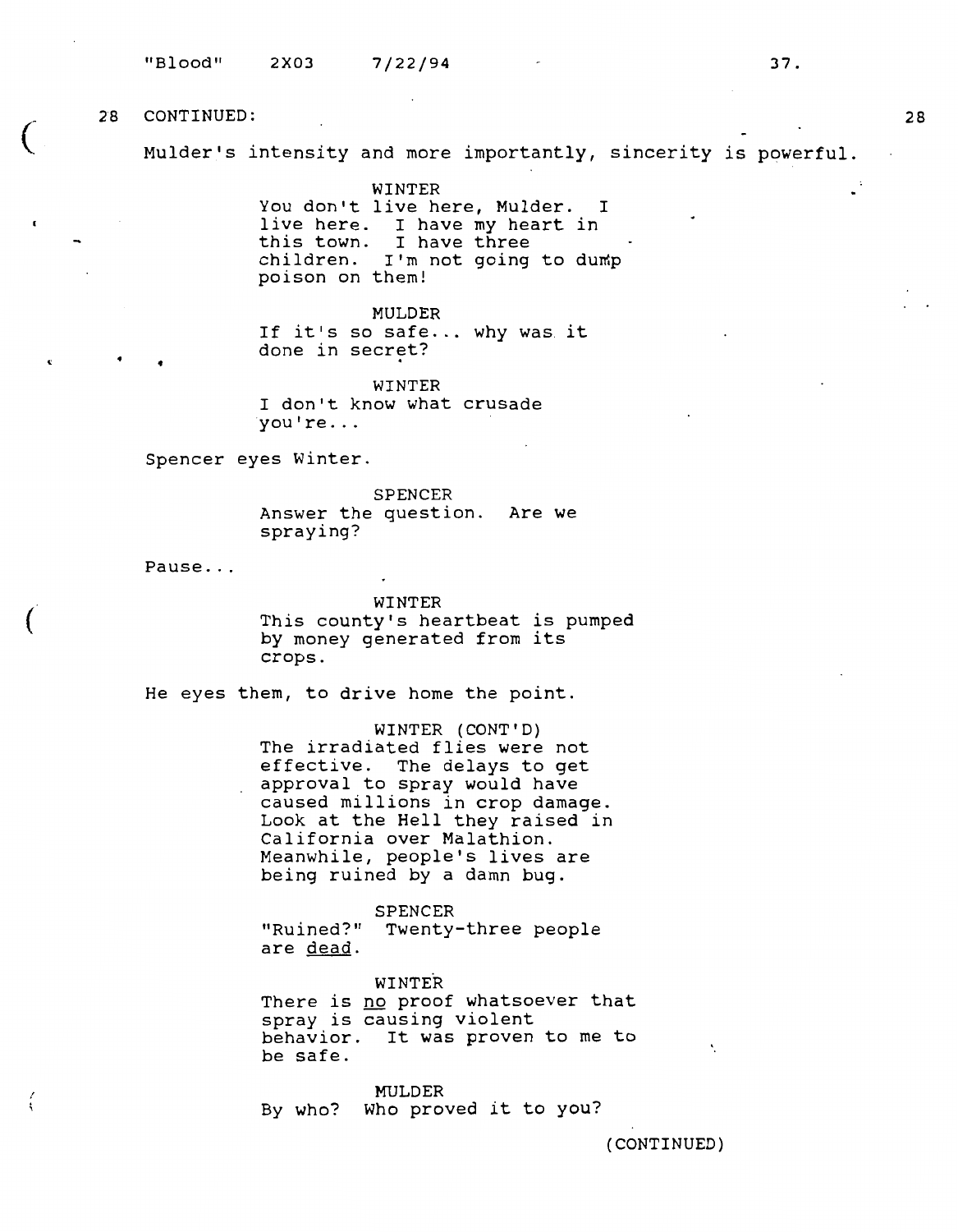(

' \

Mulder's intensity and more importantly, sincerity is powerful.

**WINTER**  You don't live here, Mulder. I live here. I have my heart in this town. I have three children. I'm not going to dump poison on them!

MULDER If it's so safe... why was it done in secret?

WINTER I don't know what crusade you' re ...

Spencer eyes Winter.

SPENCER Answer the question. Are we spraying?

Pause...

•

WINTER This county's heartbeat is pumped by money generated from its crops.

He eyes them, to drive home the point.

WINTER (CONT'D) The irradiated flies were not effective. The delays to get approval to spray would have caused millions in crop damage. Look at the Hell they raised in California over Malathion. Meanwhile, people's lives are being ruined by a damn bug.

"Ruined?" Twenty-three people are dead. SPENCER

WINTER There *is* no proof whatsoever that spray is causing violent behavior. It was proven to me to be safe.

MULDER By who? Who proved it to you?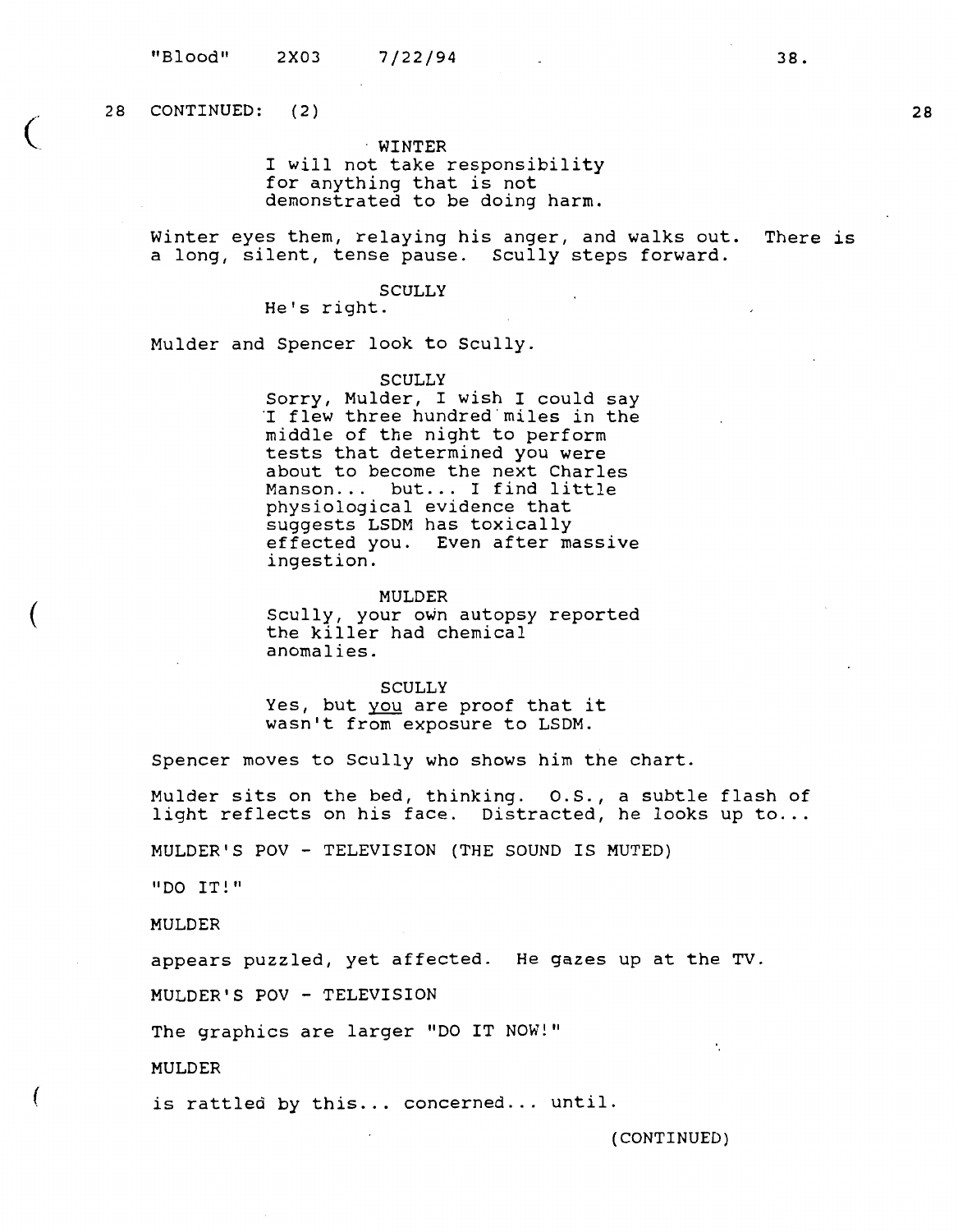$28$  CONTINUED:  $(2)$ 

 $\big($ 

(

(

· **WINTER**  I will not take responsibility for anything that is not demonstrated to be doing harm.

Winter eyes them, relaying his anger, and walks out. There is a long, silent, tense pause. Scully steps forward.

**SCULLY** 

He's right.

Mulder and Spencer look to Scully.

**SCULLY** 

Sorry, Mulder, I wish I could say<br>I flew three hundred miles in the middle of the night to perform tests that determined you were about to become the next Charles Manson... but... I find little physiological evidence that suggests LSDM has toxically effected you. Even after massive ingestion.

**MULDER** 

Scully, your own autopsy reported bearily, your own datepby anomalies.

SCULLY

Yes, but you are proof that it wasn't from exposure to LSDM.

Spencer moves to Scully who shows him the chart.

Mulder sits on the bed, thinking. O.S., a subtle flash of light reflects on his face. Distracted, he looks up to...

MULDER'S POV - TELEVISION (THE SOUND IS MUTED)

"DO IT!"

MULDER

appears puzzled, yet affected. He gazes up at the TV.

MULDER'S POV - TELEVISION

The graphics are larger "DO IT NOW!"

MULDER

is rattled by this... concerned... until.

(CONTINUED)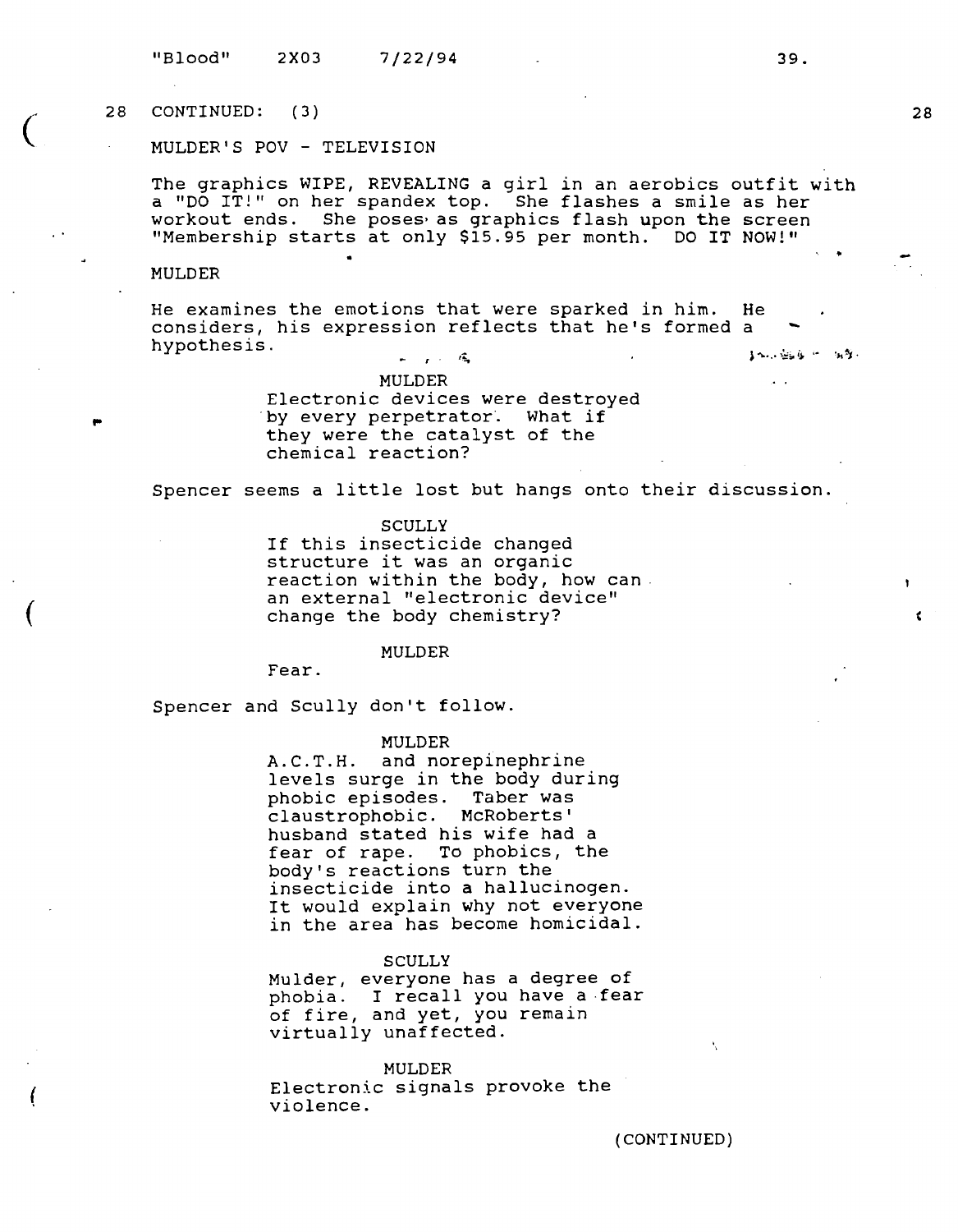$\begin{pmatrix} 28 \\ 1 \end{pmatrix}$ CONTINUED: ( 3)

MULDER'S POV - TELEVISION

The graphics WIPE, REVEALING a girl in an aerobics outfit **with**  a "DO IT!" on her spandex top. She flashes a smile as her workout ends. She poses as graphics flash upon the screen "Membership starts at only \$15.95 per month. DO IT NOW!"

#### MULDER

..

(

(

- He examines the emotions that were sparked in him. He considers, his expression reflects that he's formed a hypothesis.  $\leq$ 

> MULDER Electronic devices were destroyed by every perpetrator. What if they were the catalyst of the chemical reaction?

Spencer seems a little lost but hangs onto their discussion.

**SCULLY** 

If this insecticide changed structure it was an organic reaction within the body, how can. an external "electronic device" change the body chemistry?

#### **MULDER**

Fear.

Spencer and Scully don't follow.

#### **MULDER**

A.C.T.H. and norepinephrine levels surge in the body during phobic episodes. Taber was claustrophobic. McRoberts' husband stated his wife had a fear of rape. To phobics, the body's reactions turn the insecticide into a hallucinogen. It would explain why not everyone in the area has become homicidal.

#### **SCULLY**

Mulder, everyone has a degree of phobia. I recall you have a -fear of fire, and yet, you remain virtually unaffected.

#### **MULDER**

Electronic signals provoke the violence.

(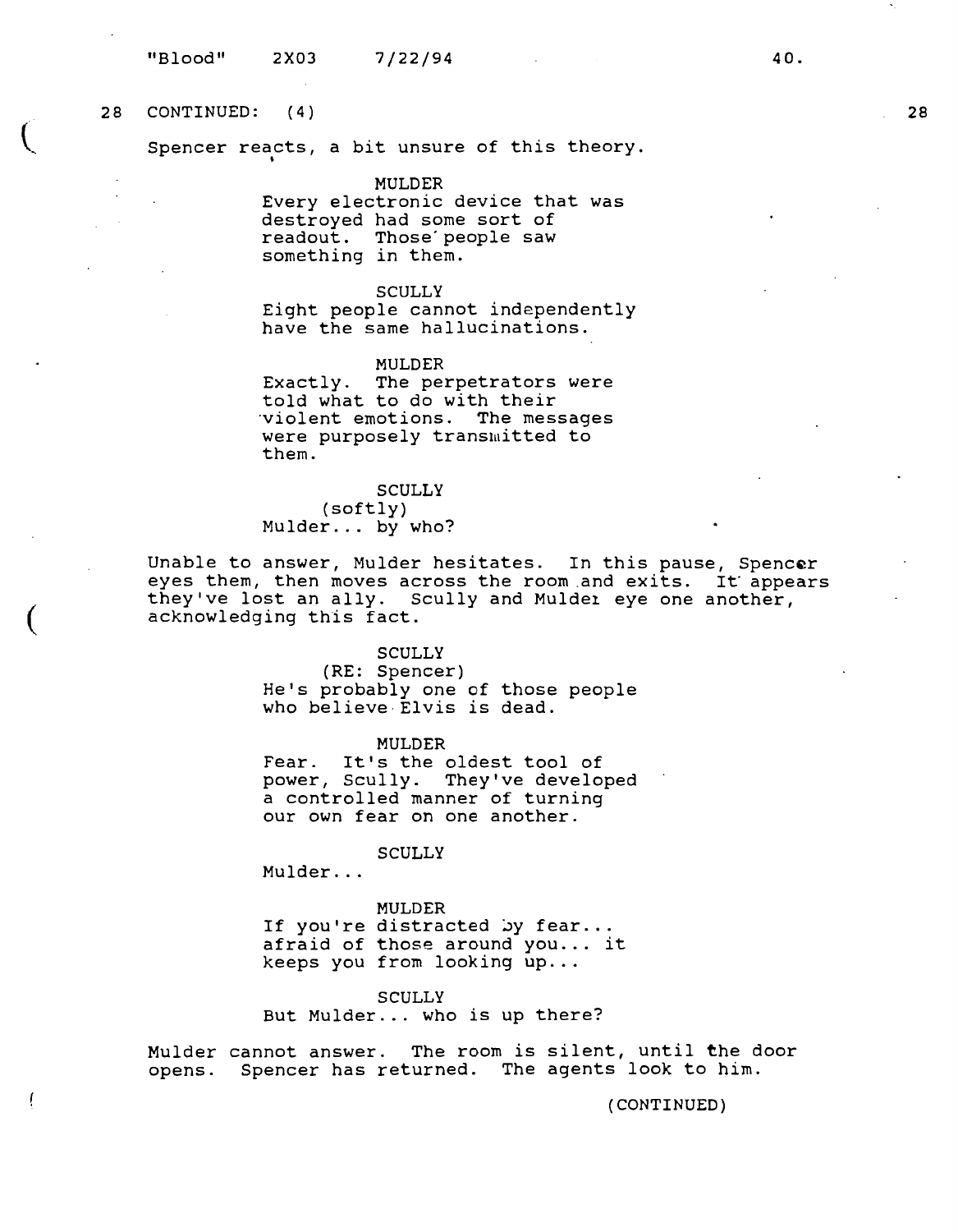28 CONTINUED: ( 4)

 $\left($ 

 $\overline{(\ }$ 

ļ

Spencer reacts, a bit unsure of this theory. '

MULDER

Every electronic device that was destroyed had some sort of readout. Those'people saw something in them.

#### **SCULLY**

Eight people cannot independently have the same hallucinations.

MULDER Exactly. The perpetrators were told what to do with their ·violent emotions. The messages were purposely transmitted to them.

SCULLY

(softly) Mulder... by who?

Unable to answer, Mulder hesitates. In this pause, Spencer eyes them, then moves across the room and exits. It appears they've lost an ally. Scully and Mulder eye one another, acknowledging this fact.

#### SCULLY

(RE: Spencer) He's probably one of those people who believe-Elvis is dead.

MULDER

Fear. It's the oldest tool of power, Scully. They've developed a controlled manner of turning our own fear on one another.

**SCULLY** 

Mulder ...

MULDER If you're distracted by fear...<br>afraid of those around you... it keeps you from looking  $up...$ 

**SCULLY** But Mulder ... who is up there?

Mulder cannot answer. The room is silent, until the door opens. Spencer has returned. The agents look to him.

(CONTINUED)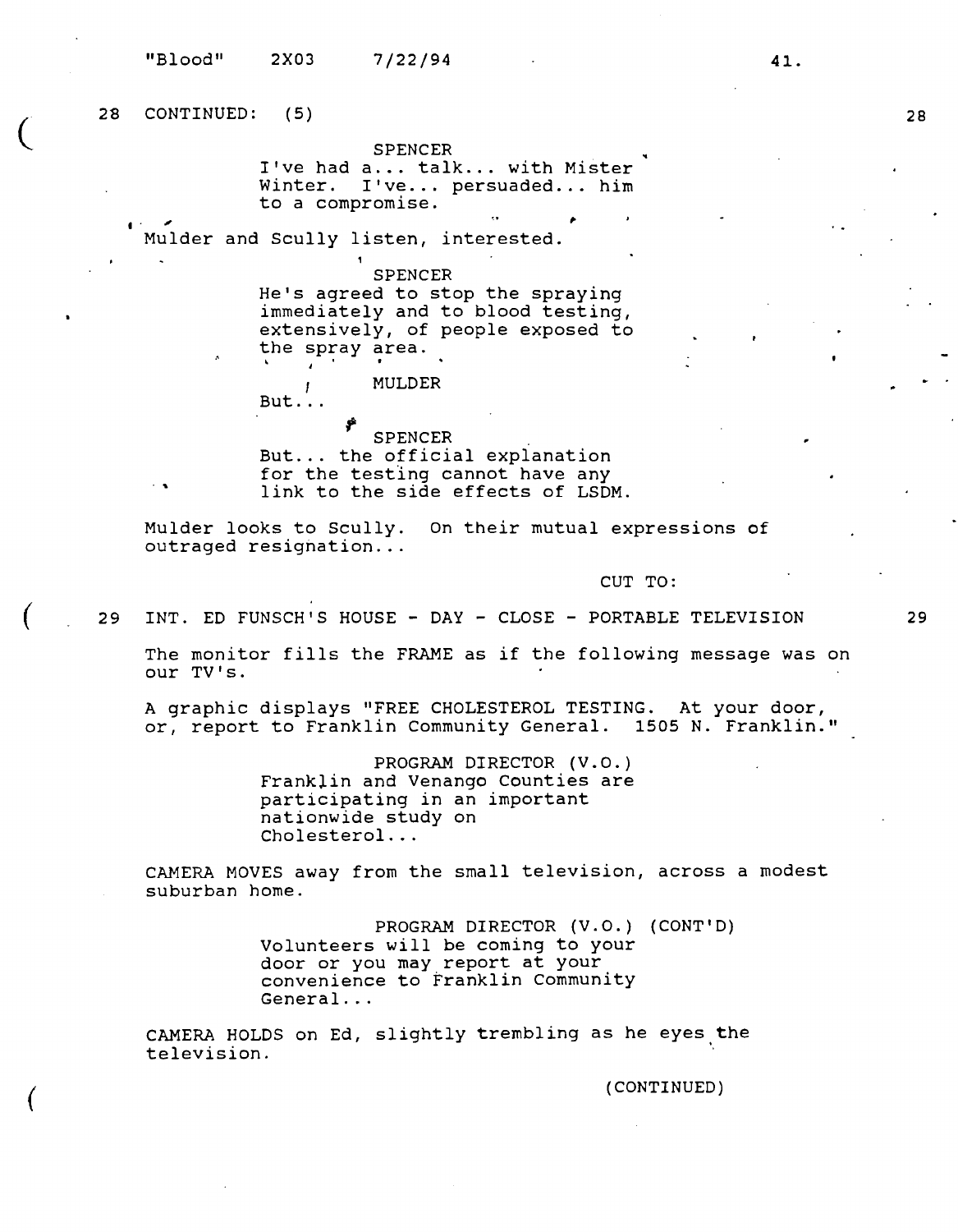"Blood" 2X03 7/22/94

**2S**  CONTINUED: ( 5)

 $\cdot$  .

SPENCER

I've had a... talk... with Mister<br>Winter. I've... persuaded... him I've... persuaded... him to a compromise.

 $\overline{a}$ . Mulder and Scully listen, interested.

SPENCER

He's agreed to stop the spraying immediately and to blood testing, extensively, of people exposed to the spray area.

 $But.$ .. **MULDER** 

*f* SPENCER . But ... the official explanation for the testing cannot have any link to the side effects of LSDM.

Mulder looks to Scully. On their mutual expressions of outraged resignation...

CUT TO:

..

29 INT. ED FUNSCH'S HOUSE - DAY - CLOSE - PORTABLE TELEVISION

The monitor fills the FRAME as if the following message was on our TV's.

A graphic displays "FREE CHOLESTEROL TESTING. At your door, or, report to Franklin Community General. 1505 N. Franklin."

> PROGRAM DIRECTOR **(V.O.)**  Franklin and Venango Counties are participating in an important nationwide study on Cholesterol ...

CAMERA MOVES away from the small television, across a modest suburban home.

> PROGRAM DIRECTOR (V.O.) (CONT'D) Volunteers will be coming to your door or you may report at your convenience to Franklin Community General ...

CAMERA HOLDS on Ed, slightly trembling as he eyes the television.

(CONTINUED)

29

**28** 

 $\big($ 

(

(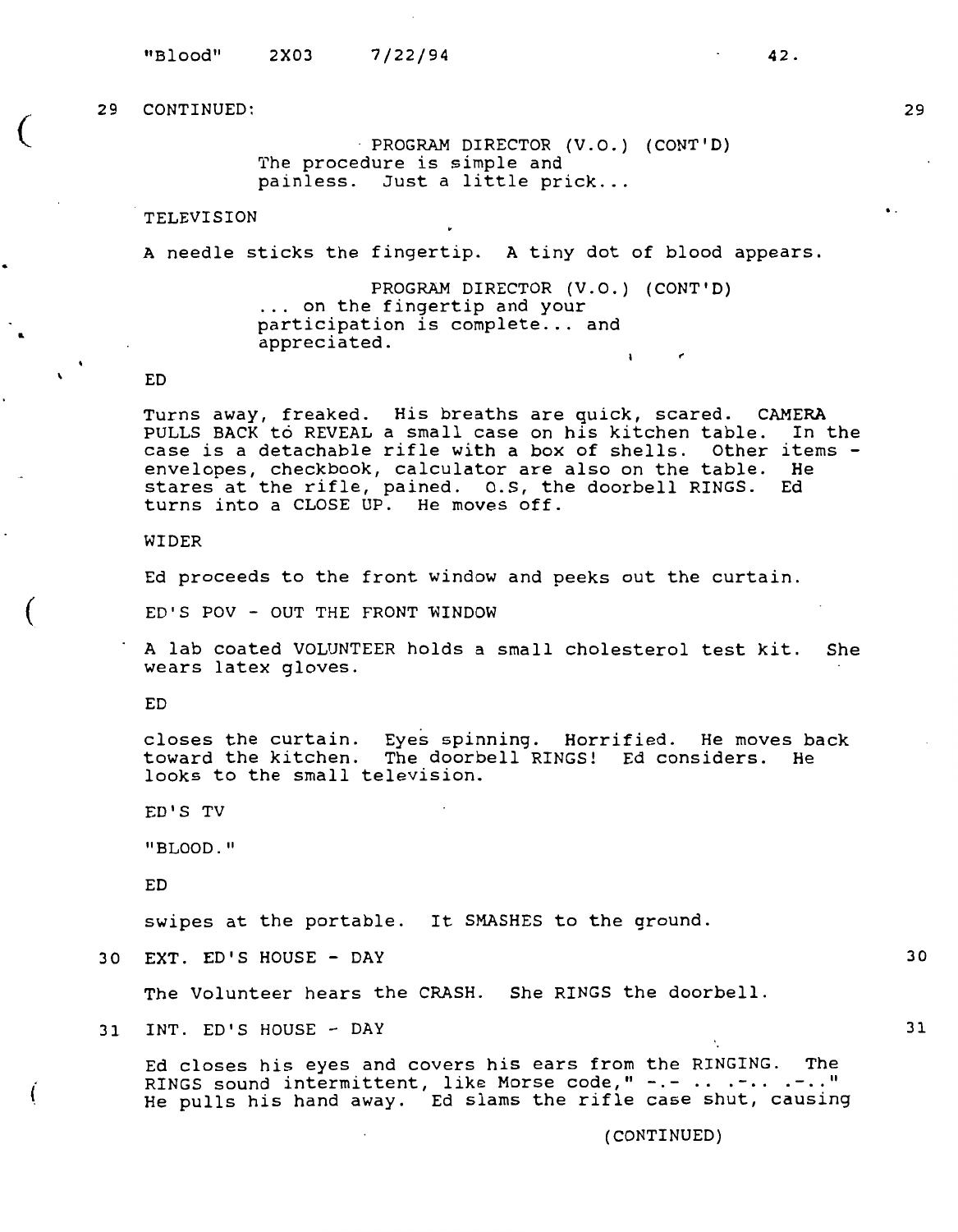$\big($ 

..

 $\mathbf{r}$ 

(

(

· **PROGRAM DIRECTOR (V.O . ) (CONT'D)**  The procedure is simple and painless. Just a little prick...

TELEVISION

A needle sticks the fingertip. A tiny dot of blood appears.

PROGRAM DIRECTOR (V.O.) (CONT'D)<br>... on the fingertip and your participation is complete... and appreciated.  $\ddot{\phantom{a}}$ 

ED

Turns away, freaked. His breaths are quick, scared. CAMERA PULLS BACK to REVEAL a small case on his kitchen table. In the case is a detachable rifle with a box of shells. Other items -<br>envelopes, checkbook, calculator are also on the table. He envelopes, checkbook, calculator are also on the table. He enveropes, checkbook, carculator are also on the cable. The stares at the rifle, pained. 0.S, the doorbell RINGS. Ed turns into a CLOSE UP. He moves off.

WIDER

Ed proceeds to the front window and peeks out the curtain.

 $ED'S POV - OUT THE FROM T W$ 

A lab coated VOLUNTEER holds a small cholesterol test kit. She wears latex gloves.

ED

closes the curtain. Eyes spinning. Horrified. He moves back toward the kitchen. The doorbell RINGS! Ed considers. He looks to the small television.

ED'S TV

"BLOOD . "

ED

swipes at the portable. It SMASHES to the ground.

30 EXT. ED'S HOUSE - DAY

The Volunteer hears the CRASH. She RINGS the doorbell.

31 INT. ED'S HOUSE - DAY

Ed closes his eyes and covers his ears from the RINGING. The RINGS sound intermittent, like Morse code, " -.- .. .-.. .-.. " He pulls his hand away. Ed slams the rifle case shut, causing

(CONTINUED)

 $\overline{ }$ 

**42.** 

30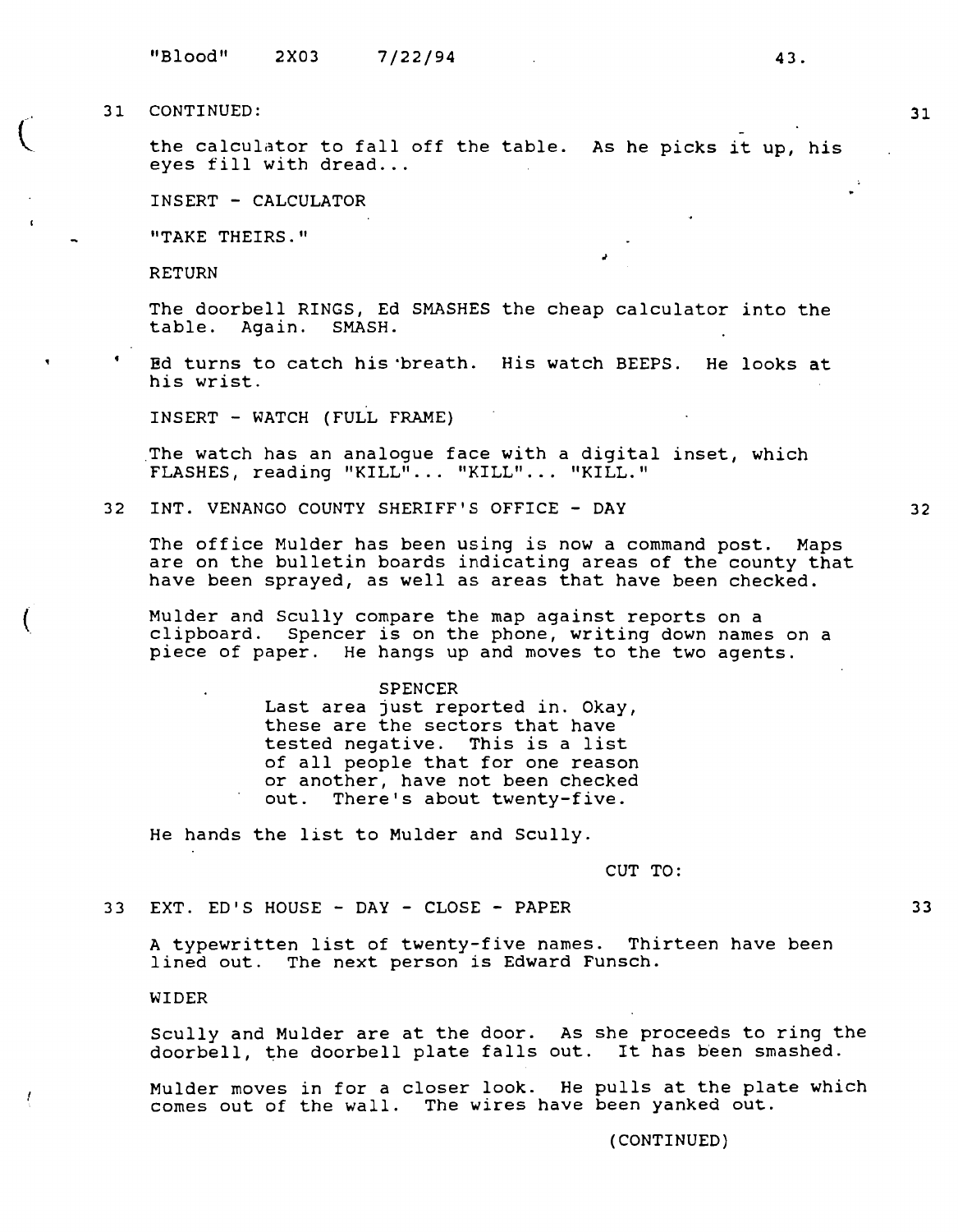$\overline{C}$ 

 $\left($ 

the calculator to fall off the table. As he picks it up, his eyes fill with dread...

INSERT - CALCULATOR

"TAKE THEIRS."

RETURN

The doorbell RINGS, Ed SMASHES the cheap calculator into the table. Again. SMASH.

*J* 

Ed turns to catch his 'breath. His watch BEEPS. He looks at his wrist.

INSERT - WATCH (FULL FRAME)

The watch has an analogue face with a digital inset, which FLASHES, reading "KILL" ... "KILL" ... "KILL."

32 INT. VENANGO COUNTY SHERIFF'S OFFICE - **DAY** 

The office Mulder has been using is now a command post. Maps are on the bulletin boards indicating areas of the county that have been sprayed, as well as areas that have been checked.

Mulder and Scully compare the map against reports on a clipboard. Spencer is on the phone, writing down names on a piece of paper. He hangs up and moves to the two agents.

#### SPENCER

Last area just reported in. Okay, these are the sectors that have tested negative. This is a list of all people that for one reason or another, have not been checked out. There's about twenty-five.

He hands the list to Mulder and Scully.

CUT TO:

33 EXT. ED'S HOUSE - DAY - CLOSE - PAPER

A typewritten list of twenty-five names. Thirteen have been lined out. The next person is Edward Funsch.

WIDER

Scully and Mulder are at the door. As she proceeds to ring the doorbell, the doorbell plate falls out. It has been smashed.

Mulder moves in for a closer look. He pulls at the plate which comes out of the wall. The wires have been yanked out.

(CONTINUED)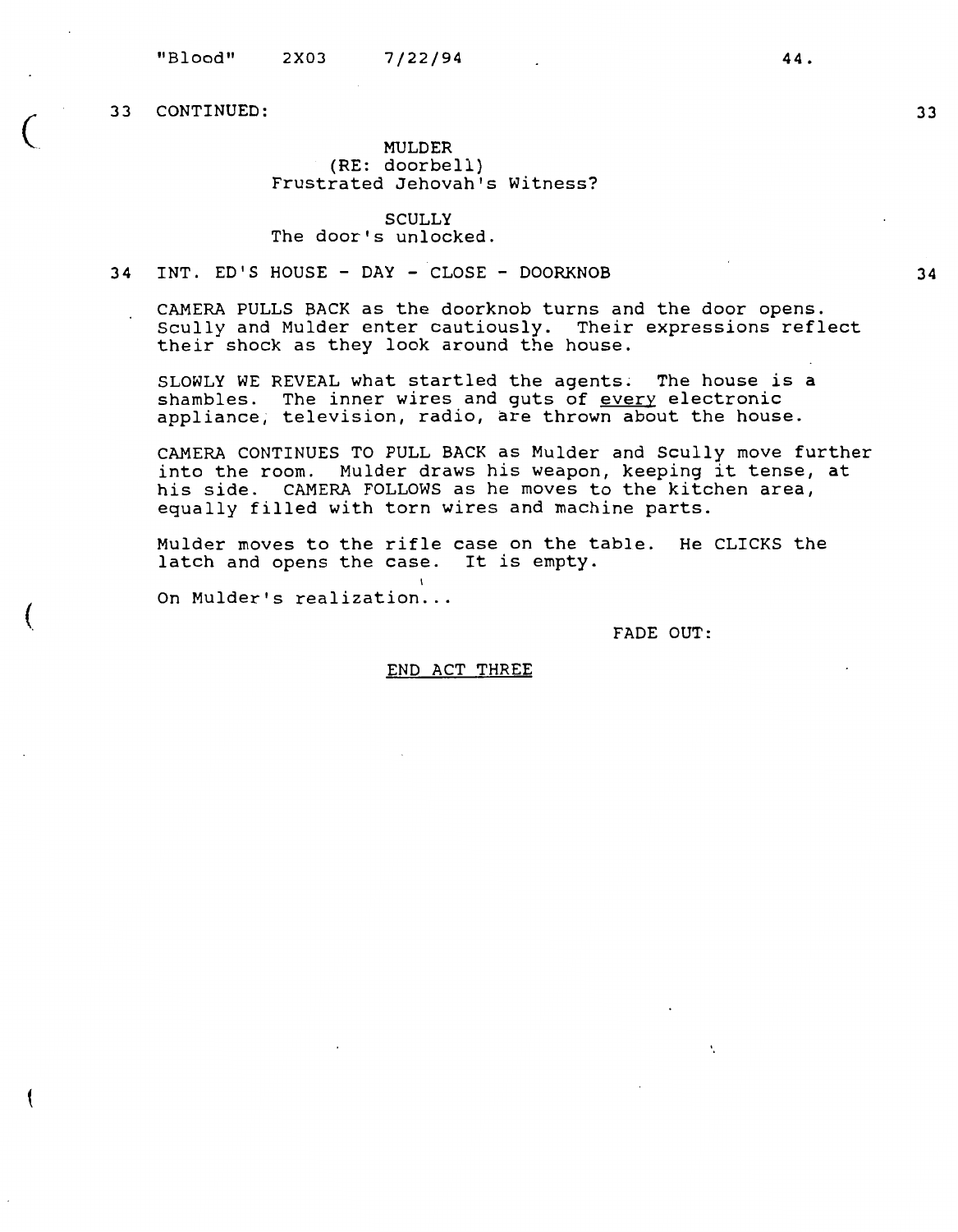(

# **MULDER**  (RE: doorbell} Frustrated Jehovah's Witness?

## **SCULLY**  The door's unlocked.

# **34 INT.** ED'S **HOUSE** - **DAY** - **CLOSE** - **DOORKNOB**

CAMERA PULLS BACK as the doorknob turns and the door opens. Scully and Mulder enter cautiously. Their expressions reflect their shock as they look around the house.

SLOWLY WE REVEAL what startled the agents. The house is a shambles. The inner wires and guts of every electronic appliance; television, radio, are thrown about the house.

CAMERA CONTINUES TO PULL BACK as Mulder and Scully move further into the room. Mulder draws his weapon, keeping it tense, at his side. CAMERA FOLLOWS as he moves to the kitchen area, equally filled with torn wires and machine parts.

Mulder moves to the rifle case on the table. He CLICKS the latch and opens the case. It is empty.

On Mulder's realization...

FADE OUT:

# END ACT THREE

33

**34**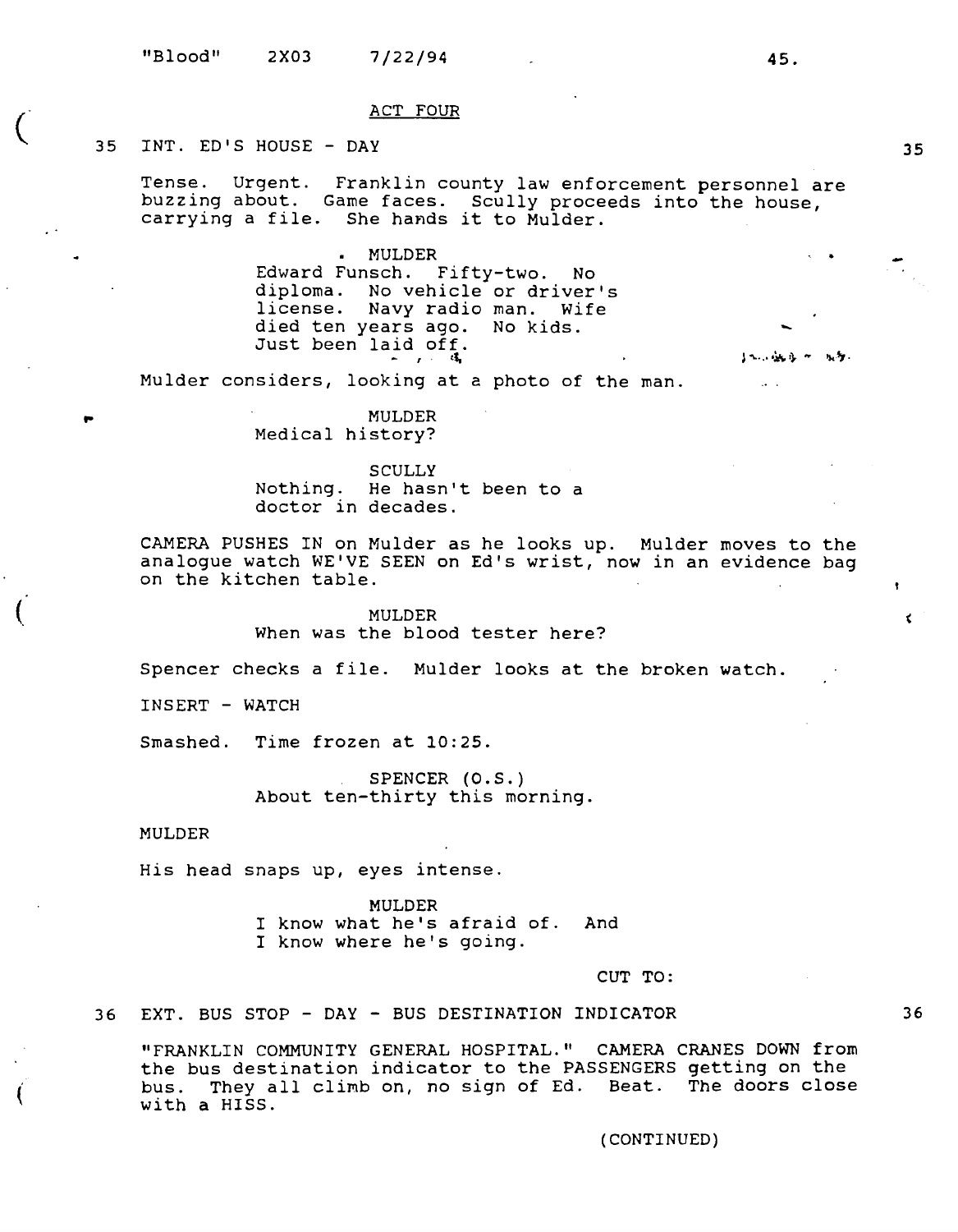#### ACT FOUR

# 35 INT. ED'S HOUSE - DAY

 $\overline{C}$ 

(

 $\acute{$ 

Tense. Urgent. Franklin county law enforcement personnel are buzzing about. Game faces. Scully proceeds into the house, carrying a file. She hands it to Mulder. •. .

MULDER Edward Funsch. Fifty-two. No diploma. No vehicle or driver's license. Navy radio man. Wife died ten years ago. No kids. Just been laid off.

Mulder considers, looking at a photo of the man.

MULDER Medical history?

SCULLY Nothing. He hasn't been to a doctor in decades.

CAMERA PUSHES IN on Mulder as he looks up. Mulder moves to the analogue watch WE'VE SEEN on Ed's wrist, now in an evidence bag on the kitchen table.

> MULDER When was the blood tester here?

Spencer checks a file. Mulder looks at the broken watch.

INSERT - WATCH

Smashed. Time frozen at 10:25.

SPENCER (0.S.) About ten-thirty this morning.

## MULDER

His head snaps up, eyes intense.

MULDER I know what he's afraid of. And I know where he's going.

CUT TO:

36 EXT. BUS STOP - DAY - BUS DESTINATION INDICATOR

"FRANKLIN COMMUNITY GENERAL HOSPITAL." CAMERA CRANES DOWN from the bus destination indicator to the PASSENGERS getting on the bus. They all clirnb on, no sign of Ed. Beat. The doors close with a HISS.

#### (CONTINUED)

36

۰.

 $\epsilon$ 

-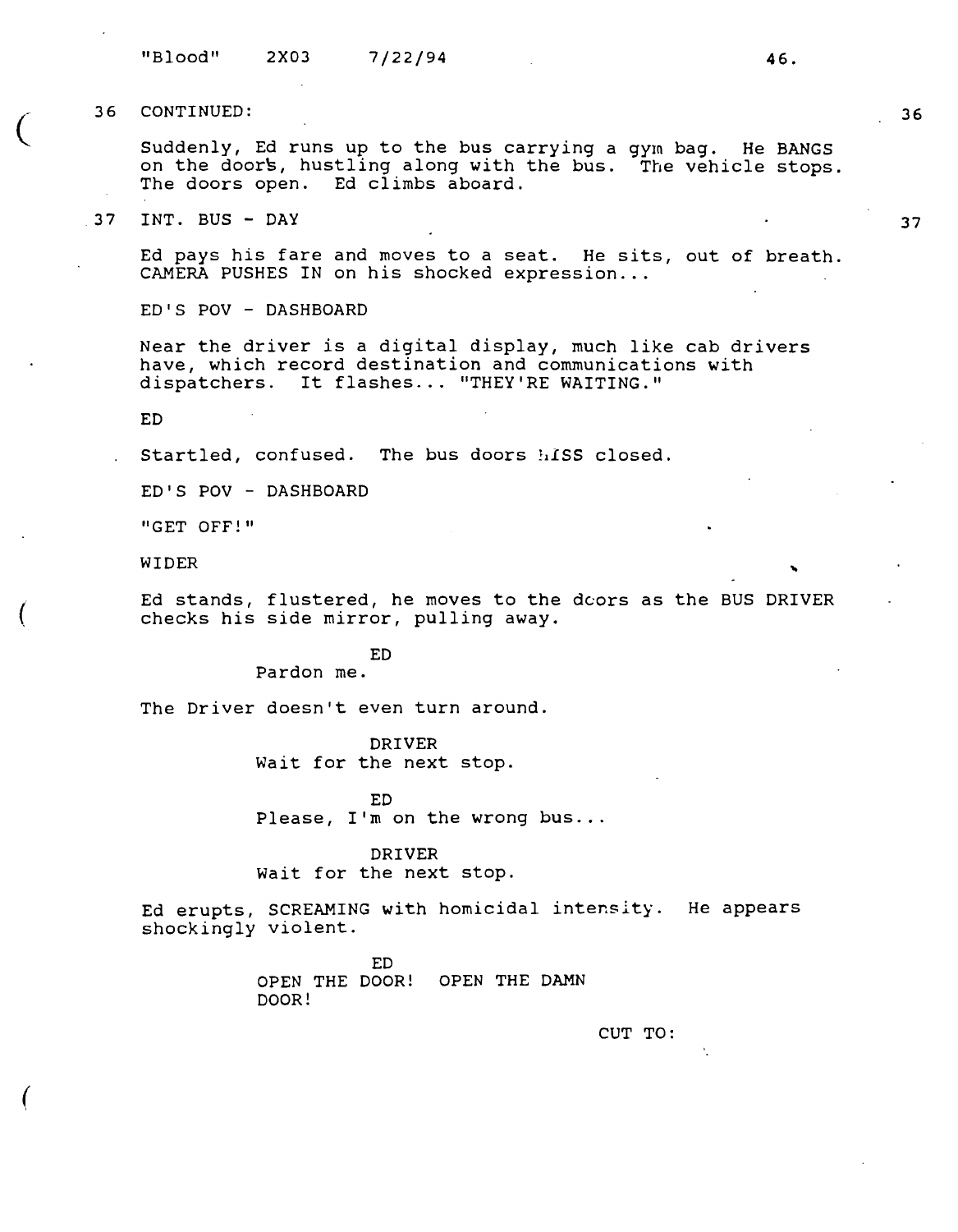"Blood" 2X03 7/22/94 **46.** 

36 CONTINUED:

 $\big($ 

 $\left($ 

 $\overline{(\ }$ 

Suddenly, Ed runs up to the bus carrying a gym bag. He BANGS on the doors, hustling along with the bus. The vehicle stops. The doors open. Ed climbs aboard.

37 INT. BUS - DAY

Ed pays his fare and moves to a seat. He sits, out of breath. CAMERA PUSHES IN on his shocked expression...

ED'S POV - DASHBOARD

Near the driver is a digital display, much like cab drivers have, which record destination and communications with dispatchers. It flashes ... "THEY'RE WAITING."

ED

Startled, confused. The bus doors hiss closed.

ED'S POV - DASHBOARD

"GET OFF!"

WIDER<br>Ed stands, flustered, he moves to the dcors as the BUS DRIVER checks his side mirror, pulling away.

ED

Pardon me.

The Driver doesn't even turn around.

DRIVER Wait for the next stop.

ED Please,  $I'm$  on the wrong bus...

**DRIVER**  Wait for the next stop.

Ed erupts, SCREAMING with homicidal intensity. He appears shockingly violent.

> ED OPEN THE DOOR! OPEN THE DAMN DOOR!

> > **CUT TO:**

**37**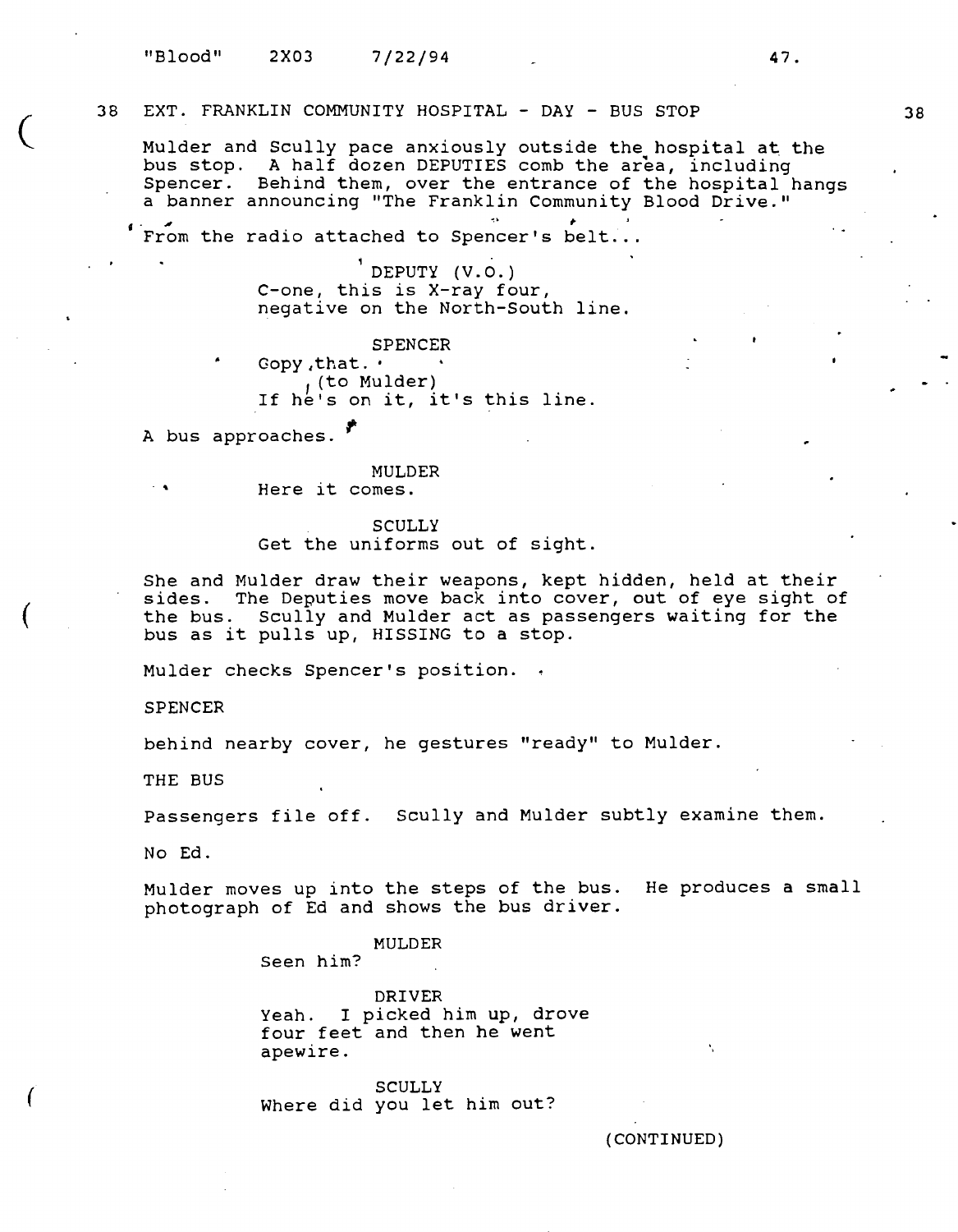# 38 EXT. FRANKLIN COMMUNITY HOSPITAL - **DAY** - BUS STOP

Mulder and Scully pace anxiously outside the hospital at the bus stop. A half dozen DEPUTIES comb the area, including Spencer. Behind them, over the entrance of the hospital hangs a banner announcing "The Franklin Community Blood Drive."

From the radio attached to Spencer's belt...

DEPUTY (V. 0.) C-one, this is X-ray four, negative on the North-South line.

SPENCER Gopy ,that. • <sup>1</sup>(to Mulder) If he's on it, it's this line.

A bus approaches. *I* 

MULDER<br>
. . . . . . . . . Here it comes.

#### **SCULLY**

Get the uniforms out of sight.

She and Mulder draw their weapons, kept hidden, held at their sides. The Deputies move back into cover, out of eye sight of the bus. Scully and Mulder act as passengers waiting for the bus as it pulls up, HISSING to a stop.

Mulder checks Spencer's position.

SPENCER

 $\overline{\mathcal{C}}$ 

(

(

behind nearby cover, he gestures "ready" to Mulder.

THE BUS

Passengers file off. Scully and Mulder subtly examine them.

No Ed.

Mulder moves up into the steps of the bus. He produces a small photograph of Ed and shows the bus driver.

# MULDER

Seen him?

DRIVER Yeah. I picked him up, drove four feet and then he went apewire.

**SCULLY** Where did you let him out?

(CONTINUED)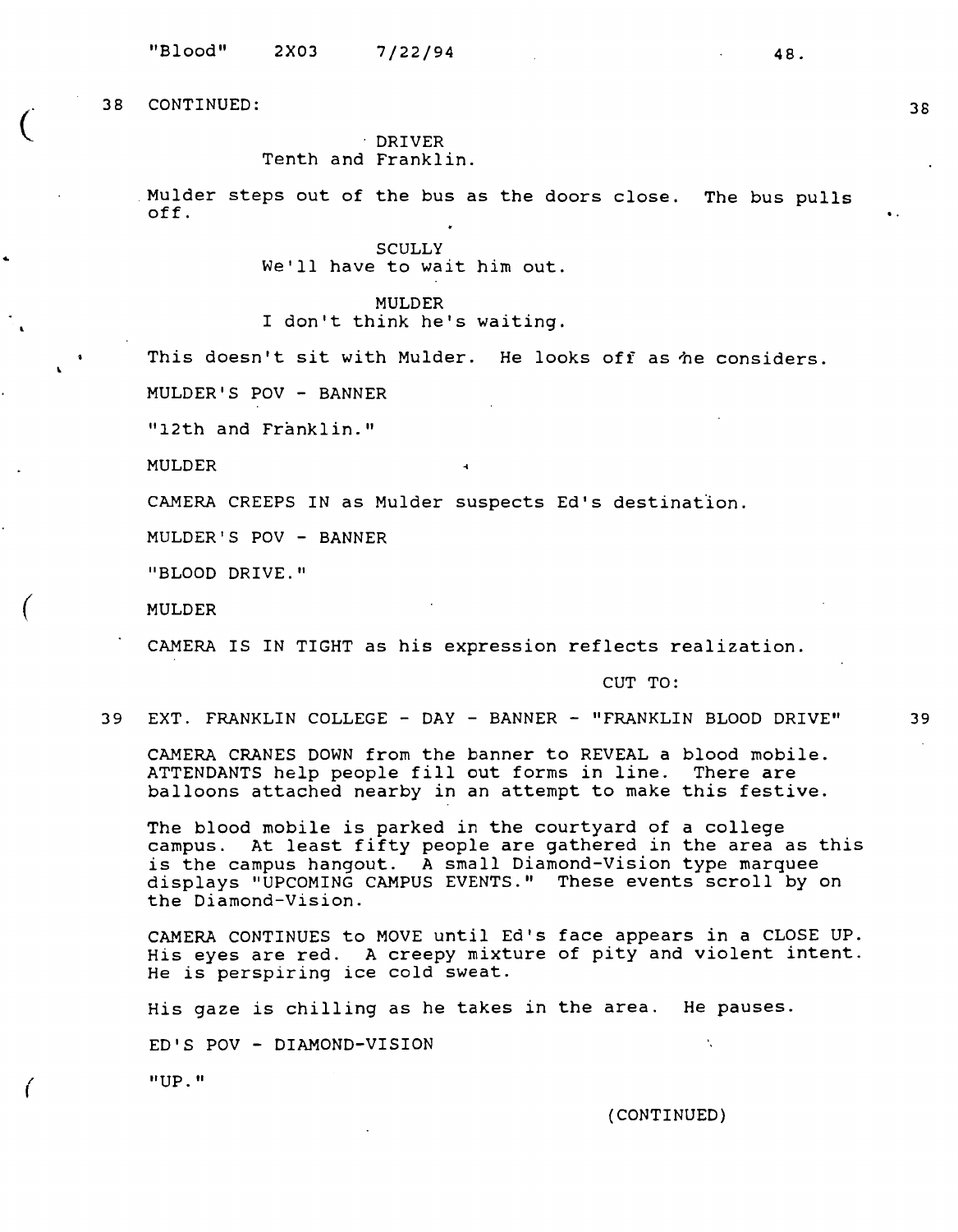$\overline{C}$ 

(

*(* 

# DRIVER Tenth and Franklin.

Mulder steps out of the bus as the doors close. The bus pulls  $\overline{f}$ .  $\overline{f}$   $\overline{f}$   $\overline{f}$   $\overline{f}$   $\overline{f}$   $\overline{f}$   $\overline{f}$   $\overline{f}$   $\overline{f}$   $\overline{f}$   $\overline{f}$   $\overline{f}$   $\overline{f}$   $\overline{f}$   $\overline{f}$   $\overline{f}$   $\overline{f}$   $\overline{f}$   $\overline{f}$   $\overline{f}$   $\overline{f}$   $\overline{f}$   $\overline{f}$   $\overline$ 

> **SCULLY** We'll have to wait him out.

MULDER I don't think he's waiting.

This doesn't sit with Mulder. He looks off as he considers.

MULDER'S POV - BANNER

"12th and Franklin."

MULDER

CAMERA CREEPS IN as Mulder suspects Ed's destination.

MULDER'S POV - BANNER

"BLOOD DRIVE."

MULDER

CAMERA IS IN TIGHT as his expression reflects realization.

CUT TO:

39 EXT. FRANKLIN COLLEGE - DAY - BANNER - "FRANKLIN BLOOD DRIVE" 39

CAMERA CRANES DOWN from the banner to REVEAL a blood mobile. ATTENDANTS help people fill out forms in line. There are balloons attached nearby in an attempt to make this festive.

The blood mobile is parked in the courtyard of a college campus. At least fifty people are gathered in the area as this is the campus hangout. A small Diamond-Vision type marquee displays "UPCOMING CAMPUS EVENTS." These events scroll by on the Diamond-Vision.

CAMERA CONTINUES to MOVE until Ed's face appears in a CLOSE UP. His eyes are red. A creepy mixture of pity and violent intent. He is perspiring ice cold sweat.

His gaze is chilling as he takes in the area. He pauses.

ED'S POV - DIAMOND-VISION

"UP."

{CONTINUED)

K.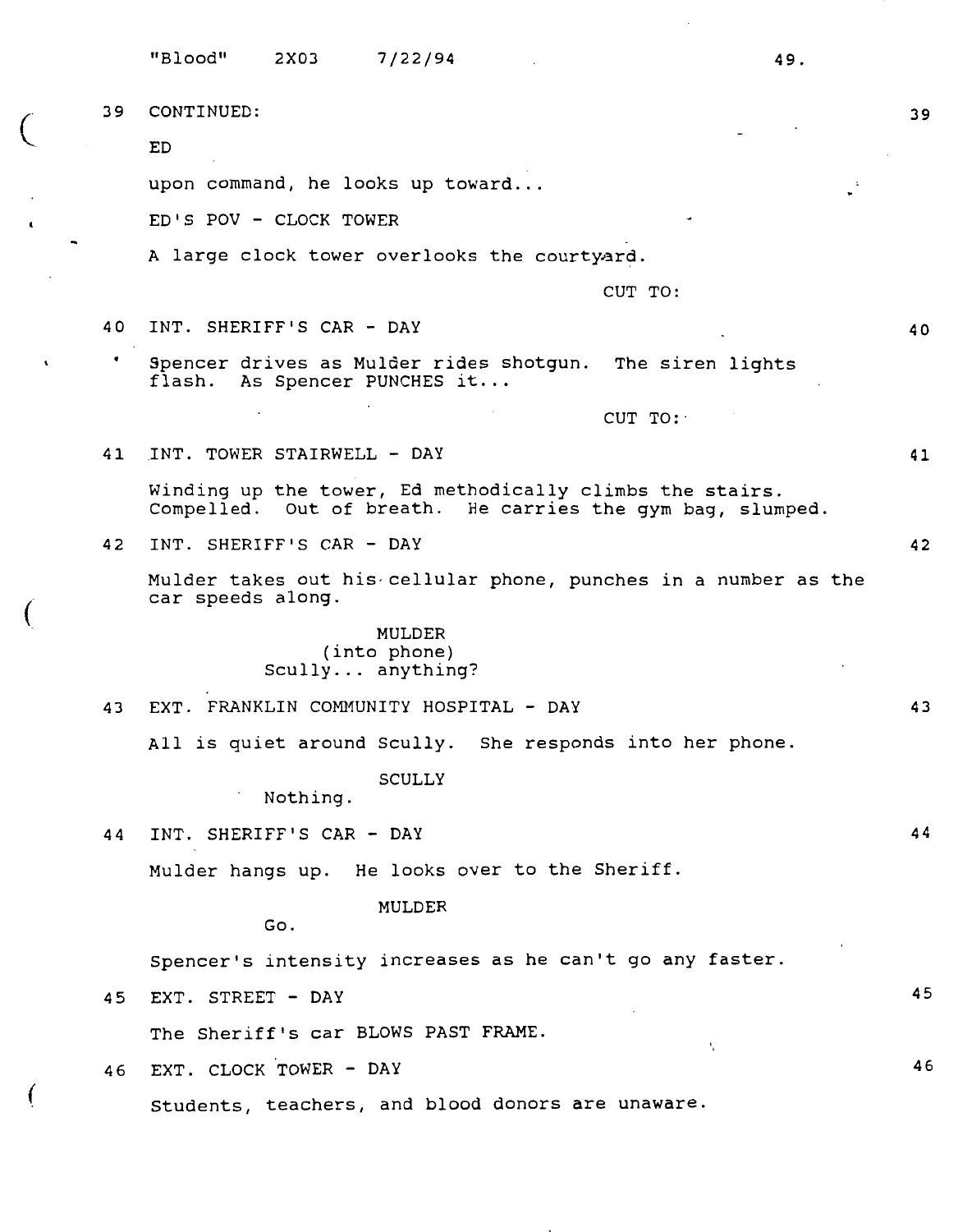|    | "Blood"<br>2X03<br>7/22/94<br>49.                                                                                      |    |
|----|------------------------------------------------------------------------------------------------------------------------|----|
| 39 | CONTINUED:                                                                                                             | 39 |
|    | ED                                                                                                                     |    |
|    | upon command, he looks up toward                                                                                       |    |
|    | ED'S POV - CLOCK TOWER                                                                                                 |    |
|    | A large clock tower overlooks the courtyard.                                                                           |    |
|    | CUT TO:                                                                                                                |    |
| 40 | INT. SHERIFF'S CAR - DAY                                                                                               | 40 |
| ٠  | Spencer drives as Mulder rides shotgun. The siren lights<br>flash. As Spencer PUNCHES it                               |    |
|    | CUT TO:                                                                                                                |    |
| 41 | INT. TOWER STAIRWELL - DAY                                                                                             | 41 |
|    | Winding up the tower, Ed methodically climbs the stairs.<br>Compelled. Out of breath. He carries the gym bag, slumped. |    |
| 42 | INT. SHERIFF'S CAR - DAY                                                                                               | 42 |
|    | Mulder takes out his cellular phone, punches in a number as the<br>car speeds along.                                   |    |
|    | MULDER<br>(into phone)<br>$Scully$ anything?                                                                           |    |
| 43 | EXT. FRANKLIN COMMUNITY HOSPITAL - DAY                                                                                 | 43 |
|    | All is quiet around Scully. She responds into her phone.                                                               |    |
|    | SCULLY<br>Nothing.                                                                                                     |    |
| 44 | INT. SHERIFF'S CAR - DAY                                                                                               | 44 |
|    | Mulder hangs up. He looks over to the Sheriff.                                                                         |    |
|    | <b>MULDER</b><br>Go.                                                                                                   |    |
|    | Spencer's intensity increases as he can't go any faster.                                                               |    |
| 45 | EXT. STREET - DAY                                                                                                      | 45 |
|    | The Sheriff's car BLOWS PAST FRAME.<br>N                                                                               |    |
| 46 | EXT. CLOCK TOWER - DAY                                                                                                 | 46 |
|    | Students, teachers, and blood donors are unaware.                                                                      |    |
|    |                                                                                                                        |    |

(

(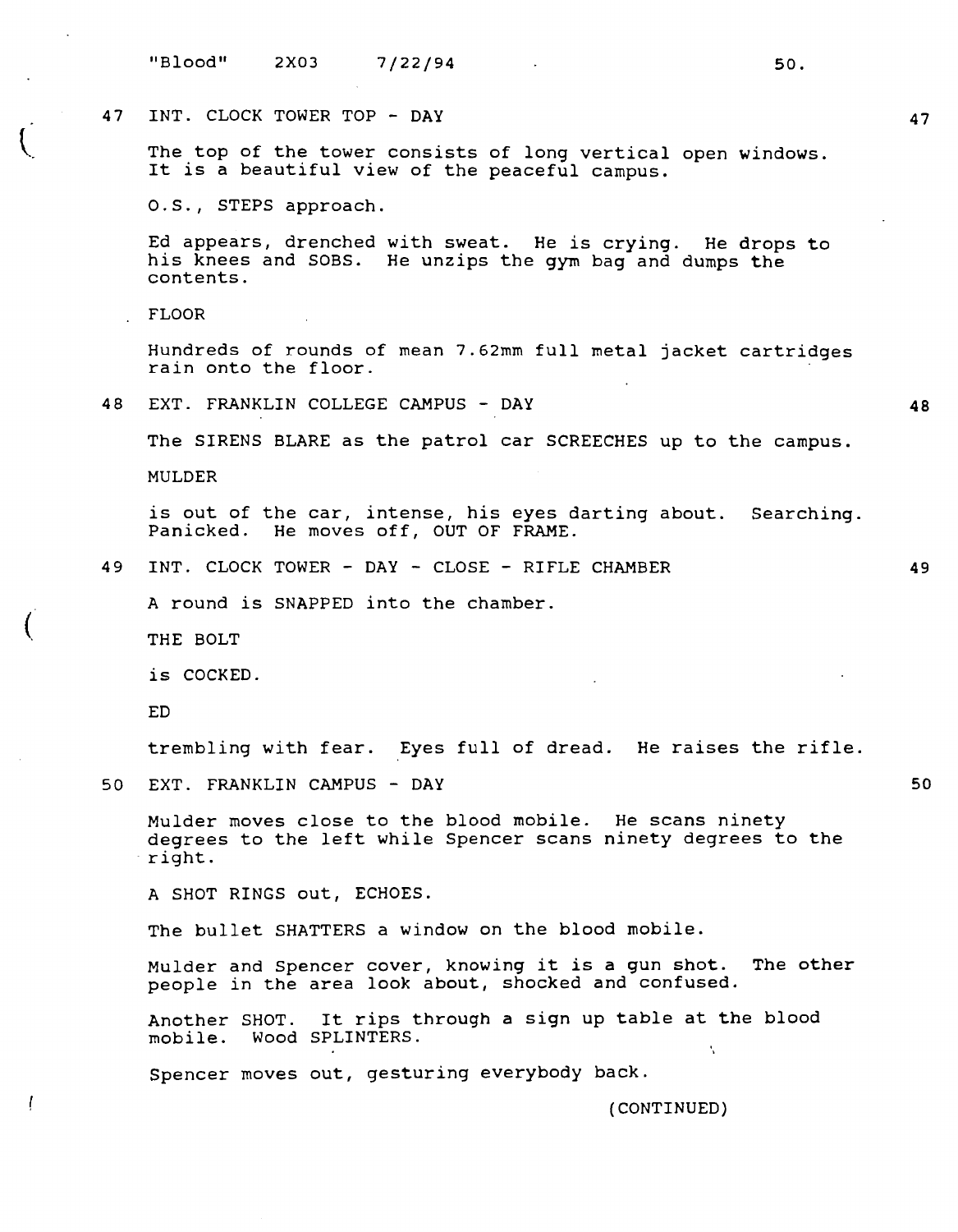# 47 INT. CLOCK TOWER TOP - **DAY**

The top of the tower consists of long vertical open windows. It is a beautiful view of the peaceful campus.

O.S., STEPS approach.

Ed appears, drenched with sweat. He is crying. He drops to his knees and SOBS. He unzips the gym bag and dumps the contents.

FLOOR

Hundreds of rounds of mean 7.62mm full metal jacket cartridges rain onto the floor.

48 EXT. FRANKLIN COLLEGE CAMPUS - DAY

The SIRENS BLARE as the patrol car SCREECHES up to the campus.

MULDER

is out of the car, intense, his eyes darting about. Searching. Panicked. He moves off, OUT OF FRAME.

49 INT. CLOCK TOWER - DAY - CLOSE - RIFLE CHAMBER

A round is SNAPPED into the chamber.

THE BOLT

is COCKED.

ED

 $\overline{(\ }$ 

trembling with fear. Eyes full of dread. He raises the rifle.

50 EXT. FRANKLIN CAMPUS - DAY

Mulder moves close to the blood mobile. He scans ninety degrees to the left while Spencer scans ninety degrees to the right.

A SHOT RINGS out, ECHOES.

The bullet SHATTERS a window on the blood mobile.

Mulder and Spencer cover, knowing it is a gun shot. The other people in the area look about, shocked and confused.

Another SHOT. It rips through a sign up table at the blood mobile. Wood SPLINTERS. N

Spencer moves out, gesturing everybody back.

(CONTINUED)

**48** 

49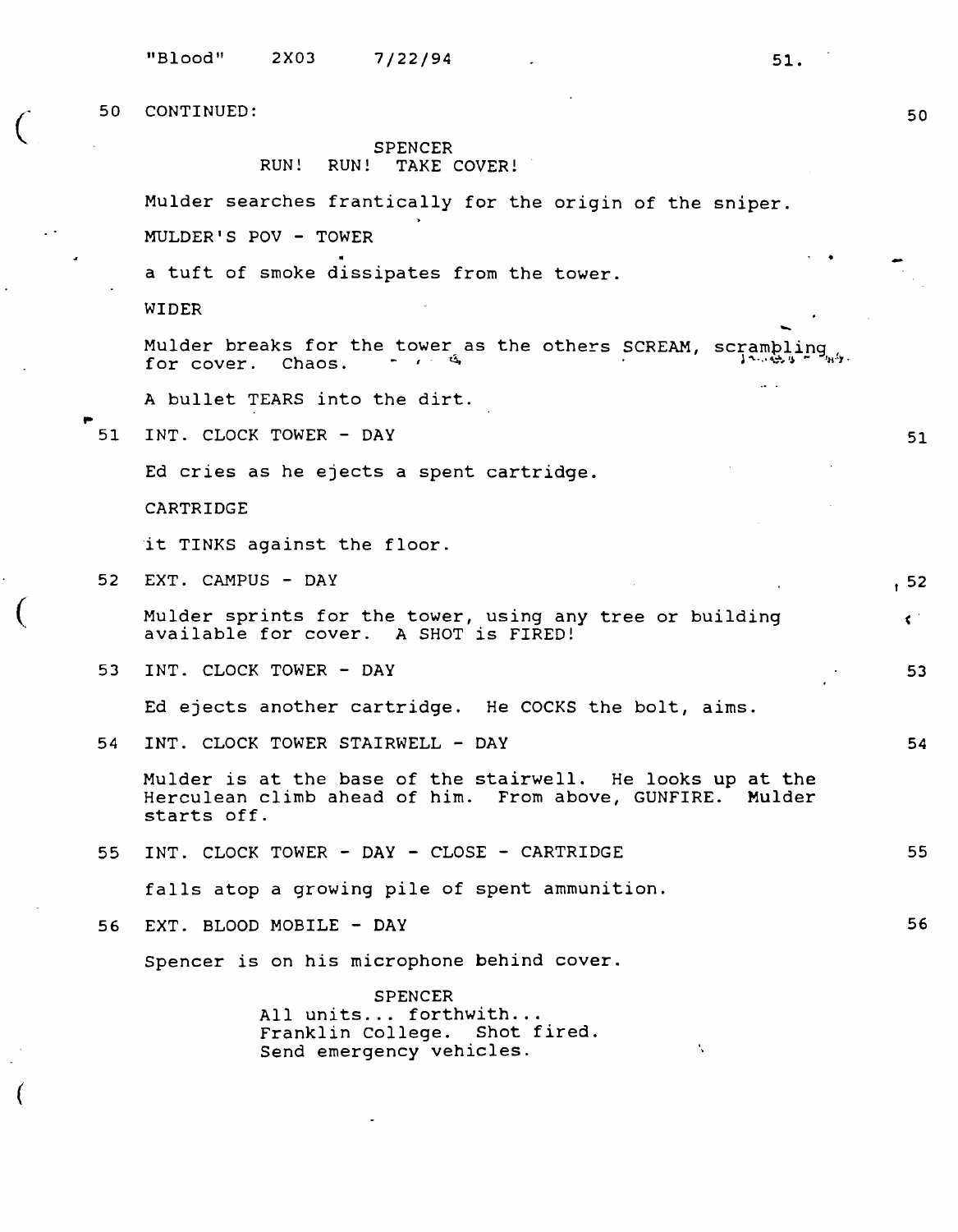$\big($ 

 $\big($ 

(

SPENCER RUN! RUN! TAKE COVER!

Mulder searches frantically for the origin of the sniper.

MULDER'S POV - TOWER

a tuft of smoke dissipates from the tower.

WIDER

Mulder breaks for the tower as the others SCREAM, scrambling, for cover. Chaos.  $\cdots$ ,  $\cdots$ 

A bullet TEARS into the dirt.

51 INT. CLOCK TOWER - DAY

Ed cries as he ejects a spent cartridge.

CARTRIDGE

it TINKS against the floor.

52 EXT. CAMPUS - DAY

> Mulder sprints for the tower, using any tree or building available for cover. A SHOT is FIRED!

53 INT. CLOCK TOWER - DAY

Ed ejects another cartridge. He COCKS the bolt, aims.

54 INT. CLOCK TOWER STAIRWELL - DAY

Mulder is at the base of the stairwell. He looks up at the Herculean climb ahead of him. From above, GUNFIRE. Mulder starts off.

55 INT. CLOCK TOWER - DAY - CLOSE - CARTRIDGE 55

falls atop a growing pile of spent ammunition.

56 EXT. BLOOD MOBILE - DAY

Spencer is on his microphone behind cover.

SPENCER<br>All units... forthwith... Franklin College. Shot fired. Send emergency vehicles.

50

51

, 52

 $\epsilon$  .

53

54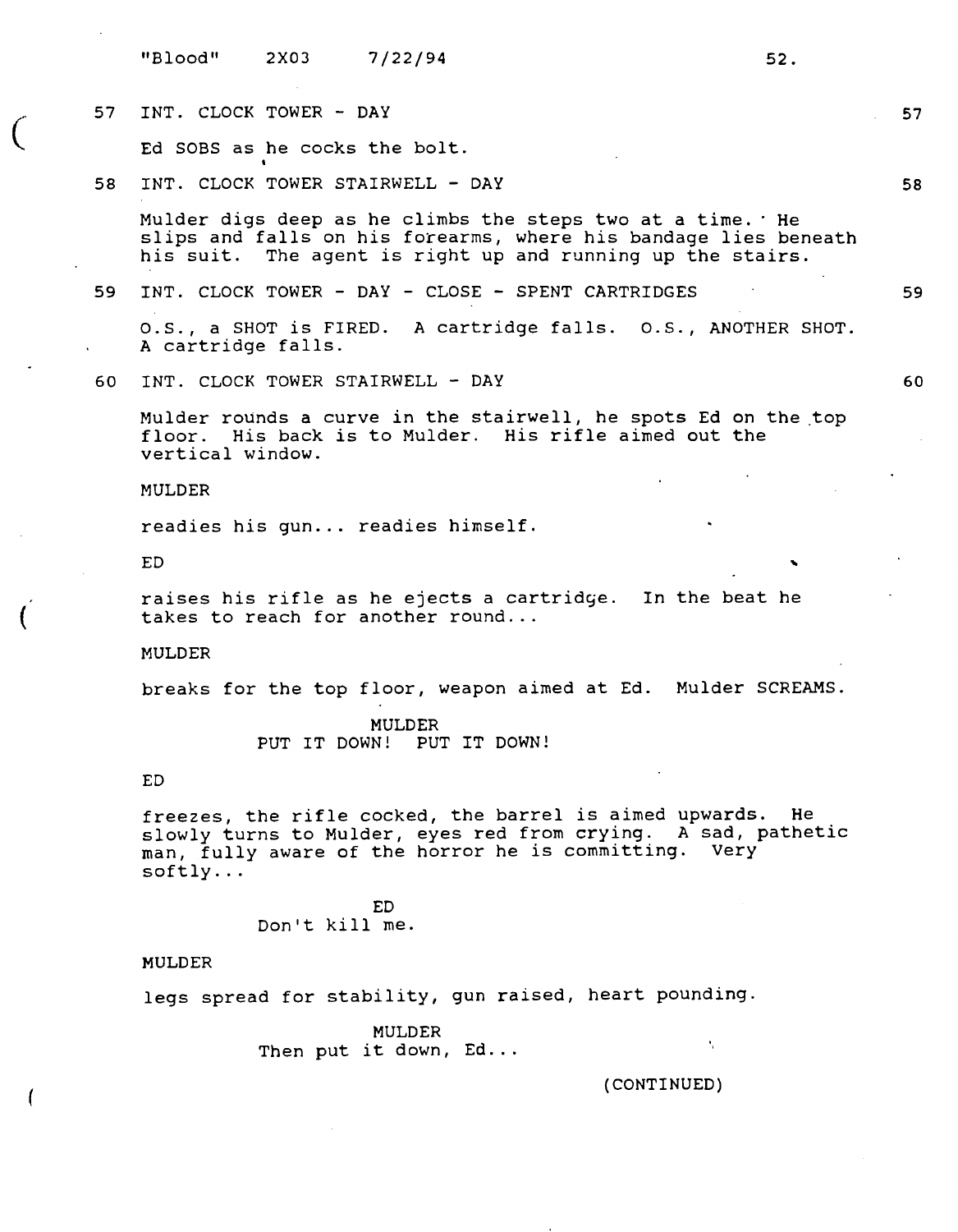|    | "Blood"                                                                                                                                                                                        | 2X03           | 7/22/94                               | 52.                                                                                                                                                                                        |    |  |  |
|----|------------------------------------------------------------------------------------------------------------------------------------------------------------------------------------------------|----------------|---------------------------------------|--------------------------------------------------------------------------------------------------------------------------------------------------------------------------------------------|----|--|--|
| 57 | INT. CLOCK TOWER - DAY                                                                                                                                                                         |                |                                       |                                                                                                                                                                                            | 57 |  |  |
|    |                                                                                                                                                                                                |                | Ed SOBS as he cocks the bolt.         |                                                                                                                                                                                            |    |  |  |
| 58 |                                                                                                                                                                                                |                | INT. CLOCK TOWER STAIRWELL - DAY      |                                                                                                                                                                                            | 58 |  |  |
|    |                                                                                                                                                                                                |                |                                       | Mulder digs deep as he climbs the steps two at a time. He<br>slips and falls on his forearms, where his bandage lies beneath<br>his suit. The agent is right up and running up the stairs. |    |  |  |
| 59 |                                                                                                                                                                                                |                |                                       | INT. CLOCK TOWER - DAY - CLOSE - SPENT CARTRIDGES                                                                                                                                          | 59 |  |  |
|    | A cartridge falls.                                                                                                                                                                             |                |                                       | O.S., a SHOT is FIRED. A cartridge falls. O.S., ANOTHER SHOT.                                                                                                                              |    |  |  |
| 60 |                                                                                                                                                                                                |                | INT. CLOCK TOWER STAIRWELL - DAY      |                                                                                                                                                                                            | 60 |  |  |
|    | vertical window.                                                                                                                                                                               |                |                                       | Mulder rounds a curve in the stairwell, he spots Ed on the top<br>floor. His back is to Mulder. His rifle aimed out the                                                                    |    |  |  |
|    | MULDER                                                                                                                                                                                         |                |                                       |                                                                                                                                                                                            |    |  |  |
|    |                                                                                                                                                                                                |                | readies his gun readies himself.      |                                                                                                                                                                                            |    |  |  |
|    | <b>ED</b>                                                                                                                                                                                      |                |                                       |                                                                                                                                                                                            |    |  |  |
|    | raises his rifle as he ejects a cartridge. In the beat he<br>takes to reach for another round                                                                                                  |                |                                       |                                                                                                                                                                                            |    |  |  |
|    | <b>MULDER</b>                                                                                                                                                                                  |                |                                       |                                                                                                                                                                                            |    |  |  |
|    | breaks for the top floor, weapon aimed at Ed. Mulder SCREAMS.                                                                                                                                  |                |                                       |                                                                                                                                                                                            |    |  |  |
|    |                                                                                                                                                                                                | PUT IT DOWN!   | MULDER<br>PUT IT DOWN!                |                                                                                                                                                                                            |    |  |  |
|    | ED.                                                                                                                                                                                            |                |                                       |                                                                                                                                                                                            |    |  |  |
|    | freezes, the rifle cocked, the barrel is aimed upwards. He<br>slowly turns to Mulder, eyes red from crying. A sad, pathetic<br>man, fully aware of the horror he is committing. Very<br>softly |                |                                       |                                                                                                                                                                                            |    |  |  |
|    |                                                                                                                                                                                                | Don't kill me. | ED.                                   |                                                                                                                                                                                            |    |  |  |
|    | <b>MULDER</b>                                                                                                                                                                                  |                |                                       |                                                                                                                                                                                            |    |  |  |
|    |                                                                                                                                                                                                |                |                                       | legs spread for stability, gun raised, heart pounding.                                                                                                                                     |    |  |  |
|    |                                                                                                                                                                                                |                | <b>MULDER</b><br>Then put it down, Ed | A.                                                                                                                                                                                         |    |  |  |

 $\big($ 

(

 $\overline{\mathcal{L}}$ 

(CONTINUED)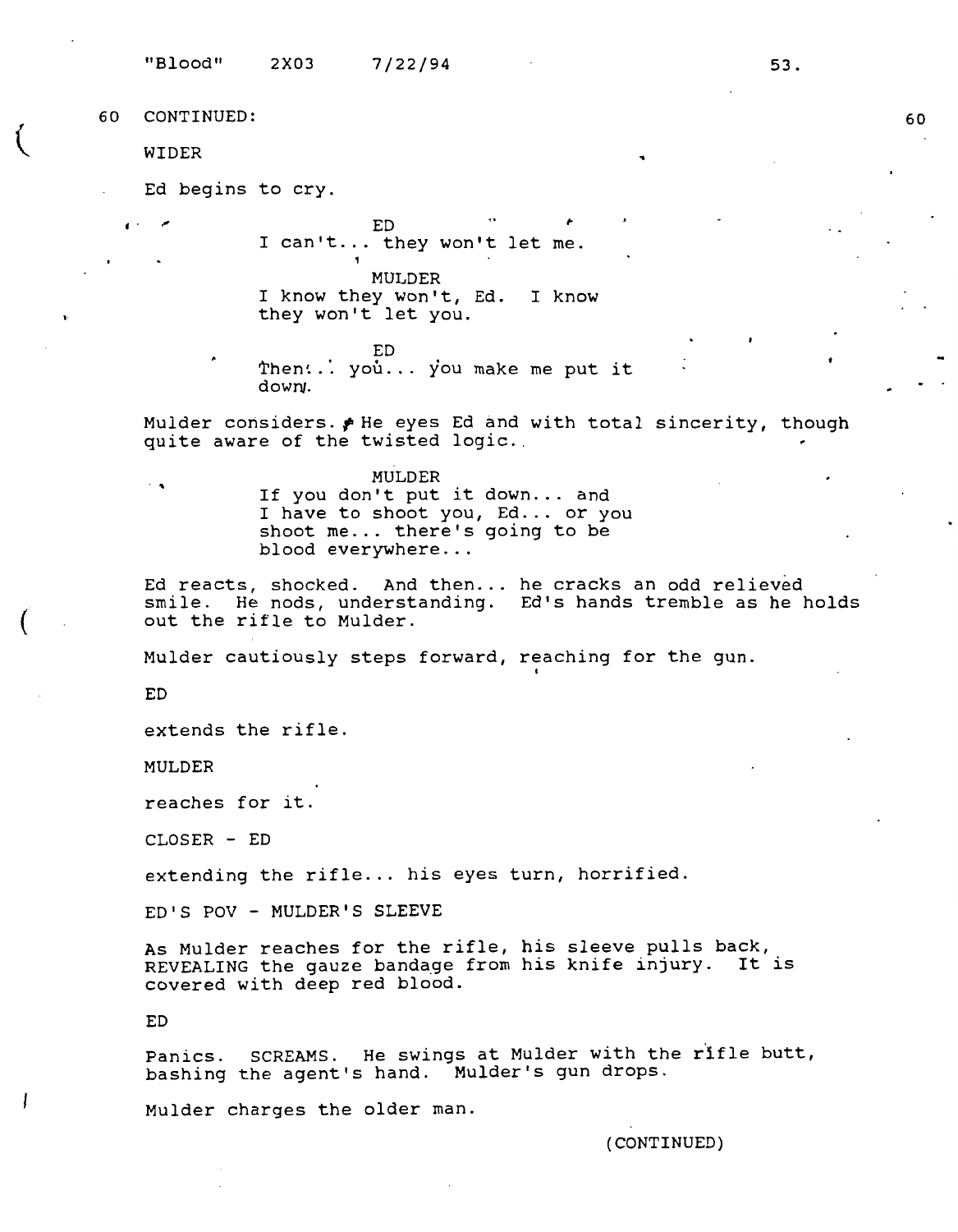WIDER

•·

(

Ed begins to cry.

 $\mathsf{L} \mathsf{L} \mathsf{L} \mathsf{L} \mathsf{L} \mathsf{L} \mathsf{L} \mathsf{L} \mathsf{L} \mathsf{L} \mathsf{L} \mathsf{L} \mathsf{L} \mathsf{L} \mathsf{L} \mathsf{L} \mathsf{L} \mathsf{L} \mathsf{L} \mathsf{L} \mathsf{L} \mathsf{L} \mathsf{L} \mathsf{L} \mathsf{L} \mathsf{L} \mathsf{L} \mathsf{L} \mathsf{L} \mathsf{L} \mathsf{L} \mathsf{L} \mathsf{L} \mathsf{L} \mathsf{L} \mathsf{L} \mathsf{$ I can't ... they won't let me.

MULDER

I know they won't, Ed. I know they won't let you.

ED Then: .. you... you make me put it down,.

Mulder considers. *f* He eyes Ed and with total sincerity, though quite aware of the twisted logic.

**MULDER** ... If you don't put it down ... and I have to shoot you, Ed... or you shoot me... there's going to be blood everywhere...

Ed reacts, shocked. And then... he cracks an odd relieved smile. He nods, understanding. Ed's hands tremble as he holds out the rifle to Mulder.

Mulder cautiously steps forward, reaching for the gun.

ED

extends the rifle.

MULDER

reaches for it.

CLOSER - ED

extending the rifle... his eyes turn, horrified.

ED'S POV - MULDER'S SLEEVE

As Mulder reaches for the rifle, his sleeve pulls back, REVEALING the gauze bandage from his knife injury. It is covered with deep red blood.

ED

Panics. SCREAMS. He swings at Mulder with the rifle butt, bashing the agent's hand. Mulder's gun drops.

Mulder charges the older man.

(CONTINUED)

53.

..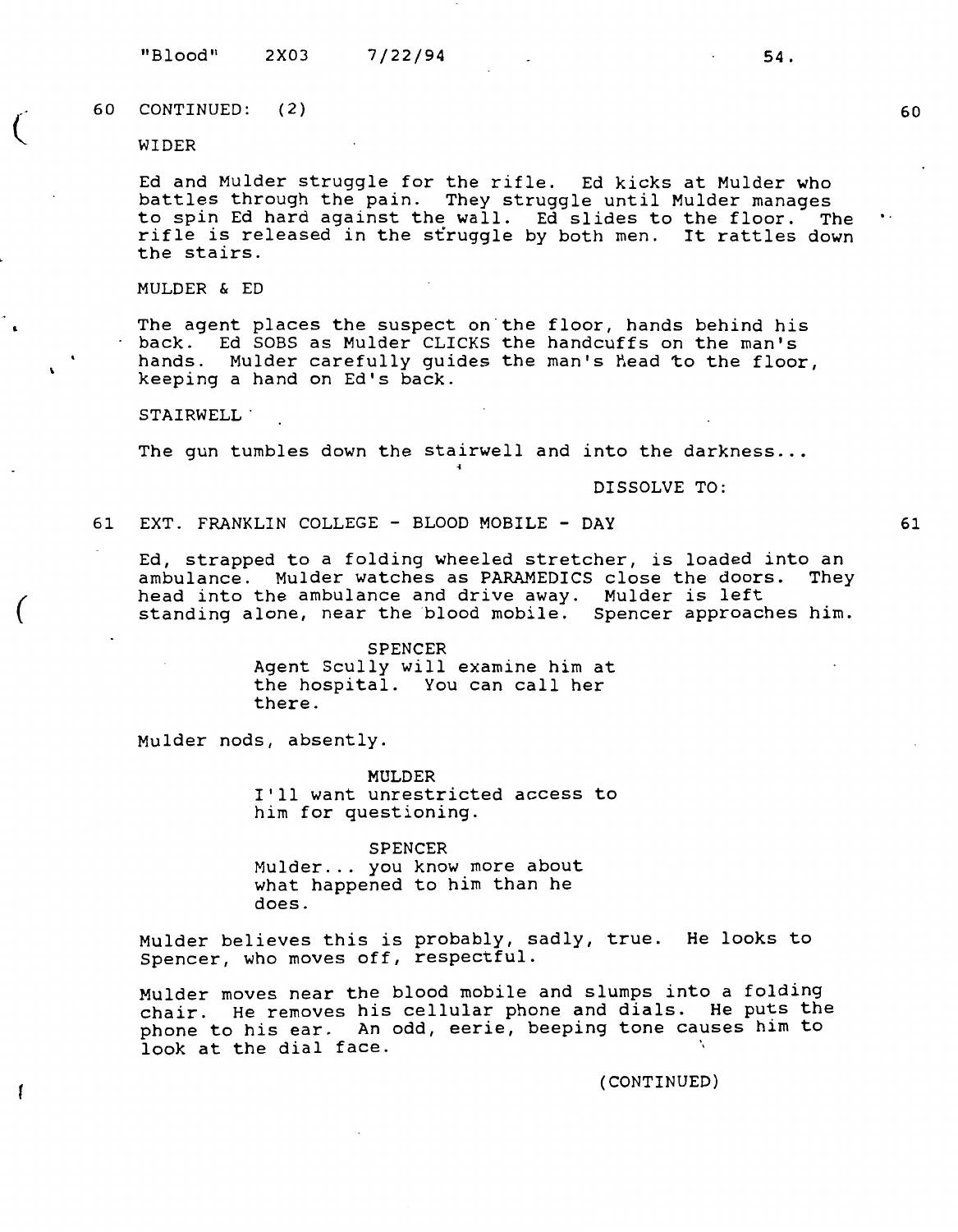"Blood" 2X03 7/22/94 **54.** 

60 CONTINUED: ( 2)

WIDER

 $\big($ 

*(* 

Į

Ed and Mulder struggle for the rifle. Ed kicks at Mulder who battles through the pain. They struggle until Mulder manages to spin Ed hard against the wall. Ed slides to the floor. The rifle is released in the struggle by both men. It rattles down the stairs.

MULDER & ED

The agent places the suspect on the floor, hands behind his back. Ed SOBS as Mulder CLICKS the handcuffs on the man's hands. Mulder carefully guides the man's head to the floor, keeping a hand on Ed's back.

**STAIRWELL .** 

The gun tumbles down the stairwell and into the darkness...

**DISSOLVE TO:** 

61 EXT. FRANKLIN COLLEGE - BLOOD MOBILE - DAY

Ed, strapped to a folding wheeled stretcher, is loaded into an<br>ambulance. Mulder watches as PARAMEDICS close the doors. They ambulance. Mulder watches as PARAMEDICS close the doors. head into the ambulance and drive away. Mulder is left standing alone, near the blood mobile. Spencer approaches him.

> **SPENCER**  Agent Scully will examine him at the hospital. You can call her there.

Mulder nods, absently.

**MULDER**  I'll want unrestricted access to him for questioning.

**SPENCER**  Mulder ... you know more about what happened to him than he does.

Mulder believes this is probably, sadly, true. He looks to Spencer, who moves off, respectful.

Mulder moves near the blood mobile and slumps into a folding chair. He removes his cellular phone and dials. He puts the phone to his ear. An odd, eerie, beeping tone causes him to look at the dial face.

(CONTINUED)

61